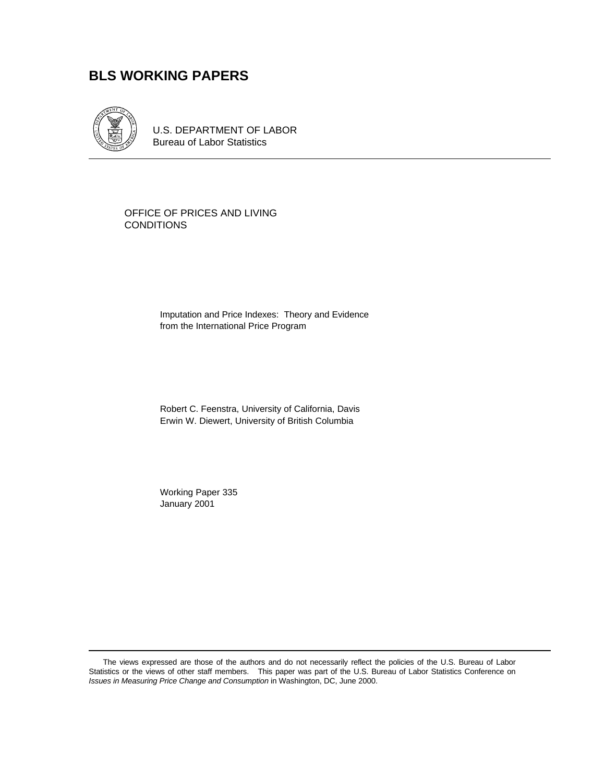# **BLS WORKING PAPERS**



U.S. DEPARTMENT OF LABOR Bureau of Labor Statistics

OFFICE OF PRICES AND LIVING CONDITIONS

> Imputation and Price Indexes: Theory and Evidence from the International Price Program

Robert C. Feenstra, University of California, Davis Erwin W. Diewert, University of British Columbia

Working Paper 335 January 2001

The views expressed are those of the authors and do not necessarily reflect the policies of the U.S. Bureau of Labor Statistics or the views of other staff members. This paper was part of the U.S. Bureau of Labor Statistics Conference on *Issues in Measuring Price Change and Consumption* in Washington, DC, June 2000.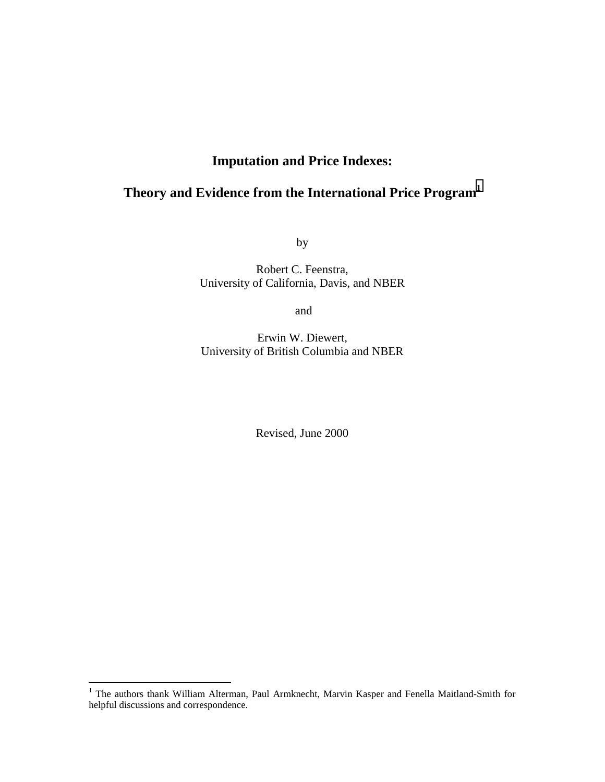# **Imputation and Price Indexes:**

# **Theory and Evidence from the International Price Program1**

by

Robert C. Feenstra, University of California, Davis, and NBER

and

Erwin W. Diewert, University of British Columbia and NBER

Revised, June 2000

<sup>&</sup>lt;sup>1</sup> The authors thank William Alterman, Paul Armknecht, Marvin Kasper and Fenella Maitland-Smith for helpful discussions and correspondence.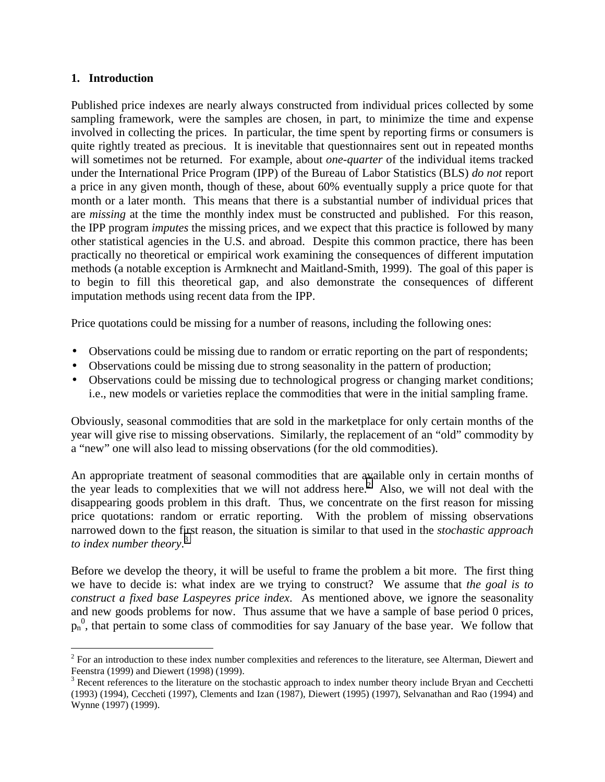### **1. Introduction**

Published price indexes are nearly always constructed from individual prices collected by some sampling framework, were the samples are chosen, in part, to minimize the time and expense involved in collecting the prices. In particular, the time spent by reporting firms or consumers is quite rightly treated as precious. It is inevitable that questionnaires sent out in repeated months will sometimes not be returned. For example, about *one-quarter* of the individual items tracked under the International Price Program (IPP) of the Bureau of Labor Statistics (BLS) *do not* report a price in any given month, though of these, about 60% eventually supply a price quote for that month or a later month. This means that there is a substantial number of individual prices that are *missing* at the time the monthly index must be constructed and published. For this reason, the IPP program *imputes* the missing prices, and we expect that this practice is followed by many other statistical agencies in the U.S. and abroad. Despite this common practice, there has been practically no theoretical or empirical work examining the consequences of different imputation methods (a notable exception is Armknecht and Maitland-Smith, 1999). The goal of this paper is to begin to fill this theoretical gap, and also demonstrate the consequences of different imputation methods using recent data from the IPP.

Price quotations could be missing for a number of reasons, including the following ones:

- Observations could be missing due to random or erratic reporting on the part of respondents;
- Observations could be missing due to strong seasonality in the pattern of production;
- Observations could be missing due to technological progress or changing market conditions; i.e., new models or varieties replace the commodities that were in the initial sampling frame.

Obviously, seasonal commodities that are sold in the marketplace for only certain months of the year will give rise to missing observations. Similarly, the replacement of an "old" commodity by a "new" one will also lead to missing observations (for the old commodities).

An appropriate treatment of seasonal commodities that are available only in certain months of the year leads to complexities that we will not address here.<sup>2</sup> Also, we will not deal with the disappearing goods problem in this draft. Thus, we concentrate on the first reason for missing price quotations: random or erratic reporting. With the problem of missing observations narrowed down to the first reason, the situation is similar to that used in the *stochastic approach to index number theory*. 3

Before we develop the theory, it will be useful to frame the problem a bit more. The first thing we have to decide is: what index are we trying to construct? We assume that *the goal is to construct a fixed base Laspeyres price index*. As mentioned above, we ignore the seasonality and new goods problems for now. Thus assume that we have a sample of base period 0 prices,  $p_n^0$ , that pertain to some class of commodities for say January of the base year. We follow that

<sup>1</sup>  $2^2$  For an introduction to these index number complexities and references to the literature, see Alterman, Diewert and Feenstra (1999) and Diewert (1998) (1999).

 $3$  Recent references to the literature on the stochastic approach to index number theory include Bryan and Cecchetti (1993) (1994), Ceccheti (1997), Clements and Izan (1987), Diewert (1995) (1997), Selvanathan and Rao (1994) and Wynne (1997) (1999).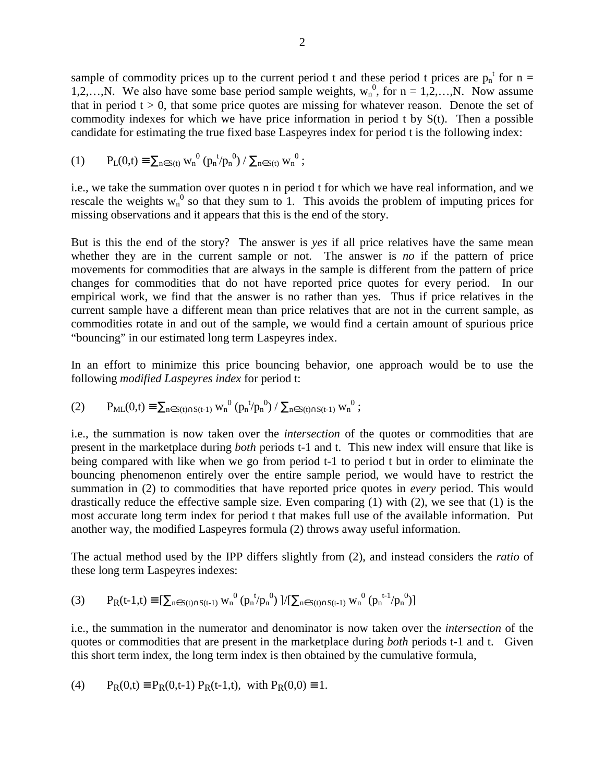sample of commodity prices up to the current period t and these period t prices are  $p_n^{\ t}$  for n = 1,2,…,N. We also have some base period sample weights,  $w_n^0$ , for  $n = 1, 2, ..., N$ . Now assume that in period  $t > 0$ , that some price quotes are missing for whatever reason. Denote the set of commodity indexes for which we have price information in period t by  $S(t)$ . Then a possible candidate for estimating the true fixed base Laspeyres index for period t is the following index:

(1) 
$$
P_L(0,t) \equiv \sum_{n \in S(t)} w_n^{0} (p_n^{t}/p_n^{0}) / \sum_{n \in S(t)} w_n^{0};
$$

i.e., we take the summation over quotes n in period t for which we have real information, and we rescale the weights  $w_n^0$  so that they sum to 1. This avoids the problem of imputing prices for missing observations and it appears that this is the end of the story.

But is this the end of the story? The answer is *yes* if all price relatives have the same mean whether they are in the current sample or not. The answer is *no* if the pattern of price movements for commodities that are always in the sample is different from the pattern of price changes for commodities that do not have reported price quotes for every period. In our empirical work, we find that the answer is no rather than yes. Thus if price relatives in the current sample have a different mean than price relatives that are not in the current sample, as commodities rotate in and out of the sample, we would find a certain amount of spurious price "bouncing" in our estimated long term Laspeyres index.

In an effort to minimize this price bouncing behavior, one approach would be to use the following *modified Laspeyres index* for period t:

(2) 
$$
P_{ML}(0,t) \equiv \sum_{n \in S(t) \cap S(t-1)} w_n^{0} (p_n^{\ t}/p_n^{0}) / \sum_{n \in S(t) \cap S(t-1)} w_n^{0};
$$

i.e., the summation is now taken over the *intersection* of the quotes or commodities that are present in the marketplace during *both* periods t-1 and t. This new index will ensure that like is being compared with like when we go from period t-1 to period t but in order to eliminate the bouncing phenomenon entirely over the entire sample period, we would have to restrict the summation in (2) to commodities that have reported price quotes in *every* period. This would drastically reduce the effective sample size. Even comparing (1) with (2), we see that (1) is the most accurate long term index for period t that makes full use of the available information. Put another way, the modified Laspeyres formula (2) throws away useful information.

The actual method used by the IPP differs slightly from (2), and instead considers the *ratio* of these long term Laspeyres indexes:

$$
(3) \qquad P_{R}(t-1,t)\equiv[\textstyle\sum_{n\in S(t)\cap S(t-1)}w_{n}^{~0} \left(p_{n}^{~t}/p_{n}^{~0}\right) \text{ ]}/[\textstyle\sum_{n\in S(t)\cap S(t-1)}w_{n}^{~0} \left(p_{n}^{~t-1}/p_{n}^{~0}\right) ]
$$

i.e., the summation in the numerator and denominator is now taken over the *intersection* of the quotes or commodities that are present in the marketplace during *both* periods t-1 and t. Given this short term index, the long term index is then obtained by the cumulative formula,

(4) 
$$
P_R(0,t) \equiv P_R(0,t-1) P_R(t-1,t)
$$
, with  $P_R(0,0) \equiv 1$ .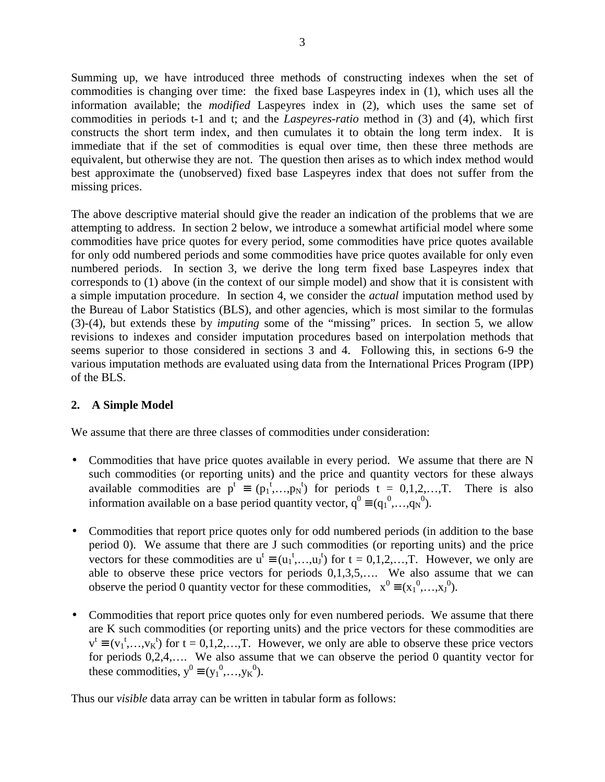Summing up, we have introduced three methods of constructing indexes when the set of commodities is changing over time: the fixed base Laspeyres index in (1), which uses all the information available; the *modified* Laspeyres index in (2), which uses the same set of commodities in periods t-1 and t; and the *Laspeyres-ratio* method in (3) and (4), which first constructs the short term index, and then cumulates it to obtain the long term index. It is immediate that if the set of commodities is equal over time, then these three methods are equivalent, but otherwise they are not. The question then arises as to which index method would best approximate the (unobserved) fixed base Laspeyres index that does not suffer from the missing prices.

The above descriptive material should give the reader an indication of the problems that we are attempting to address. In section 2 below, we introduce a somewhat artificial model where some commodities have price quotes for every period, some commodities have price quotes available for only odd numbered periods and some commodities have price quotes available for only even numbered periods. In section 3, we derive the long term fixed base Laspeyres index that corresponds to (1) above (in the context of our simple model) and show that it is consistent with a simple imputation procedure. In section 4, we consider the *actual* imputation method used by the Bureau of Labor Statistics (BLS), and other agencies, which is most similar to the formulas (3)-(4), but extends these by *imputing* some of the "missing" prices. In section 5, we allow revisions to indexes and consider imputation procedures based on interpolation methods that seems superior to those considered in sections 3 and 4. Following this, in sections 6-9 the various imputation methods are evaluated using data from the International Prices Program (IPP) of the BLS.

## **2. A Simple Model**

We assume that there are three classes of commodities under consideration:

- Commodities that have price quotes available in every period. We assume that there are N such commodities (or reporting units) and the price and quantity vectors for these always available commodities are  $p^t \equiv (p_1^t, ..., p_N^t)$  for periods  $t = 0, 1, 2, ..., T$ . There is also information available on a base period quantity vector,  $q^0 \equiv (q_1^0, \ldots, q_N^0)$ .
- Commodities that report price quotes only for odd numbered periods (in addition to the base period 0). We assume that there are J such commodities (or reporting units) and the price vectors for these commodities are  $u^t \equiv (u_1^t, \ldots, u_j^t)$  for  $t = 0, 1, 2, \ldots, T$ . However, we only are able to observe these price vectors for periods 0,1,3,5,…. We also assume that we can observe the period 0 quantity vector for these commodities,  $x^0 = (x_1^0, ..., x_J^0)$ .
- Commodities that report price quotes only for even numbered periods. We assume that there are K such commodities (or reporting units) and the price vectors for these commodities are  $v^t \equiv (v_1^t, ..., v_K^t)$  for  $t = 0, 1, 2, ..., T$ . However, we only are able to observe these price vectors for periods 0,2,4,…. We also assume that we can observe the period 0 quantity vector for these commodities,  $y^0 \equiv (y_1^0, \ldots, y_K^0)$ .

Thus our *visible* data array can be written in tabular form as follows: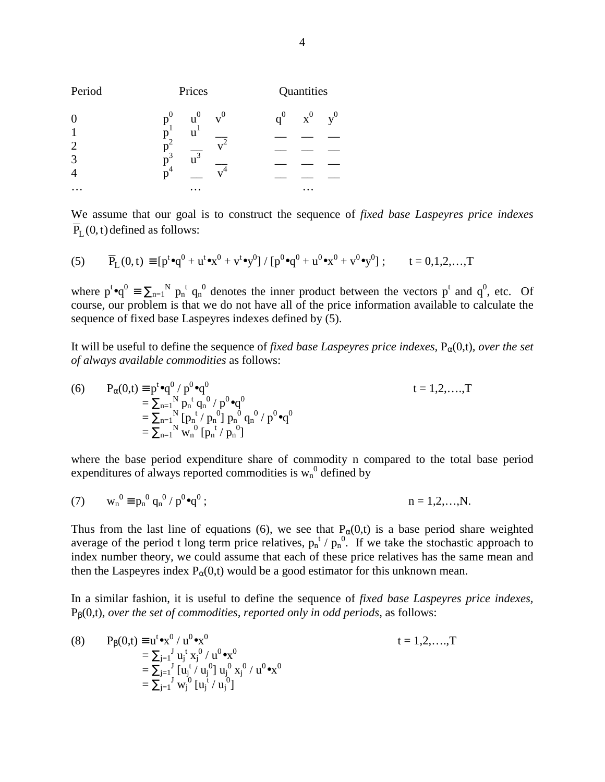| Period         | Prices                  | Quantities                       |
|----------------|-------------------------|----------------------------------|
| $\overline{0}$ | $u^0$<br>$p^0$<br>$v^0$ | $\mathbf{x}^0$<br>$q^0$<br>$v^0$ |
| 2              | u                       |                                  |
| 3<br>4         | $\overline{u^3}$<br>່ 3 |                                  |
|                |                         |                                  |

We assume that our goal is to construct the sequence of *fixed base Laspeyres price indexes*  $\overline{P}_{L}(0, t)$  defined as follows:

(5) 
$$
\overline{P}_L(0,t) \equiv [p^t \bullet q^0 + u^t \bullet x^0 + v^t \bullet y^0] / [p^0 \bullet q^0 + u^0 \bullet x^0 + v^0 \bullet y^0]; \qquad t = 0,1,2,...,T
$$

where  $p^t \cdot q^0 = \sum_{n=1}^{N} p_n^t q_n^0$  denotes the inner product between the vectors  $p^t$  and  $q^0$ , etc. Of course, our problem is that we do not have all of the price information available to calculate the sequence of fixed base Laspeyres indexes defined by (5).

It will be useful to define the sequence of *fixed base Laspeyres price indexes*,  $P_\alpha(0,t)$ *, over the set of always available commodities* as follows:

(6) 
$$
P_{\alpha}(0,t) \equiv p^{t} \bullet q^{0} / p^{0} \bullet q^{0}
$$
  
\n
$$
= \sum_{n=1}^{N} p_{n}^{t} q_{n}^{0} / p^{0} \bullet q^{0}
$$
  
\n
$$
= \sum_{n=1}^{N} [p_{n}^{t} / p_{n}^{0}] p_{n}^{0} q_{n}^{0} / p^{0} \bullet q^{0}
$$
  
\n
$$
= \sum_{n=1}^{N} w_{n}^{0} [p_{n}^{t} / p_{n}^{0}]
$$
  
\n
$$
t = 1,2,...,T
$$

where the base period expenditure share of commodity n compared to the total base period expenditures of always reported commodities is  $w_n^0$  defined by

(7) 
$$
w_n^0 \equiv p_n^0 q_n^0 / p^0 \bullet q^0;
$$
   
  $n = 1, 2, ..., N.$ 

Thus from the last line of equations (6), we see that  $P_\alpha(0,t)$  is a base period share weighted average of the period t long term price relatives,  $p_n^t / p_n^0$ . If we take the stochastic approach to index number theory, we could assume that each of these price relatives has the same mean and then the Laspeyres index  $P_{\alpha}(0,t)$  would be a good estimator for this unknown mean.

In a similar fashion, it is useful to define the sequence of *fixed base Laspeyres price indexes,* Pβ(0,t), *over the set of commodities, reported only in odd periods,* as follows:

(8) 
$$
P_{\beta}(0,t) \equiv u^t \bullet x^0 / u^0 \bullet x^0
$$
  
\n
$$
= \sum_{j=1}^J u_j^t x_j^0 / u^0 \bullet x^0
$$
  
\n
$$
= \sum_{j=1}^J [u_j^t / u_j^0] u_j^0 x_j^0 / u^0 \bullet x^0
$$
  
\n
$$
= \sum_{j=1}^J w_j^0 [u_j^t / u_j^0]
$$
  
\n
$$
t = 1,2,...,T
$$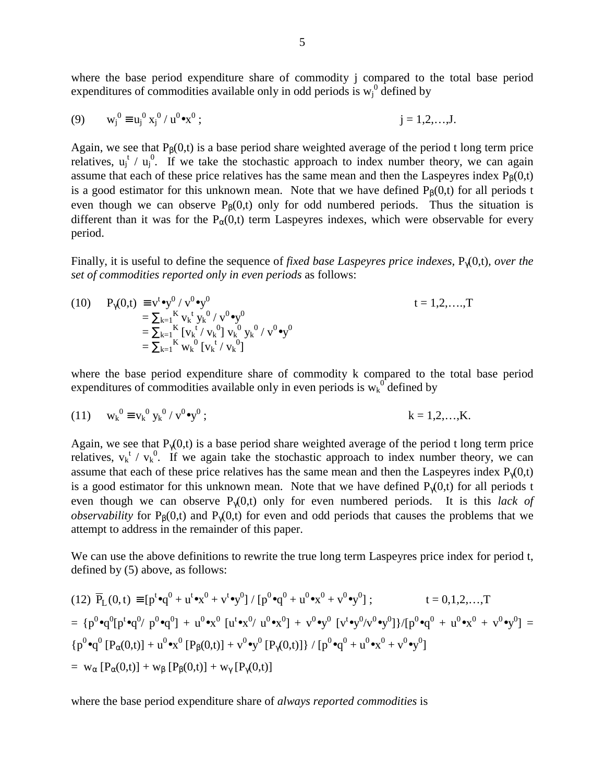where the base period expenditure share of commodity i compared to the total base period expenditures of commodities available only in odd periods is  $w_j^0$  defined by

(9) 
$$
w_j^0 \equiv u_j^0 x_j^0 / u^0 \bullet x^0;
$$
   
  $j = 1, 2, ..., J.$ 

Again, we see that  $P_B(0,t)$  is a base period share weighted average of the period t long term price relatives,  $u_j^t / u_j^0$ . If we take the stochastic approach to index number theory, we can again assume that each of these price relatives has the same mean and then the Laspeyres index  $P_B(0,t)$ is a good estimator for this unknown mean. Note that we have defined  $P_{\beta}(0,t)$  for all periods t even though we can observe  $P_\beta(0,t)$  only for odd numbered periods. Thus the situation is different than it was for the  $P_{\alpha}(0,t)$  term Laspeyres indexes, which were observable for every period.

Finally, it is useful to define the sequence of *fixed base Laspeyres price indexes,* Pγ(0,t)*, over the set of commodities reported only in even periods* as follows:

(10) 
$$
P_{\gamma}(0,t) = v^t \cdot v^0 / v^0 \cdot v^0
$$
  
\n
$$
= \sum_{k=1}^K v_k^t y_k^0 / v^0 \cdot v^0
$$
  
\n
$$
= \sum_{k=1}^K [v_k^t / v_k^0] v_k^0 y_k^0 / v^0 \cdot v^0
$$
  
\n
$$
= \sum_{k=1}^K w_k^0 [v_k^t / v_k^0]
$$
  
\n(10) 
$$
t = 1, 2, ..., T
$$
  
\n
$$
t = 1, 2, ..., T
$$

where the base period expenditure share of commodity k compared to the total base period expenditures of commodities available only in even periods is  $w_k^0$  defined by

(11) 
$$
w_k^0 \equiv v_k^0 y_k^0 / v^0 \bullet y^0;
$$
   
  $k = 1, 2, ..., K.$ 

Again, we see that  $P_{\gamma}(0,t)$  is a base period share weighted average of the period t long term price relatives,  $v_k^t / v_k^0$ . If we again take the stochastic approach to index number theory, we can assume that each of these price relatives has the same mean and then the Laspeyres index  $P_{\gamma}(0,t)$ is a good estimator for this unknown mean. Note that we have defined  $P_{\gamma}(0,t)$  for all periods t even though we can observe Pγ(0,t) only for even numbered periods. It is this *lack of observability* for  $P_B(0,t)$  and  $P_{\gamma}(0,t)$  for even and odd periods that causes the problems that we attempt to address in the remainder of this paper.

We can use the above definitions to rewrite the true long term Laspeyres price index for period t, defined by (5) above, as follows:

(12) 
$$
\overline{P}_L(0,t) \equiv [p^t \bullet q^0 + u^t \bullet x^0 + v^t \bullet y^0] / [p^0 \bullet q^0 + u^0 \bullet x^0 + v^0 \bullet y^0];
$$
  $t = 0,1,2,...,T$   
\n
$$
= \{p^0 \bullet q^0 [p^t \bullet q^0 / p^0 \bullet q^0] + u^0 \bullet x^0 [u^t \bullet x^0 / u^0 \bullet x^0] + v^0 \bullet y^0 [v^t \bullet y^0 / v^0 \bullet y^0] \} / [p^0 \bullet q^0 + u^0 \bullet x^0 + v^0 \bullet y^0] =
$$
\n
$$
\{p^0 \bullet q^0 [P_\alpha(0,t)] + u^0 \bullet x^0 [P_\beta(0,t)] + v^0 \bullet y^0 [P_\gamma(0,t)] \} / [p^0 \bullet q^0 + u^0 \bullet x^0 + v^0 \bullet y^0]
$$
\n
$$
= w_\alpha [P_\alpha(0,t)] + w_\beta [P_\beta(0,t)] + w_\gamma [P_\gamma(0,t)]
$$

where the base period expenditure share of *always reported commodities* is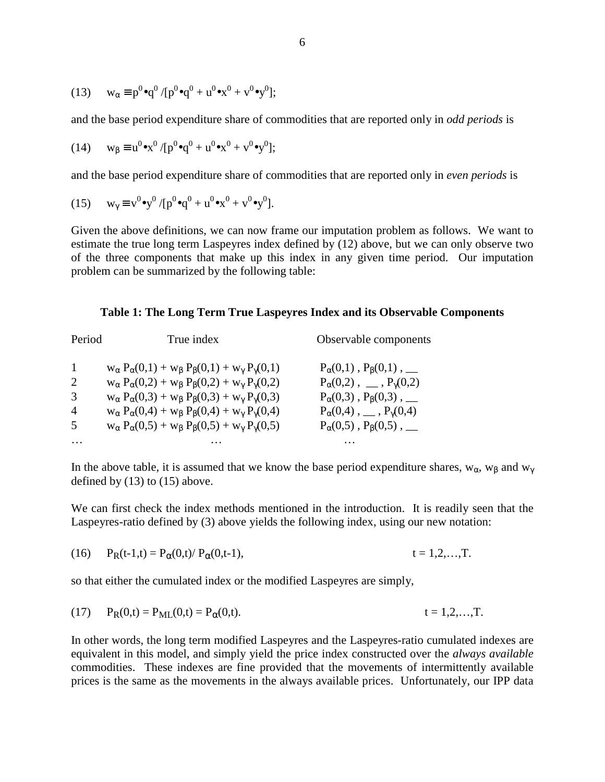(13) 
$$
w_{\alpha} \equiv p^0 \bullet q^0 / [p^0 \bullet q^0 + u^0 \bullet x^0 + v^0 \bullet y^0];
$$

and the base period expenditure share of commodities that are reported only in *odd periods* is

(14) 
$$
w_{\beta} \equiv u^0 \bullet x^0 / [p^0 \bullet q^0 + u^0 \bullet x^0 + v^0 \bullet y^0];
$$

and the base period expenditure share of commodities that are reported only in *even periods* is

(15) 
$$
w_{\gamma} \equiv v^0 \bullet y^0 / [p^0 \bullet q^0 + u^0 \bullet x^0 + v^0 \bullet y^0].
$$

Given the above definitions, we can now frame our imputation problem as follows. We want to estimate the true long term Laspeyres index defined by (12) above, but we can only observe two of the three components that make up this index in any given time period. Our imputation problem can be summarized by the following table:

#### **Table 1: The Long Term True Laspeyres Index and its Observable Components**

| Period         | True index                                                                           | Observable components                      |  |
|----------------|--------------------------------------------------------------------------------------|--------------------------------------------|--|
| 1              | $w_{\alpha} P_{\alpha}(0,1) + w_{\beta} P_{\beta}(0,1) + w_{\gamma} P_{\gamma}(0,1)$ | $P_{\alpha}(0,1)$ , $P_{\beta}(0,1)$ , ___ |  |
| 2              | $w_{\alpha} P_{\alpha}(0,2) + w_{\beta} P_{\beta}(0,2) + w_{\gamma} P_{\gamma}(0,2)$ | $P_{\alpha}(0,2)$ , __, $P_{\gamma}(0,2)$  |  |
| 3              | $w_{\alpha} P_{\alpha}(0,3) + w_{\beta} P_{\beta}(0,3) + w_{\gamma} P_{\gamma}(0,3)$ | $P_{\alpha}(0,3)$ , $P_{\beta}(0,3)$ , ___ |  |
| $\overline{4}$ | $W_{\alpha} P_{\alpha}(0,4) + W_{\beta} P_{\beta}(0,4) + W_{\gamma} P_{\gamma}(0,4)$ | $P_{\alpha}(0,4)$ , __, $P_{\gamma}(0,4)$  |  |
| 5              | $W_{\alpha} P_{\alpha}(0,5) + W_{\beta} P_{\beta}(0,5) + W_{\gamma} P_{\gamma}(0,5)$ | $P_{\alpha}(0,5)$ , $P_{\beta}(0,5)$ , ___ |  |
|                |                                                                                      |                                            |  |

In the above table, it is assumed that we know the base period expenditure shares,  $w_{\alpha}$ ,  $w_{\beta}$  and  $w_{\gamma}$ defined by  $(13)$  to  $(15)$  above.

We can first check the index methods mentioned in the introduction. It is readily seen that the Laspeyres-ratio defined by (3) above yields the following index, using our new notation:

(16) 
$$
P_R(t-1,t) = P_\alpha(0,t)/ P_\alpha(0,t-1),
$$
  $t = 1,2,...,T.$ 

so that either the cumulated index or the modified Laspeyres are simply,

(17) 
$$
P_R(0,t) = P_{ML}(0,t) = P_{\alpha}(0,t).
$$
  $t = 1,2,...,T.$ 

In other words, the long term modified Laspeyres and the Laspeyres-ratio cumulated indexes are equivalent in this model, and simply yield the price index constructed over the *always available* commodities. These indexes are fine provided that the movements of intermittently available prices is the same as the movements in the always available prices. Unfortunately, our IPP data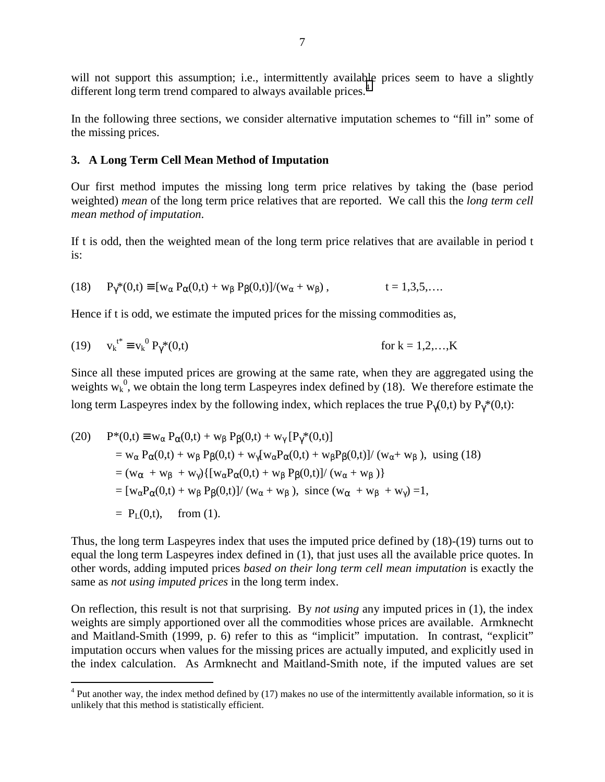will not support this assumption; i.e., intermittently available prices seem to have a slightly different long term trend compared to always available prices.<sup>4</sup>

In the following three sections, we consider alternative imputation schemes to "fill in" some of the missing prices.

#### **3. A Long Term Cell Mean Method of Imputation**

Our first method imputes the missing long term price relatives by taking the (base period weighted) *mean* of the long term price relatives that are reported. We call this the *long term cell mean method of imputation*.

If t is odd, then the weighted mean of the long term price relatives that are available in period t is:

(18) 
$$
P_{\gamma}^*(0,t) \equiv [w_{\alpha} P_{\alpha}(0,t) + w_{\beta} P_{\beta}(0,t)]/(w_{\alpha} + w_{\beta}),
$$
   
  $t = 1,3,5,...$ 

Hence if t is odd, we estimate the imputed prices for the missing commodities as,

(19) 
$$
v_k^{t^*} \equiv v_k^0 P_{\gamma}^*(0,t)
$$
 for  $k = 1,2,...,K$ 

Since all these imputed prices are growing at the same rate, when they are aggregated using the weights  $w_k^0$ , we obtain the long term Laspeyres index defined by (18). We therefore estimate the long term Laspeyres index by the following index, which replaces the true  $P_{\gamma}(0,t)$  by  $P_{\gamma}^{*}(0,t)$ :

(20) 
$$
P^*(0,t) \equiv w_{\alpha} P_{\alpha}(0,t) + w_{\beta} P_{\beta}(0,t) + w_{\gamma} [P_{\gamma}^*(0,t)]
$$
  
\n
$$
= w_{\alpha} P_{\alpha}(0,t) + w_{\beta} P_{\beta}(0,t) + w_{\gamma} [w_{\alpha} P_{\alpha}(0,t) + w_{\beta} P_{\beta}(0,t)] / (w_{\alpha} + w_{\beta}), \text{ using (18)}
$$
  
\n
$$
= (w_{\alpha} + w_{\beta} + w_{\gamma}) \{ [w_{\alpha} P_{\alpha}(0,t) + w_{\beta} P_{\beta}(0,t)] / (w_{\alpha} + w_{\beta}) \}
$$
  
\n
$$
= [w_{\alpha} P_{\alpha}(0,t) + w_{\beta} P_{\beta}(0,t)] / (w_{\alpha} + w_{\beta}), \text{ since } (w_{\alpha} + w_{\beta} + w_{\gamma}) = 1,
$$
  
\n
$$
= P_L(0,t), \text{ from (1)}.
$$

Thus, the long term Laspeyres index that uses the imputed price defined by (18)-(19) turns out to equal the long term Laspeyres index defined in (1), that just uses all the available price quotes. In other words, adding imputed prices *based on their long term cell mean imputation* is exactly the same as *not using imputed prices* in the long term index.

On reflection, this result is not that surprising. By *not using* any imputed prices in (1), the index weights are simply apportioned over all the commodities whose prices are available. Armknecht and Maitland-Smith (1999, p. 6) refer to this as "implicit" imputation. In contrast, "explicit" imputation occurs when values for the missing prices are actually imputed, and explicitly used in the index calculation. As Armknecht and Maitland-Smith note, if the imputed values are set

<sup>&</sup>lt;sup>4</sup> Put another way, the index method defined by (17) makes no use of the intermittently available information, so it is unlikely that this method is statistically efficient.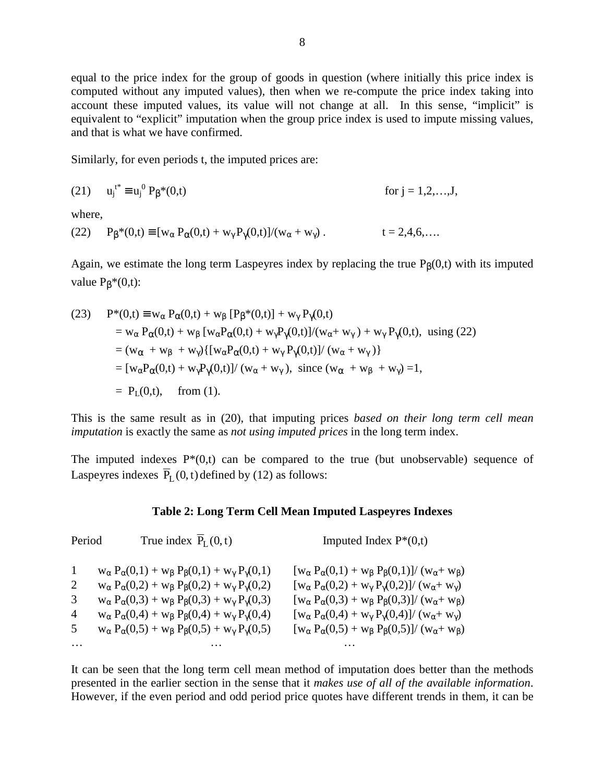equal to the price index for the group of goods in question (where initially this price index is computed without any imputed values), then when we re-compute the price index taking into account these imputed values, its value will not change at all. In this sense, "implicit" is equivalent to "explicit" imputation when the group price index is used to impute missing values, and that is what we have confirmed.

Similarly, for even periods t, the imputed prices are:

(21) 
$$
u_j^{t^*} \equiv u_j^0 P_\beta^*(0,t)
$$
 for  $j = 1,2,...,J$ ,

where,

(22)  $P_\beta^*(0,t) \equiv [w_\alpha P_\alpha(0,t) + w_\gamma P_\gamma(0,t)]/(w_\alpha + w_\gamma)$  . t = 2,4,6,...

Again, we estimate the long term Laspeyres index by replacing the true  $P_B(0,t)$  with its imputed value  $P_B*(0,t)$ :

(23) 
$$
P^{*}(0,t) \equiv w_{\alpha} P_{\alpha}(0,t) + w_{\beta} [P_{\beta}^{*}(0,t)] + w_{\gamma} P_{\gamma}(0,t)
$$
  
\n
$$
= w_{\alpha} P_{\alpha}(0,t) + w_{\beta} [w_{\alpha} P_{\alpha}(0,t) + w_{\gamma} P_{\gamma}(0,t)]/(w_{\alpha} + w_{\gamma}) + w_{\gamma} P_{\gamma}(0,t), \text{ using (22)}
$$
  
\n
$$
= (w_{\alpha} + w_{\beta} + w_{\gamma}) \{ [w_{\alpha} P_{\alpha}(0,t) + w_{\gamma} P_{\gamma}(0,t)]/(w_{\alpha} + w_{\gamma}) \}
$$
  
\n
$$
= [w_{\alpha} P_{\alpha}(0,t) + w_{\gamma} P_{\gamma}(0,t)]/(w_{\alpha} + w_{\gamma}), \text{ since } (w_{\alpha} + w_{\beta} + w_{\gamma}) = 1,
$$
  
\n
$$
= P_{L}(0,t), \text{ from (1)}.
$$

This is the same result as in (20), that imputing prices *based on their long term cell mean imputation* is exactly the same as *not using imputed prices* in the long term index.

The imputed indexes  $P*(0,t)$  can be compared to the true (but unobservable) sequence of Laspeyres indexes  $\overline{P}_{L}(0, t)$  defined by (12) as follows:

#### **Table 2: Long Term Cell Mean Imputed Laspeyres Indexes**

| Period                           | True index $\overline{P}_{I}(0,t)$                                                                                                                                                                                                                                                                                                                                                                                                                   | Imputed Index $P*(0,t)$                                                                                                                                                                                                                                                                                                                                                                                                                                  |
|----------------------------------|------------------------------------------------------------------------------------------------------------------------------------------------------------------------------------------------------------------------------------------------------------------------------------------------------------------------------------------------------------------------------------------------------------------------------------------------------|----------------------------------------------------------------------------------------------------------------------------------------------------------------------------------------------------------------------------------------------------------------------------------------------------------------------------------------------------------------------------------------------------------------------------------------------------------|
| $\mathbf{1}$<br>2<br>3<br>4<br>5 | $W_{\alpha} P_{\alpha}(0,1) + W_{\beta} P_{\beta}(0,1) + W_{\gamma} P_{\gamma}(0,1)$<br>$w_{\alpha} P_{\alpha}(0,2) + w_{\beta} P_{\beta}(0,2) + w_{\gamma} P_{\gamma}(0,2)$<br>$w_{\alpha} P_{\alpha}(0,3) + w_{\beta} P_{\beta}(0,3) + w_{\gamma} P_{\gamma}(0,3)$<br>$w_{\alpha} P_{\alpha}(0,4) + w_{\beta} P_{\beta}(0,4) + w_{\gamma} P_{\gamma}(0,4)$<br>$W_{\alpha} P_{\alpha}(0,5) + W_{\beta} P_{\beta}(0,5) + W_{\gamma} P_{\gamma}(0,5)$ | $[w_{\alpha} P_{\alpha}(0,1) + w_{\beta} P_{\beta}(0,1)] / (w_{\alpha} + w_{\beta})$<br>$[w_{\alpha} P_{\alpha}(0,2) + w_{\gamma} P_{\gamma}(0,2)] / (w_{\alpha} + w_{\gamma})$<br>$[w_{\alpha} P_{\alpha}(0,3) + w_{\beta} P_{\beta}(0,3)]/(w_{\alpha} + w_{\beta})$<br>$[w_{\alpha} P_{\alpha}(0,4) + w_{\gamma} P_{\gamma}(0,4)] / (w_{\alpha} + w_{\gamma})$<br>$[w_{\alpha} P_{\alpha}(0,5) + w_{\beta} P_{\beta}(0,5)] / (w_{\alpha} + w_{\beta})$ |
| $\cdots$                         |                                                                                                                                                                                                                                                                                                                                                                                                                                                      |                                                                                                                                                                                                                                                                                                                                                                                                                                                          |

It can be seen that the long term cell mean method of imputation does better than the methods presented in the earlier section in the sense that it *makes use of all of the available information*. However, if the even period and odd period price quotes have different trends in them, it can be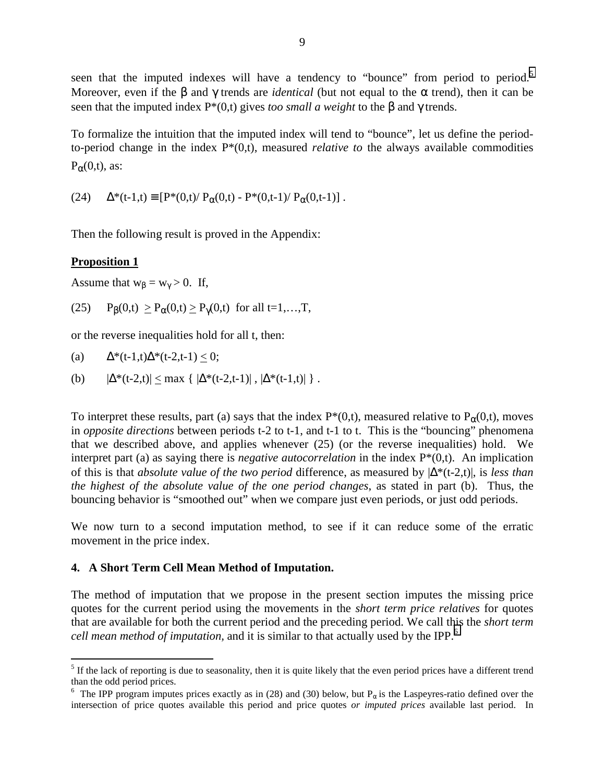seen that the imputed indexes will have a tendency to "bounce" from period to period.<sup>5</sup> Moreover, even if the  $\beta$  and  $\gamma$  trends are *identical* (but not equal to the  $\alpha$  trend), then it can be seen that the imputed index P\*(0,t) gives *too small a weight* to the β and γ trends.

To formalize the intuition that the imputed index will tend to "bounce", let us define the periodto-period change in the index P\*(0,t), measured *relative to* the always available commodities  $P_\alpha(0,t)$ , as:

(24)  $\Delta^*(t-1,t) \equiv [P^*(0,t)/P_{\alpha}(0,t) - P^*(0,t-1)/P_{\alpha}(0,t-1)]$ .

Then the following result is proved in the Appendix:

## **Proposition 1**

 $\overline{a}$ 

Assume that  $w_\beta = w_\gamma > 0$ . If,

(25)  $P_{\beta}(0,t) \geq P_{\alpha}(0,t) \geq P_{\gamma}(0,t)$  for all t=1,...,T,

or the reverse inequalities hold for all t, then:

(a)  $\Delta^*(t-1,t)\Delta^*(t-2,t-1) \leq 0;$ 

(b)  $|\Delta^*(t-2,t)| < \max \{ |\Delta^*(t-2,t-1)|, |\Delta^*(t-1,t)| \}$ .

To interpret these results, part (a) says that the index  $P^*(0,t)$ , measured relative to  $P_\alpha(0,t)$ , moves in *opposite directions* between periods t-2 to t-1, and t-1 to t. This is the "bouncing" phenomena that we described above, and applies whenever (25) (or the reverse inequalities) hold. We interpret part (a) as saying there is *negative autocorrelation* in the index P\*(0,t). An implication of this is that *absolute value of the two period* difference, as measured by |∆\*(t-2,t)|, is *less than the highest of the absolute value of the one period changes*, as stated in part (b). Thus, the bouncing behavior is "smoothed out" when we compare just even periods, or just odd periods.

We now turn to a second imputation method, to see if it can reduce some of the erratic movement in the price index.

### **4. A Short Term Cell Mean Method of Imputation.**

The method of imputation that we propose in the present section imputes the missing price quotes for the current period using the movements in the *short term price relatives* for quotes that are available for both the current period and the preceding period. We call this the *short term cell mean method of imputation, and it is similar to that actually used by the IPP.*<sup>6</sup>

 $<sup>5</sup>$  If the lack of reporting is due to seasonality, then it is quite likely that the even period prices have a different trend</sup> than the odd period prices.

<sup>&</sup>lt;sup>6</sup> The IPP program imputes prices exactly as in (28) and (30) below, but  $P_\alpha$  is the Laspeyres-ratio defined over the intersection of price quotes available this period and price quotes *or imputed prices* available last period. In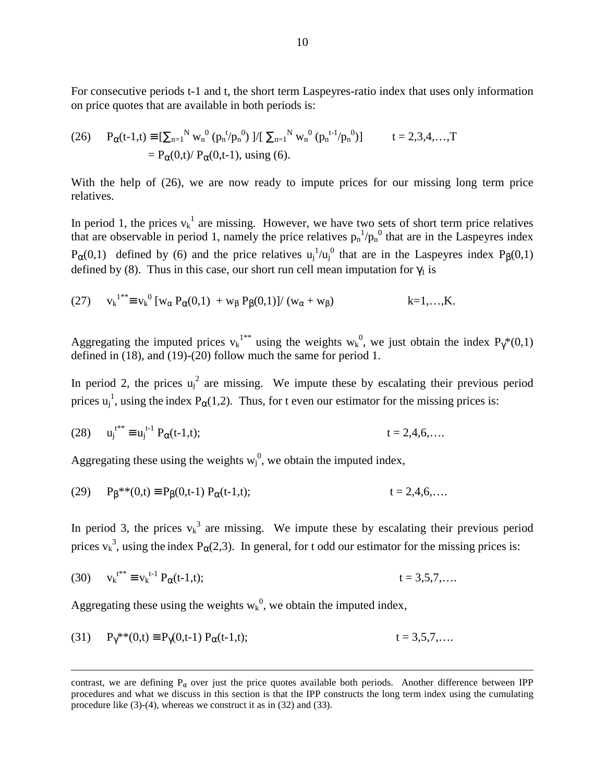For consecutive periods t-1 and t, the short term Laspeyres-ratio index that uses only information on price quotes that are available in both periods is:

(26) 
$$
P_{\alpha}(t-1,t) = \left[\sum_{n=1}^{N} w_n^{0} (p_n^{t/p_n^{0}}) \right] / \left[\sum_{n=1}^{N} w_n^{0} (p_n^{t-1/p_n^{0}}) \right] \qquad t = 2,3,4,...,T
$$

$$
= P_{\alpha}(0,t) / P_{\alpha}(0,t-1), \text{ using (6)}.
$$

With the help of (26), we are now ready to impute prices for our missing long term price relatives.

In period 1, the prices  $v_k^1$  are missing. However, we have two sets of short term price relatives that are observable in period 1, namely the price relatives  $p_n^{-1}/p_n^0$  that are in the Laspeyres index  $P_{\alpha}(0,1)$  defined by (6) and the price relatives  $u_j^{-1}/u_j^{0}$  that are in the Laspeyres index  $P_{\beta}(0,1)$ defined by (8). Thus in this case, our short run cell mean imputation for  $\gamma_1$  is

(27) 
$$
v_k^{1^{**}} \equiv v_k^0 [w_\alpha P_\alpha(0,1) + w_\beta P_\beta(0,1)] / (w_\alpha + w_\beta)
$$
 k=1,...,K.

Aggregating the imputed prices  $v_k^{1**}$  using the weights  $w_k^0$ , we just obtain the index  $P_\gamma^*(0,1)$ defined in (18), and (19)-(20) follow much the same for period 1.

In period 2, the prices  $u_j^2$  are missing. We impute these by escalating their previous period prices  $u_j^1$ , using the index  $P_\alpha(1,2)$ . Thus, for t even our estimator for the missing prices is:

(28) 
$$
u_j^{t^{**}} \equiv u_j^{t-1} P_{\alpha}(t-1,t);
$$
  $t = 2,4,6,...$ 

Aggregating these using the weights  $w_j^0$ , we obtain the imputed index,

(29) 
$$
P_{\beta}^{**}(0,t) \equiv P_{\beta}(0,t-1) P_{\alpha}(t-1,t);
$$
  $t = 2,4,6,...$ 

In period 3, the prices  $v_k^3$  are missing. We impute these by escalating their previous period prices  $v_k^3$ , using the index  $P_\alpha(2,3)$ . In general, for t odd our estimator for the missing prices is:

(30) 
$$
v_k^{t^{**}} \equiv v_k^{t-1} P_{\alpha}(t-1,t);
$$
  $t = 3,5,7,...$ 

Aggregating these using the weights  $w_k^0$ , we obtain the imputed index,

 $\overline{a}$ 

(31) 
$$
P_{\gamma}^{**}(0,t) \equiv P_{\gamma}(0,t-1) P_{\alpha}(t-1,t);
$$
  $t = 3,5,7,...$ 

contrast, we are defining  $P_{\alpha}$  over just the price quotes available both periods. Another difference between IPP procedures and what we discuss in this section is that the IPP constructs the long term index using the cumulating procedure like (3)-(4), whereas we construct it as in (32) and (33).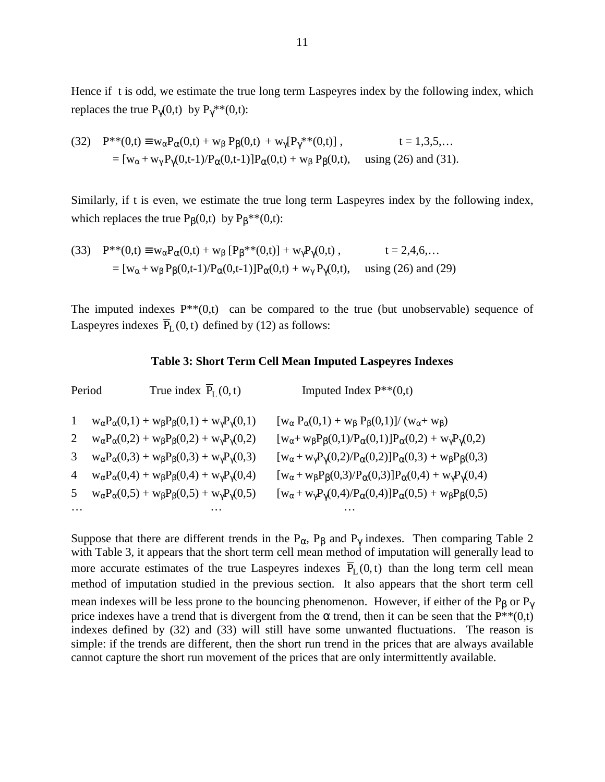Hence if t is odd, we estimate the true long term Laspeyres index by the following index, which replaces the true  $P_{\gamma}(0,t)$  by  $P_{\gamma}^{**}(0,t)$ :

(32) 
$$
P^{**}(0,t) \equiv w_{\alpha}P_{\alpha}(0,t) + w_{\beta}P_{\beta}(0,t) + w_{\gamma}[P_{\gamma}^{**}(0,t)], \qquad t = 1,3,5,...
$$
  
=  $[w_{\alpha} + w_{\gamma}P_{\gamma}(0,t-1)/P_{\alpha}(0,t-1)]P_{\alpha}(0,t) + w_{\beta}P_{\beta}(0,t), \qquad \text{using (26) and (31).}$ 

Similarly, if t is even, we estimate the true long term Laspeyres index by the following index, which replaces the true  $P_\beta(0,t)$  by  $P_\beta^{**}(0,t)$ :

(33) 
$$
P^{**}(0,t) \equiv w_{\alpha}P_{\alpha}(0,t) + w_{\beta} [P_{\beta}^{**}(0,t)] + w_{\gamma}P_{\gamma}(0,t), \qquad t = 2,4,6,...
$$
  
=  $[w_{\alpha} + w_{\beta}P_{\beta}(0,t-1)/P_{\alpha}(0,t-1)]P_{\alpha}(0,t) + w_{\gamma}P_{\gamma}(0,t), \qquad \text{using (26) and (29)}$ 

The imputed indexes  $P^{**}(0,t)$  can be compared to the true (but unobservable) sequence of Laspeyres indexes  $\overline{P}_{L}(0, t)$  defined by (12) as follows:

#### **Table 3: Short Term Cell Mean Imputed Laspeyres Indexes**

| Period         | True index $P_L(0, t)$                                                            | Imputed Index $P^{**}(0,t)$                                                                         |
|----------------|-----------------------------------------------------------------------------------|-----------------------------------------------------------------------------------------------------|
| $\mathbf{1}$   | $w_{\alpha}P_{\alpha}(0,1) + w_{\beta}P_{\beta}(0,1) + w_{\gamma}P_{\gamma}(0,1)$ | $[w_{\alpha} P_{\alpha}(0,1) + w_{\beta} P_{\beta}(0,1)] / (w_{\alpha} + w_{\beta})$                |
| 2              | $w_{\alpha}P_{\alpha}(0,2) + w_{\beta}P_{\beta}(0,2) + w_{\gamma}P_{\gamma}(0,2)$ | $[w_{\alpha}+w_{\beta}P_{\beta}(0,1)/P_{\alpha}(0,1)]P_{\alpha}(0,2) + w_{\gamma}P_{\gamma}(0,2)$   |
| 3              | $w_{\alpha}P_{\alpha}(0,3) + w_{\beta}P_{\beta}(0,3) + w_{\gamma}P_{\gamma}(0,3)$ | $[w_{\alpha} + w_{\gamma}P_{\gamma}(0,2)/P_{\alpha}(0,2)]P_{\alpha}(0,3) + w_{\beta}P_{\beta}(0,3)$ |
| $\overline{4}$ | $w_{\alpha}P_{\alpha}(0,4) + w_{\beta}P_{\beta}(0,4) + w_{\gamma}P_{\gamma}(0,4)$ | $[w_{\alpha} + w_{\beta}P_{\beta}(0,3)/P_{\alpha}(0,3)]P_{\alpha}(0,4) + w_{\gamma}P_{\gamma}(0,4)$ |
| 5 <sup>5</sup> | $w_{\alpha}P_{\alpha}(0,5) + w_{\beta}P_{\beta}(0,5) + w_{\gamma}P_{\gamma}(0,5)$ | $[w_{\alpha} + w_{\gamma}P_{\gamma}(0,4)/P_{\alpha}(0,4)]P_{\alpha}(0,5) + w_{\beta}P_{\beta}(0,5)$ |
|                |                                                                                   |                                                                                                     |

Suppose that there are different trends in the  $P_{\alpha}$ ,  $P_{\beta}$  and  $P_{\gamma}$  indexes. Then comparing Table 2 with Table 3, it appears that the short term cell mean method of imputation will generally lead to more accurate estimates of the true Laspeyres indexes  $\overline{P}_L(0,t)$  than the long term cell mean method of imputation studied in the previous section. It also appears that the short term cell mean indexes will be less prone to the bouncing phenomenon. However, if either of the P<sub>β</sub> or P<sub>γ</sub> price indexes have a trend that is divergent from the  $\alpha$  trend, then it can be seen that the  $P^{**}(0,t)$ indexes defined by (32) and (33) will still have some unwanted fluctuations. The reason is simple: if the trends are different, then the short run trend in the prices that are always available cannot capture the short run movement of the prices that are only intermittently available.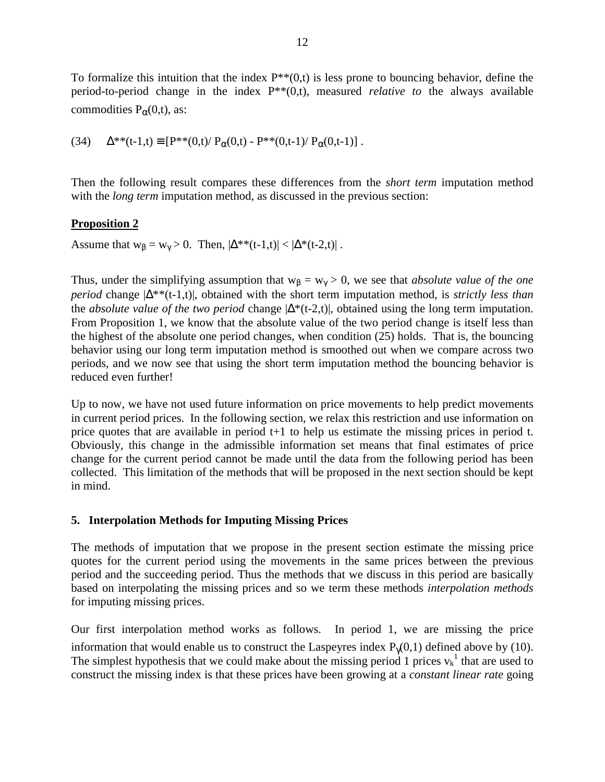To formalize this intuition that the index  $P^{**}(0,t)$  is less prone to bouncing behavior, define the period-to-period change in the index P\*\*(0,t), measured *relative to* the always available commodities  $P_\alpha(0,t)$ , as:

(34) 
$$
\Delta^{**}(t-1,t) \equiv [P^{**}(0,t)/ P_{\alpha}(0,t) - P^{**}(0,t-1)/ P_{\alpha}(0,t-1)] .
$$

Then the following result compares these differences from the *short term* imputation method with the *long term* imputation method, as discussed in the previous section:

### **Proposition 2**

Assume that  $w_{\beta} = w_{\gamma} > 0$ . Then,  $|\Delta^{**}(t-1,t)| < |\Delta^{*}(t-2,t)|$ .

Thus, under the simplifying assumption that  $w_\beta = w_\gamma > 0$ , we see that *absolute value of the one period* change  $|\Delta^{**}(t-1,t)|$ , obtained with the short term imputation method, is *strictly less than* the *absolute value of the two period* change |∆\*(t-2,t)|, obtained using the long term imputation. From Proposition 1, we know that the absolute value of the two period change is itself less than the highest of the absolute one period changes, when condition (25) holds. That is, the bouncing behavior using our long term imputation method is smoothed out when we compare across two periods, and we now see that using the short term imputation method the bouncing behavior is reduced even further!

Up to now, we have not used future information on price movements to help predict movements in current period prices. In the following section, we relax this restriction and use information on price quotes that are available in period t+1 to help us estimate the missing prices in period t. Obviously, this change in the admissible information set means that final estimates of price change for the current period cannot be made until the data from the following period has been collected. This limitation of the methods that will be proposed in the next section should be kept in mind.

### **5. Interpolation Methods for Imputing Missing Prices**

The methods of imputation that we propose in the present section estimate the missing price quotes for the current period using the movements in the same prices between the previous period and the succeeding period. Thus the methods that we discuss in this period are basically based on interpolating the missing prices and so we term these methods *interpolation methods* for imputing missing prices.

Our first interpolation method works as follows. In period 1, we are missing the price information that would enable us to construct the Laspeyres index  $P_{\gamma}(0,1)$  defined above by (10). The simplest hypothesis that we could make about the missing period 1 prices  $v_k^1$  that are used to construct the missing index is that these prices have been growing at a *constant linear rate* going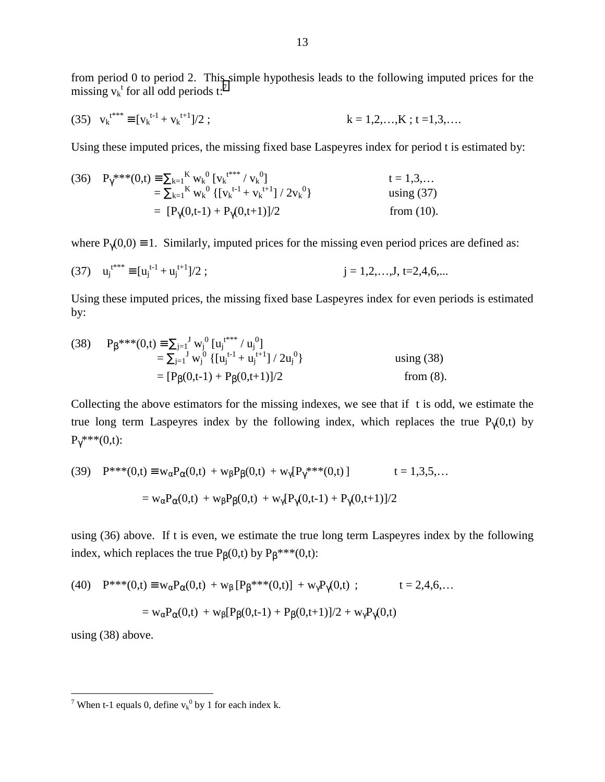from period 0 to period 2. This simple hypothesis leads to the following imputed prices for the missing  $v_k^t$  for all odd periods t:<sup>7</sup>

(35) 
$$
v_k^{t^{***}} \equiv [v_k^{t-1} + v_k^{t+1}]/2
$$
;  $k = 1, 2, ..., K; t = 1, 3, ...$ 

Using these imputed prices, the missing fixed base Laspeyres index for period t is estimated by:

(36) 
$$
P_{\gamma}^{***}(0,t) = \sum_{k=1}^{K} w_{k}^{0} [v_{k}^{t***} / v_{k}^{0}]
$$
  
\n
$$
= \sum_{k=1}^{K} w_{k}^{0} \{ [v_{k}^{t-1} + v_{k}^{t+1}] / 2v_{k}^{0} \}
$$
  
\n
$$
= [P_{\gamma}(0,t-1) + P_{\gamma}(0,t+1)]/2
$$
 from (10).

where  $P_{\gamma}(0,0) \equiv 1$ . Similarly, imputed prices for the missing even period prices are defined as:

(37) 
$$
u_j^{t^{**}} \equiv [u_j^{t-1} + u_j^{t+1}]/2
$$
;  $j = 1, 2, ..., J, t = 2, 4, 6, ...$ 

Using these imputed prices, the missing fixed base Laspeyres index for even periods is estimated by:

(38) 
$$
P_{\beta}^{***}(0,t) = \sum_{j=1}^{J} w_{j}^{0} [u_{j}^{t**} / u_{j}^{0}]
$$
  
\n
$$
= \sum_{j=1}^{J} w_{j}^{0} \{ [u_{j}^{t-1} + u_{j}^{t+1}] / 2u_{j}^{0} \}
$$
 using (38)  
\n
$$
= [P_{\beta}(0,t-1) + P_{\beta}(0,t+1)]/2
$$
 from (8).

Collecting the above estimators for the missing indexes, we see that if t is odd, we estimate the true long term Laspeyres index by the following index, which replaces the true  $P_{\gamma}(0,t)$  by  $P_{\gamma}$ \*\*\* $(0,t)$ :

(39) 
$$
P^{***}(0,t) \equiv w_{\alpha}P_{\alpha}(0,t) + w_{\beta}P_{\beta}(0,t) + w_{\gamma}[P_{\gamma}^{***}(0,t)]
$$
  $t = 1,3,5,...$   

$$
= w_{\alpha}P_{\alpha}(0,t) + w_{\beta}P_{\beta}(0,t) + w_{\gamma}[P_{\gamma}(0,t-1) + P_{\gamma}(0,t+1)]/2
$$

using (36) above. If t is even, we estimate the true long term Laspeyres index by the following index, which replaces the true  $P_B(0,t)$  by  $P_B^{***}(0,t)$ :

(40) 
$$
P^{***}(0,t) \equiv w_{\alpha}P_{\alpha}(0,t) + w_{\beta}[P_{\beta}^{***}(0,t)] + w_{\gamma}P_{\gamma}(0,t) ;
$$
  $t = 2,4,6,...$   

$$
= w_{\alpha}P_{\alpha}(0,t) + w_{\beta}[P_{\beta}(0,t-1) + P_{\beta}(0,t+1)]/2 + w_{\gamma}P_{\gamma}(0,t)
$$

using (38) above.

<sup>&</sup>lt;sup>7</sup> When t-1 equals 0, define  $v_k^0$  by 1 for each index k.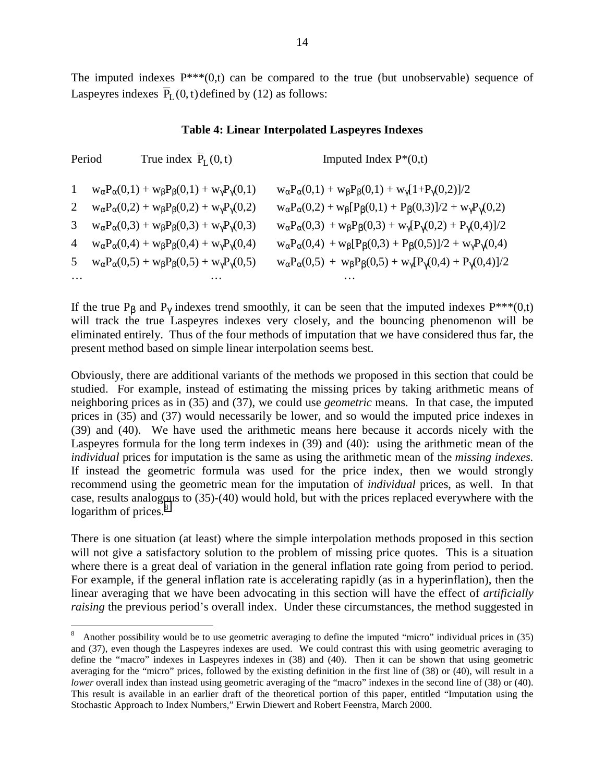The imputed indexes  $P^{***}(0,t)$  can be compared to the true (but unobservable) sequence of Laspeyres indexes  $\overline{P}_{L}(0, t)$  defined by (12) as follows:

#### **Table 4: Linear Interpolated Laspeyres Indexes**

| Period         | True index $\overline{P}_{I}(0,t)$                                                | Imputed Index $P*(0,t)$                                                                                 |
|----------------|-----------------------------------------------------------------------------------|---------------------------------------------------------------------------------------------------------|
| $\mathbf{1}$   | $w_{\alpha}P_{\alpha}(0,1) + w_{\beta}P_{\beta}(0,1) + w_{\gamma}P_{\gamma}(0,1)$ | $w_{\alpha}P_{\alpha}(0,1) + w_{\beta}P_{\beta}(0,1) + w_{\gamma}[1+P_{\gamma}(0,2)]/2$                 |
| $\overline{2}$ | $w_{\alpha}P_{\alpha}(0,2) + w_{\beta}P_{\beta}(0,2) + w_{\gamma}P_{\gamma}(0,2)$ | $w_{\alpha}P_{\alpha}(0,2) + w_{\beta}[P_{\beta}(0,1) + P_{\beta}(0,3)]/2 + w_{\gamma}P_{\gamma}(0,2)$  |
| 3              | $w_{\alpha}P_{\alpha}(0,3) + w_{\beta}P_{\beta}(0,3) + w_{\gamma}P_{\gamma}(0,3)$ | $w_{\alpha}P_{\alpha}(0,3) + w_{\beta}P_{\beta}(0,3) + w_{\gamma}[P_{\gamma}(0,2) + P_{\gamma}(0,4)]/2$ |
| 4              | $w_{\alpha}P_{\alpha}(0,4) + w_{\beta}P_{\beta}(0,4) + w_{\gamma}P_{\gamma}(0,4)$ | $w_{\alpha}P_{\alpha}(0,4) + w_{\beta}[P_{\beta}(0,3) + P_{\beta}(0,5)]/2 + w_{\gamma}P_{\gamma}(0,4)$  |
| 5              | $w_{\alpha}P_{\alpha}(0,5) + w_{\beta}P_{\beta}(0,5) + w_{\gamma}P_{\gamma}(0,5)$ | $w_{\alpha}P_{\alpha}(0,5) + w_{\beta}P_{\beta}(0,5) + w_{\gamma}[P_{\gamma}(0,4) + P_{\gamma}(0,4)]/2$ |
| $\cdots$       |                                                                                   |                                                                                                         |

If the true P<sub>β</sub> and P<sub>γ</sub> indexes trend smoothly, it can be seen that the imputed indexes P<sup>\*\*\*</sup>(0,t) will track the true Laspeyres indexes very closely, and the bouncing phenomenon will be eliminated entirely. Thus of the four methods of imputation that we have considered thus far, the present method based on simple linear interpolation seems best.

Obviously, there are additional variants of the methods we proposed in this section that could be studied. For example, instead of estimating the missing prices by taking arithmetic means of neighboring prices as in (35) and (37), we could use *geometric* means. In that case, the imputed prices in (35) and (37) would necessarily be lower, and so would the imputed price indexes in (39) and (40). We have used the arithmetic means here because it accords nicely with the Laspeyres formula for the long term indexes in (39) and (40): using the arithmetic mean of the *individual* prices for imputation is the same as using the arithmetic mean of the *missing indexes.* If instead the geometric formula was used for the price index, then we would strongly recommend using the geometric mean for the imputation of *individual* prices, as well. In that case, results analogous to (35)-(40) would hold, but with the prices replaced everywhere with the logarithm of prices.<sup>8</sup>

There is one situation (at least) where the simple interpolation methods proposed in this section will not give a satisfactory solution to the problem of missing price quotes. This is a situation where there is a great deal of variation in the general inflation rate going from period to period. For example, if the general inflation rate is accelerating rapidly (as in a hyperinflation), then the linear averaging that we have been advocating in this section will have the effect of *artificially raising* the previous period's overall index. Under these circumstances, the method suggested in

 $\overline{a}$ 

<sup>8</sup> Another possibility would be to use geometric averaging to define the imputed "micro" individual prices in (35) and (37), even though the Laspeyres indexes are used. We could contrast this with using geometric averaging to define the "macro" indexes in Laspeyres indexes in (38) and (40). Then it can be shown that using geometric averaging for the "micro" prices, followed by the existing definition in the first line of (38) or (40), will result in a *lower* overall index than instead using geometric averaging of the "macro" indexes in the second line of (38) or (40). This result is available in an earlier draft of the theoretical portion of this paper, entitled "Imputation using the Stochastic Approach to Index Numbers," Erwin Diewert and Robert Feenstra, March 2000.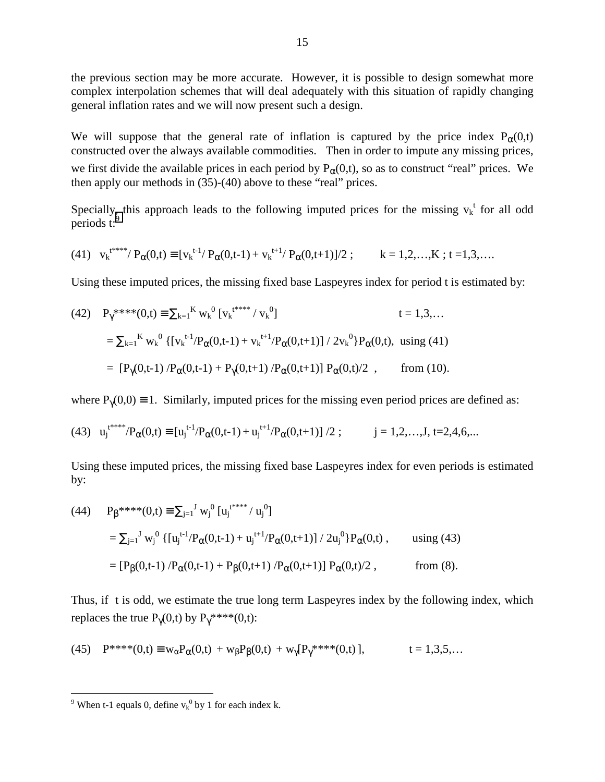the previous section may be more accurate. However, it is possible to design somewhat more complex interpolation schemes that will deal adequately with this situation of rapidly changing general inflation rates and we will now present such a design.

We will suppose that the general rate of inflation is captured by the price index  $P_0(0,t)$ constructed over the always available commodities. Then in order to impute any missing prices,

we first divide the available prices in each period by  $P_{\alpha}(0,t)$ , so as to construct "real" prices. We then apply our methods in (35)-(40) above to these "real" prices.

Specially, this approach leads to the following imputed prices for the missing  $v_k^t$  for all odd periods t:<sup>9</sup>

(41) 
$$
v_k^{t^{***}}/P_{\alpha}(0,t) \equiv [v_k^{t-1}/P_{\alpha}(0,t-1) + v_k^{t+1}/P_{\alpha}(0,t+1)]/2
$$
;  $k = 1,2,...,K$ ;  $t = 1,3,...$ 

Using these imputed prices, the missing fixed base Laspeyres index for period t is estimated by:

(42) 
$$
P_{\gamma}^{****}(0,t) = \sum_{k=1}^{K} w_{k}^{0} [v_{k}^{****} / v_{k}^{0}] \qquad t = 1,3,...
$$

$$
= \sum_{k=1}^{K} w_{k}^{0} \{ [v_{k}^{t-1}/P_{\alpha}(0,t-1) + v_{k}^{t+1}/P_{\alpha}(0,t+1)] / 2v_{k}^{0} \} P_{\alpha}(0,t), \text{ using (41)}
$$

$$
= [P_{\gamma}(0,t-1) / P_{\alpha}(0,t-1) + P_{\gamma}(0,t+1) / P_{\alpha}(0,t+1)] P_{\alpha}(0,t)/2 , \qquad \text{from (10)}.
$$

where  $P_{\gamma}(0,0) \equiv 1$ . Similarly, imputed prices for the missing even period prices are defined as:

(43) 
$$
u_j^{t^{***}}/P_\alpha(0,t) \equiv [u_j^{t-1}/P_\alpha(0,t-1) + u_j^{t+1}/P_\alpha(0,t+1)]/2
$$
;  $j = 1,2,...,J, t = 2,4,6,...$ 

Using these imputed prices, the missing fixed base Laspeyres index for even periods is estimated by:

(44) 
$$
P_{\beta}^{***}(0,t) = \sum_{j=1}^{J} w_{j}^{0} [u_{j}^{t***}/u_{j}^{0}]
$$
  
\n
$$
= \sum_{j=1}^{J} w_{j}^{0} \{ [u_{j}^{t-1}/P_{\alpha}(0,t-1) + u_{j}^{t+1}/P_{\alpha}(0,t+1)] / 2u_{j}^{0} \} P_{\alpha}(0,t), \text{ using (43)}
$$
  
\n
$$
= [P_{\beta}(0,t-1) / P_{\alpha}(0,t-1) + P_{\beta}(0,t+1) / P_{\alpha}(0,t+1)] P_{\alpha}(0,t)/2, \text{ from (8)}.
$$

Thus, if t is odd, we estimate the true long term Laspeyres index by the following index, which replaces the true  $P_{\gamma}(0,t)$  by  $P_{\gamma}$ \*\*\*\* $(0,t)$ :

(45) 
$$
P^{***}(0,t) \equiv w_{\alpha}P_{\alpha}(0,t) + w_{\beta}P_{\beta}(0,t) + w_{\gamma}[P_{\gamma}^{***}(0,t)],
$$
  $t = 1,3,5,...$ 

<sup>&</sup>lt;sup>9</sup> When t-1 equals 0, define  $v_k^0$  by 1 for each index k.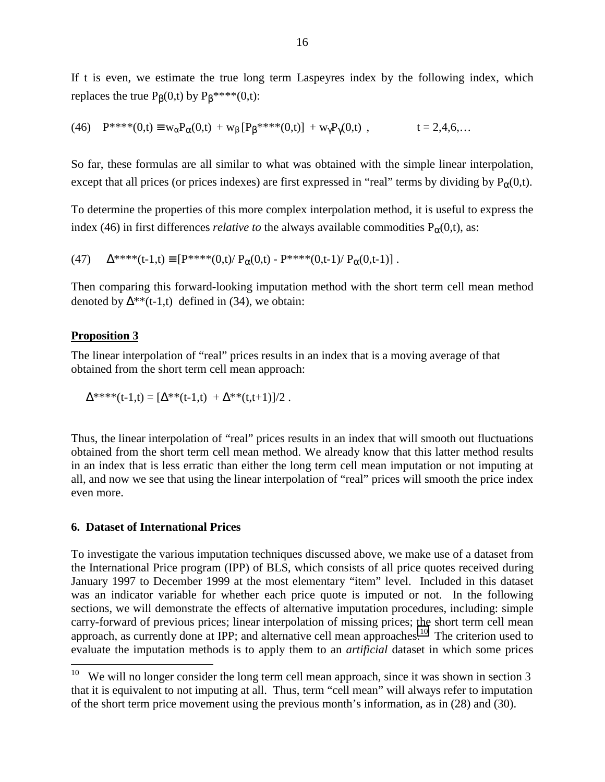If t is even, we estimate the true long term Laspeyres index by the following index, which replaces the true  $P_B(0,t)$  by  $P_B^{***}(0,t)$ :

(46) 
$$
P^{***}(0,t) \equiv w_{\alpha}P_{\alpha}(0,t) + w_{\beta}[P_{\beta}^{***}(0,t)] + w_{\gamma}P_{\gamma}(0,t)
$$
,  $t = 2,4,6,...$ 

So far, these formulas are all similar to what was obtained with the simple linear interpolation, except that all prices (or prices indexes) are first expressed in "real" terms by dividing by  $P_{\alpha}(0,t)$ .

To determine the properties of this more complex interpolation method, it is useful to express the index (46) in first differences *relative to* the always available commodities  $P_{\alpha}(0,t)$ , as:

(47)  $\Delta^{***}(t-1,t) \equiv [P^{***}(0,t)/ P_{\alpha}(0,t) - P^{***}(0,t-1)/ P_{\alpha}(0,t-1)]$ .

Then comparing this forward-looking imputation method with the short term cell mean method denoted by  $\Delta^{**}(t-1,t)$  defined in (34), we obtain:

#### **Proposition 3**

 $\overline{a}$ 

The linear interpolation of "real" prices results in an index that is a moving average of that obtained from the short term cell mean approach:

$$
\Delta^{****}(t-1,t) = [\Delta^{**}(t-1,t) + \Delta^{**}(t,t+1)]/2.
$$

Thus, the linear interpolation of "real" prices results in an index that will smooth out fluctuations obtained from the short term cell mean method. We already know that this latter method results in an index that is less erratic than either the long term cell mean imputation or not imputing at all, and now we see that using the linear interpolation of "real" prices will smooth the price index even more.

#### **6. Dataset of International Prices**

To investigate the various imputation techniques discussed above, we make use of a dataset from the International Price program (IPP) of BLS, which consists of all price quotes received during January 1997 to December 1999 at the most elementary "item" level. Included in this dataset was an indicator variable for whether each price quote is imputed or not. In the following sections, we will demonstrate the effects of alternative imputation procedures, including: simple carry-forward of previous prices; linear interpolation of missing prices; the short term cell mean approach, as currently done at IPP; and alternative cell mean approaches.<sup>10</sup> The criterion used to evaluate the imputation methods is to apply them to an *artificial* dataset in which some prices

<sup>&</sup>lt;sup>10</sup> We will no longer consider the long term cell mean approach, since it was shown in section 3 that it is equivalent to not imputing at all. Thus, term "cell mean" will always refer to imputation of the short term price movement using the previous month's information, as in (28) and (30).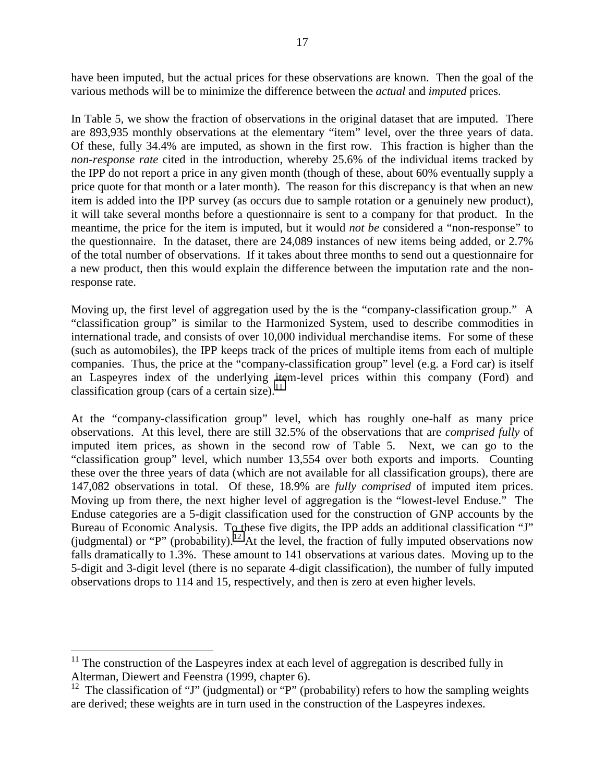have been imputed, but the actual prices for these observations are known. Then the goal of the various methods will be to minimize the difference between the *actual* and *imputed* prices.

In Table 5, we show the fraction of observations in the original dataset that are imputed. There are 893,935 monthly observations at the elementary "item" level, over the three years of data. Of these, fully 34.4% are imputed, as shown in the first row. This fraction is higher than the *non-response rate* cited in the introduction, whereby 25.6% of the individual items tracked by the IPP do not report a price in any given month (though of these, about 60% eventually supply a price quote for that month or a later month). The reason for this discrepancy is that when an new item is added into the IPP survey (as occurs due to sample rotation or a genuinely new product), it will take several months before a questionnaire is sent to a company for that product. In the meantime, the price for the item is imputed, but it would *not be* considered a "non-response" to the questionnaire. In the dataset, there are 24,089 instances of new items being added, or 2.7% of the total number of observations. If it takes about three months to send out a questionnaire for a new product, then this would explain the difference between the imputation rate and the nonresponse rate.

Moving up, the first level of aggregation used by the is the "company-classification group." A "classification group" is similar to the Harmonized System, used to describe commodities in international trade, and consists of over 10,000 individual merchandise items. For some of these (such as automobiles), the IPP keeps track of the prices of multiple items from each of multiple companies. Thus, the price at the "company-classification group" level (e.g. a Ford car) is itself an Laspeyres index of the underlying item-level prices within this company (Ford) and classification group (cars of a certain size). $^{11}$ 

At the "company-classification group" level, which has roughly one-half as many price observations. At this level, there are still 32.5% of the observations that are *comprised fully* of imputed item prices, as shown in the second row of Table 5. Next, we can go to the "classification group" level, which number 13,554 over both exports and imports. Counting these over the three years of data (which are not available for all classification groups), there are 147,082 observations in total. Of these, 18.9% are *fully comprised* of imputed item prices. Moving up from there, the next higher level of aggregation is the "lowest-level Enduse." The Enduse categories are a 5-digit classification used for the construction of GNP accounts by the Bureau of Economic Analysis. To these five digits, the IPP adds an additional classification "J" (judgmental) or "P" (probability).<sup>12</sup> At the level, the fraction of fully imputed observations now falls dramatically to 1.3%. These amount to 141 observations at various dates. Moving up to the 5-digit and 3-digit level (there is no separate 4-digit classification), the number of fully imputed observations drops to 114 and 15, respectively, and then is zero at even higher levels.

 $\overline{a}$ 

 $11$  The construction of the Laspeyres index at each level of aggregation is described fully in Alterman, Diewert and Feenstra (1999, chapter 6).

<sup>&</sup>lt;sup>12</sup> The classification of "J" (judgmental) or "P" (probability) refers to how the sampling weights are derived; these weights are in turn used in the construction of the Laspeyres indexes.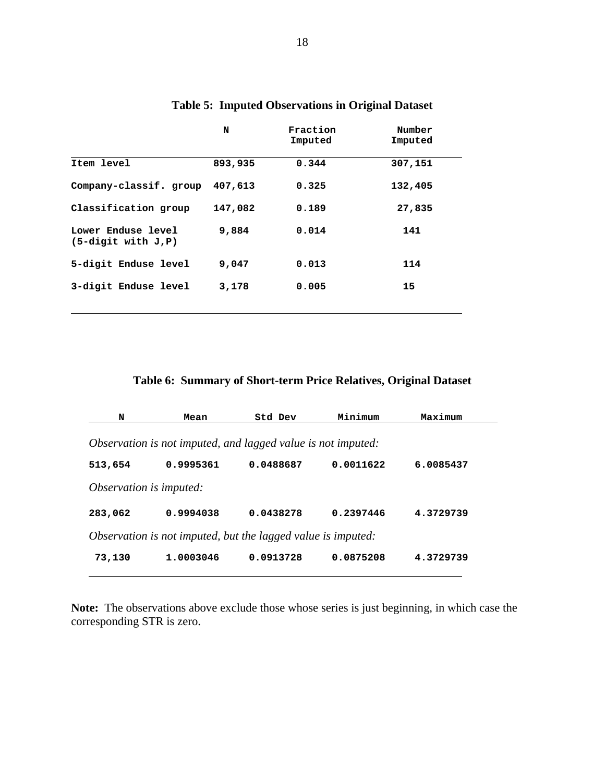|                                            | N       | Fraction<br>Imputed | Number<br>Imputed |
|--------------------------------------------|---------|---------------------|-------------------|
| Item level                                 | 893,935 | 0.344               | 307,151           |
| Company-classif. group                     | 407,613 | 0.325               | 132,405           |
| Classification group                       | 147,082 | 0.189               | 27,835            |
| Lower Enduse level<br>$(5-digit with J.P)$ | 9,884   | 0.014               | 141               |
| 5-digit Enduse level                       | 9,047   | 0.013               | 114               |
| 3-digit Enduse level                       | 3,178   | 0.005               | 15                |

# **Table 5: Imputed Observations in Original Dataset**

**Table 6: Summary of Short-term Price Relatives, Original Dataset**

| N                                                            | Mean      | Std Dev   | Minimum   | Maximum   |  |  |  |
|--------------------------------------------------------------|-----------|-----------|-----------|-----------|--|--|--|
| Observation is not imputed, and lagged value is not imputed: |           |           |           |           |  |  |  |
| 513,654                                                      | 0.9995361 | 0.0488687 | 0.0011622 | 6.0085437 |  |  |  |
| Observation is imputed:                                      |           |           |           |           |  |  |  |
| 283,062                                                      | 0.9994038 | 0.0438278 | 0.2397446 | 4.3729739 |  |  |  |
| Observation is not imputed, but the lagged value is imputed: |           |           |           |           |  |  |  |
| 73,130                                                       | 1.0003046 | 0.0913728 | 0.0875208 | 4.3729739 |  |  |  |

**Note:** The observations above exclude those whose series is just beginning, in which case the corresponding STR is zero.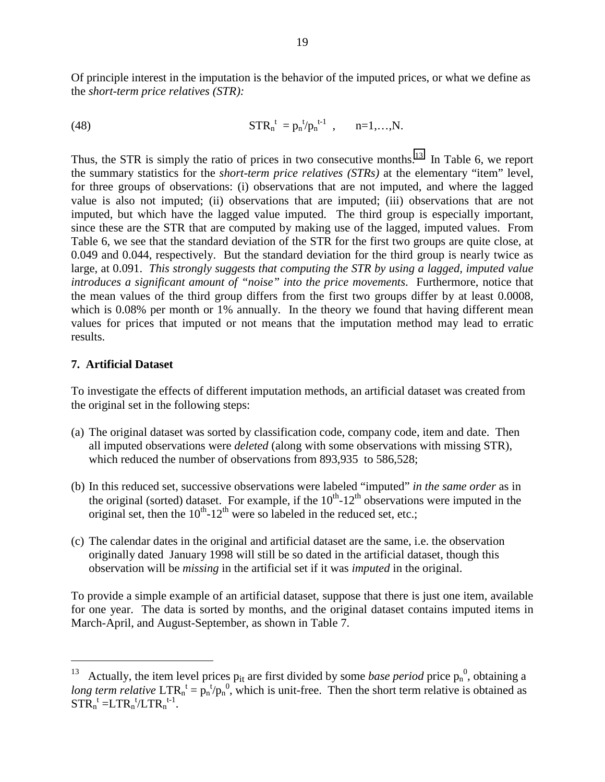Of principle interest in the imputation is the behavior of the imputed prices, or what we define as the *short-term price relatives (STR):*

(48) 
$$
STR_n^{\ t} = p_n^{\ t} / p_n^{\ t-1} \ , \qquad n=1,\ldots,N.
$$

Thus, the STR is simply the ratio of prices in two consecutive months.<sup>13</sup> In Table 6, we report the summary statistics for the *short-term price relatives (STRs)* at the elementary "item" level, for three groups of observations: (i) observations that are not imputed, and where the lagged value is also not imputed; (ii) observations that are imputed; (iii) observations that are not imputed, but which have the lagged value imputed. The third group is especially important, since these are the STR that are computed by making use of the lagged, imputed values. From Table 6, we see that the standard deviation of the STR for the first two groups are quite close, at 0.049 and 0.044, respectively. But the standard deviation for the third group is nearly twice as large, at 0.091. *This strongly suggests that computing the STR by using a lagged, imputed value introduces a significant amount of "noise" into the price movements*. Furthermore, notice that the mean values of the third group differs from the first two groups differ by at least 0.0008, which is 0.08% per month or 1% annually. In the theory we found that having different mean values for prices that imputed or not means that the imputation method may lead to erratic results.

### **7. Artificial Dataset**

 $\overline{a}$ 

To investigate the effects of different imputation methods, an artificial dataset was created from the original set in the following steps:

- (a) The original dataset was sorted by classification code, company code, item and date. Then all imputed observations were *deleted* (along with some observations with missing STR), which reduced the number of observations from 893,935 to 586,528;
- (b) In this reduced set, successive observations were labeled "imputed" *in the same order* as in the original (sorted) dataset. For example, if the  $10<sup>th</sup>$ -12<sup>th</sup> observations were imputed in the original set, then the  $10^{th}$ - $12^{th}$  were so labeled in the reduced set, etc.;
- (c) The calendar dates in the original and artificial dataset are the same, i.e. the observation originally dated January 1998 will still be so dated in the artificial dataset, though this observation will be *missing* in the artificial set if it was *imputed* in the original.

To provide a simple example of an artificial dataset, suppose that there is just one item, available for one year. The data is sorted by months, and the original dataset contains imputed items in March-April, and August-September, as shown in Table 7.

<sup>&</sup>lt;sup>13</sup> Actually, the item level prices  $p_{it}$  are first divided by some *base period* price  $p_n^0$ , obtaining a long term relative  $LTR_n^t = p_n^t/p_n^0$ , which is unit-free. Then the short term relative is obtained as  $\overline{STR}_n^t = LTR_n^t/LTR_n^{t-1}.$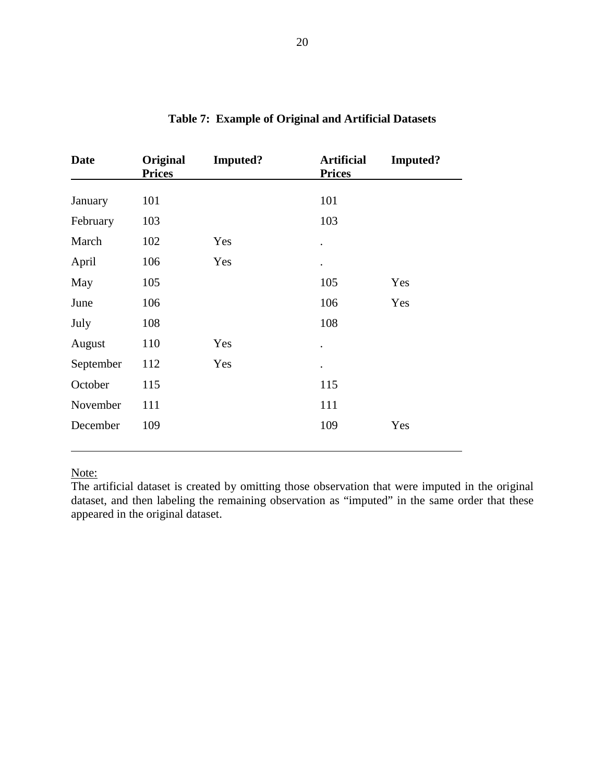| <b>Date</b> | <b>Original</b><br><b>Prices</b> | <b>Imputed?</b> | <b>Artificial</b><br><b>Prices</b> | <b>Imputed?</b> |
|-------------|----------------------------------|-----------------|------------------------------------|-----------------|
| January     | 101                              |                 | 101                                |                 |
| February    | 103                              |                 | 103                                |                 |
| March       | 102                              | Yes             | $\bullet$                          |                 |
| April       | 106                              | Yes             | $\bullet$                          |                 |
| May         | 105                              |                 | 105                                | Yes             |
| June        | 106                              |                 | 106                                | Yes             |
| July        | 108                              |                 | 108                                |                 |
| August      | 110                              | Yes             |                                    |                 |
| September   | 112                              | Yes             |                                    |                 |
| October     | 115                              |                 | 115                                |                 |
| November    | 111                              |                 | 111                                |                 |
| December    | 109                              |                 | 109                                | Yes             |

## **Table 7: Example of Original and Artificial Datasets**

Note:

The artificial dataset is created by omitting those observation that were imputed in the original dataset, and then labeling the remaining observation as "imputed" in the same order that these appeared in the original dataset.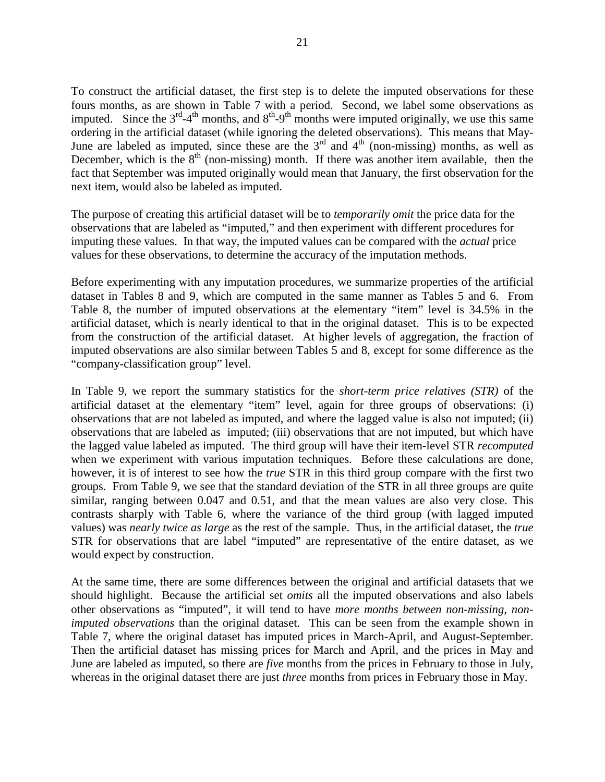To construct the artificial dataset, the first step is to delete the imputed observations for these fours months, as are shown in Table 7 with a period. Second, we label some observations as imputed. Since the  $3<sup>rd</sup>-4<sup>th</sup>$  months, and  $8<sup>th</sup>-9<sup>th</sup>$  months were imputed originally, we use this same ordering in the artificial dataset (while ignoring the deleted observations). This means that May-June are labeled as imputed, since these are the  $3<sup>rd</sup>$  and  $4<sup>th</sup>$  (non-missing) months, as well as December, which is the  $8<sup>th</sup>$  (non-missing) month. If there was another item available, then the fact that September was imputed originally would mean that January, the first observation for the next item, would also be labeled as imputed.

The purpose of creating this artificial dataset will be to *temporarily omit* the price data for the observations that are labeled as "imputed," and then experiment with different procedures for imputing these values. In that way, the imputed values can be compared with the *actual* price values for these observations, to determine the accuracy of the imputation methods.

Before experimenting with any imputation procedures, we summarize properties of the artificial dataset in Tables 8 and 9, which are computed in the same manner as Tables 5 and 6. From Table 8, the number of imputed observations at the elementary "item" level is 34.5% in the artificial dataset, which is nearly identical to that in the original dataset. This is to be expected from the construction of the artificial dataset. At higher levels of aggregation, the fraction of imputed observations are also similar between Tables 5 and 8, except for some difference as the "company-classification group" level.

In Table 9, we report the summary statistics for the *short-term price relatives (STR)* of the artificial dataset at the elementary "item" level, again for three groups of observations: (i) observations that are not labeled as imputed, and where the lagged value is also not imputed; (ii) observations that are labeled as imputed; (iii) observations that are not imputed, but which have the lagged value labeled as imputed. The third group will have their item-level STR *recomputed* when we experiment with various imputation techniques. Before these calculations are done, however, it is of interest to see how the *true* STR in this third group compare with the first two groups. From Table 9, we see that the standard deviation of the STR in all three groups are quite similar, ranging between 0.047 and 0.51, and that the mean values are also very close. This contrasts sharply with Table 6, where the variance of the third group (with lagged imputed values) was *nearly twice as large* as the rest of the sample. Thus, in the artificial dataset, the *true* STR for observations that are label "imputed" are representative of the entire dataset, as we would expect by construction.

At the same time, there are some differences between the original and artificial datasets that we should highlight. Because the artificial set *omits* all the imputed observations and also labels other observations as "imputed", it will tend to have *more months between non-missing, nonimputed observations* than the original dataset. This can be seen from the example shown in Table 7, where the original dataset has imputed prices in March-April, and August-September. Then the artificial dataset has missing prices for March and April, and the prices in May and June are labeled as imputed, so there are *five* months from the prices in February to those in July, whereas in the original dataset there are just *three* months from prices in February those in May.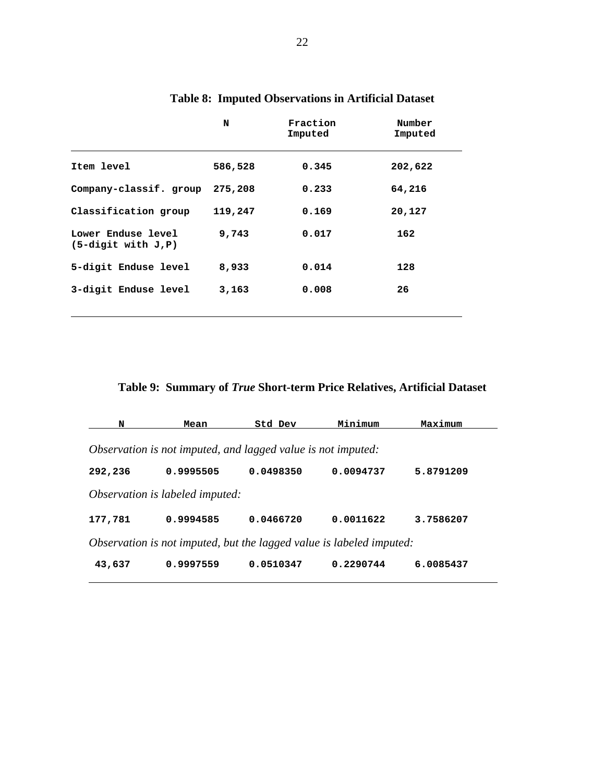|                                            | N       | Fraction<br>Imputed | Number<br>Imputed |
|--------------------------------------------|---------|---------------------|-------------------|
| Item level                                 | 586,528 | 0.345               | 202,622           |
| Company-classif. group                     | 275,208 | 0.233               | 64,216            |
| Classification group                       | 119,247 | 0.169               | 20,127            |
| Lower Enduse level<br>$(5-digit with J.P)$ | 9,743   | 0.017               | 162               |
| 5-digit Enduse level                       | 8,933   | 0.014               | 128               |
| 3-digit Enduse level                       | 3,163   | 0.008               | 26                |

# **Table 8: Imputed Observations in Artificial Dataset**

**Table 9: Summary of** *True* **Short-term Price Relatives, Artificial Dataset**

| N                                                                    | Mean                            | Std Dev   | Minimum   | Maximum   |  |  |
|----------------------------------------------------------------------|---------------------------------|-----------|-----------|-----------|--|--|
| Observation is not imputed, and lagged value is not imputed:         |                                 |           |           |           |  |  |
| 292,236                                                              | 0.9995505                       | 0.0498350 | 0.0094737 | 5.8791209 |  |  |
|                                                                      | Observation is labeled imputed: |           |           |           |  |  |
| 177,781                                                              | 0.9994585                       | 0.0466720 | 0.0011622 | 3.7586207 |  |  |
| Observation is not imputed, but the lagged value is labeled imputed: |                                 |           |           |           |  |  |
| 43,637                                                               | 0.9997559                       | 0.0510347 | 0.2290744 | 6.0085437 |  |  |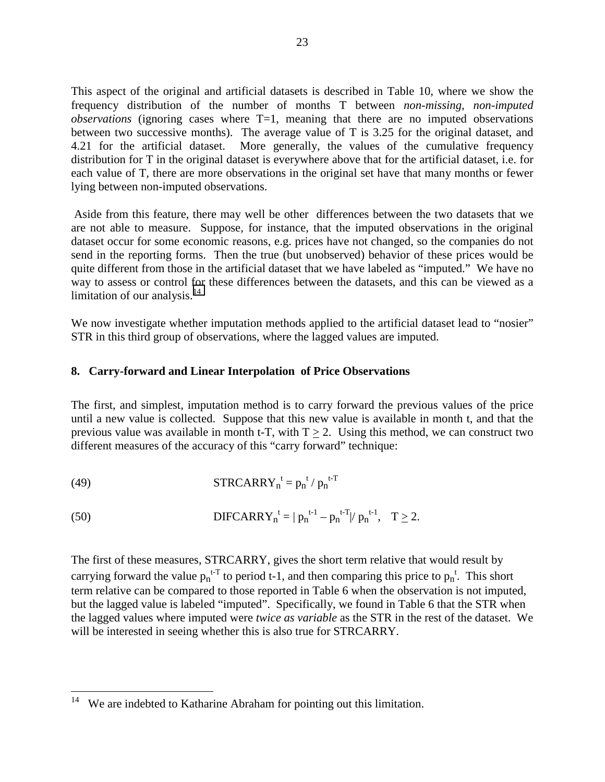This aspect of the original and artificial datasets is described in Table 10, where we show the frequency distribution of the number of months T between *non-missing, non-imputed observations* (ignoring cases where T=1, meaning that there are no imputed observations between two successive months). The average value of T is 3.25 for the original dataset, and 4.21 for the artificial dataset. More generally, the values of the cumulative frequency distribution for T in the original dataset is everywhere above that for the artificial dataset, i.e. for each value of T, there are more observations in the original set have that many months or fewer lying between non-imputed observations.

 Aside from this feature, there may well be other differences between the two datasets that we are not able to measure. Suppose, for instance, that the imputed observations in the original dataset occur for some economic reasons, e.g. prices have not changed, so the companies do not send in the reporting forms. Then the true (but unobserved) behavior of these prices would be quite different from those in the artificial dataset that we have labeled as "imputed." We have no way to assess or control for these differences between the datasets, and this can be viewed as a limitation of our analysis. $14$ 

We now investigate whether imputation methods applied to the artificial dataset lead to "nosier" STR in this third group of observations, where the lagged values are imputed.

#### **8. Carry-forward and Linear Interpolation of Price Observations**

The first, and simplest, imputation method is to carry forward the previous values of the price until a new value is collected. Suppose that this new value is available in month t, and that the previous value was available in month t-T, with  $T > 2$ . Using this method, we can construct two different measures of the accuracy of this "carry forward" technique:

(49) 
$$
\mathbf{STRCARRY}_n^t = p_n^{t} / p_n^{t-T}
$$

1

(50) 
$$
\text{DIFCARRY}_{n}^{t} = |p_{n}^{t-1} - p_{n}^{t-T}|/p_{n}^{t-1}, \quad T \geq 2.
$$

The first of these measures, STRCARRY, gives the short term relative that would result by carrying forward the value  $p_n^{t+T}$  to period t-1, and then comparing this price to  $p_n^t$ . This short term relative can be compared to those reported in Table 6 when the observation is not imputed, but the lagged value is labeled "imputed". Specifically, we found in Table 6 that the STR when the lagged values where imputed were *twice as variable* as the STR in the rest of the dataset. We will be interested in seeing whether this is also true for STRCARRY.

 $14$  We are indebted to Katharine Abraham for pointing out this limitation.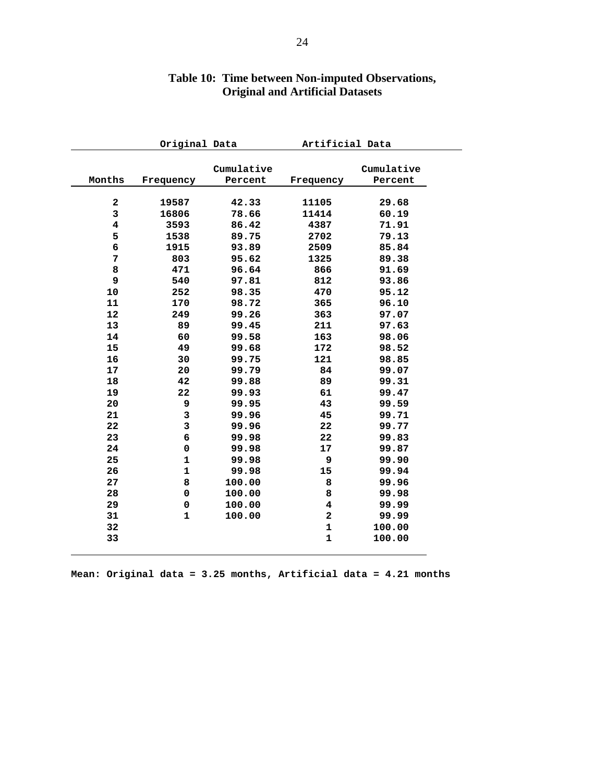|             | Original Data |                       | Artificial Data         |                       |
|-------------|---------------|-----------------------|-------------------------|-----------------------|
| Months      | Frequency     | Cumulative<br>Percent | Frequency               | Cumulative<br>Percent |
|             |               |                       |                         |                       |
| $\mathbf 2$ | 19587         | 42.33                 | 11105                   | 29.68                 |
| 3           | 16806         | 78.66                 | 11414                   | 60.19                 |
| 4           | 3593          | 86.42                 | 4387                    | 71.91                 |
| 5           | 1538          | 89.75                 | 2702                    | 79.13                 |
| $\epsilon$  | 1915          | 93.89                 | 2509                    | 85.84                 |
| 7           | 803           | 95.62                 | 1325                    | 89.38                 |
| 8           | 471           | 96.64                 | 866                     | 91.69                 |
| 9           | 540           | 97.81                 | 812                     | 93.86                 |
| 10          | 252           | 98.35                 | 470                     | 95.12                 |
| 11          | 170           | 98.72                 | 365                     | 96.10                 |
| 12          | 249           | 99.26                 | 363                     | 97.07                 |
| 13          | 89            | 99.45                 | 211                     | 97.63                 |
| 14          | 60            | 99.58                 | 163                     | 98.06                 |
| 15          | 49            | 99.68                 | 172                     | 98.52                 |
| 16          | 30            | 99.75                 | 121                     | 98.85                 |
| 17          | 20            | 99.79                 | 84                      | 99.07                 |
| 18          | 42            | 99.88                 | 89                      | 99.31                 |
| 19          | 22            | 99.93                 | 61                      | 99.47                 |
| 20          | 9             | 99.95                 | 43                      | 99.59                 |
| 21          | 3             | 99.96                 | 45                      | 99.71                 |
| 22          | 3             | 99.96                 | 22                      | 99.77                 |
| 23          | 6             | 99.98                 | 22                      | 99.83                 |
| 24          | 0             | 99.98                 | 17                      | 99.87                 |
| 25          | $\mathbf{1}$  | 99.98                 | 9                       | 99.90                 |
| 26          | $\mathbf{1}$  | 99.98                 | 15                      | 99.94                 |
| 27          | 8             | 100.00                | 8                       | 99.96                 |
| 28          | 0             | 100.00                | 8                       | 99.98                 |
| 29          | $\pmb{0}$     | 100.00                | $\overline{\mathbf{4}}$ | 99.99                 |
| 31          | $\mathbf{1}$  | 100.00                | $\overline{\mathbf{c}}$ | 99.99                 |
| 32          |               |                       | $\mathbf 1$             | 100.00                |
| 33          |               |                       | $\mathbf{1}$            | 100.00                |

# **Table 10: Time between Non-imputed Observations, Original and Artificial Datasets**

**Mean: Original data = 3.25 months, Artificial data = 4.21 months**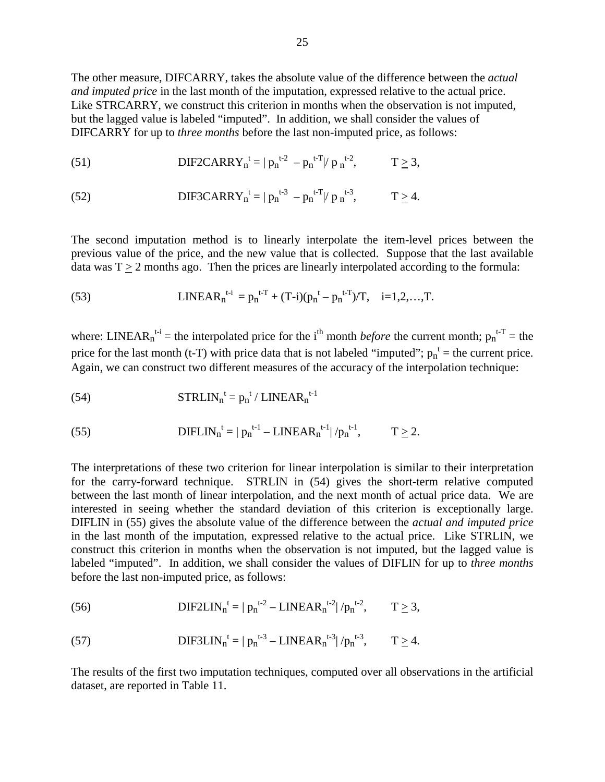The other measure, DIFCARRY, takes the absolute value of the difference between the *actual and imputed price* in the last month of the imputation, expressed relative to the actual price. Like STRCARRY, we construct this criterion in months when the observation is not imputed, but the lagged value is labeled "imputed". In addition, we shall consider the values of DIFCARRY for up to *three months* before the last non-imputed price, as follows:

(51) 
$$
\text{DIF2CARRY}_{n}^{t} = |p_{n}^{t-2} - p_{n}^{t-T}|/p_{n}^{t-2}, \qquad T \geq 3,
$$

(52) 
$$
\text{DIF3CARRY}_{n}^{t} = |p_{n}^{t-3} - p_{n}^{t-T}|/p_{n}^{t-3}, \qquad T \geq 4.
$$

The second imputation method is to linearly interpolate the item-level prices between the previous value of the price, and the new value that is collected. Suppose that the last available data was  $T > 2$  months ago. Then the prices are linearly interpolated according to the formula:

(53) 
$$
LINKEAR_n^{t-i} = p_n^{t-T} + (T-i)(p_n^t - p_n^{t-T})/T, \quad i=1,2,...,T.
$$

where: LINEAR<sub>n</sub><sup>t-i</sup> = the interpolated price for the i<sup>th</sup> month *before* the current month;  $p_n$ <sup>t-T</sup> = the price for the last month (t-T) with price data that is not labeled "imputed";  $p_n^t$  = the current price. Again, we can construct two different measures of the accuracy of the interpolation technique:

(54) 
$$
\text{STRLIN}_{n}^{t} = p_{n}^{t} / \text{LINEAR}_{n}^{t-1}
$$

(55) 
$$
\text{DIFLIN}_{n}^{t} = |p_{n}^{t-1} - \text{LINEAR}_{n}^{t-1}|/p_{n}^{t-1}, \qquad T \geq 2.
$$

The interpretations of these two criterion for linear interpolation is similar to their interpretation for the carry-forward technique. STRLIN in (54) gives the short-term relative computed between the last month of linear interpolation, and the next month of actual price data. We are interested in seeing whether the standard deviation of this criterion is exceptionally large. DIFLIN in (55) gives the absolute value of the difference between the *actual and imputed price* in the last month of the imputation, expressed relative to the actual price. Like STRLIN, we construct this criterion in months when the observation is not imputed, but the lagged value is labeled "imputed". In addition, we shall consider the values of DIFLIN for up to *three months* before the last non-imputed price, as follows:

(56) 
$$
DIF2LIN_n^{t} = |p_n^{t-2} - LINEAR_n^{t-2}|/p_n^{t-2}, \qquad T \ge 3,
$$

(57) 
$$
\text{DIF3LIN}_{n}^{t} = |p_{n}^{t-3} - \text{LINEAR}_{n}^{t-3}|/p_{n}^{t-3}, \qquad T \geq 4.
$$

The results of the first two imputation techniques, computed over all observations in the artificial dataset, are reported in Table 11.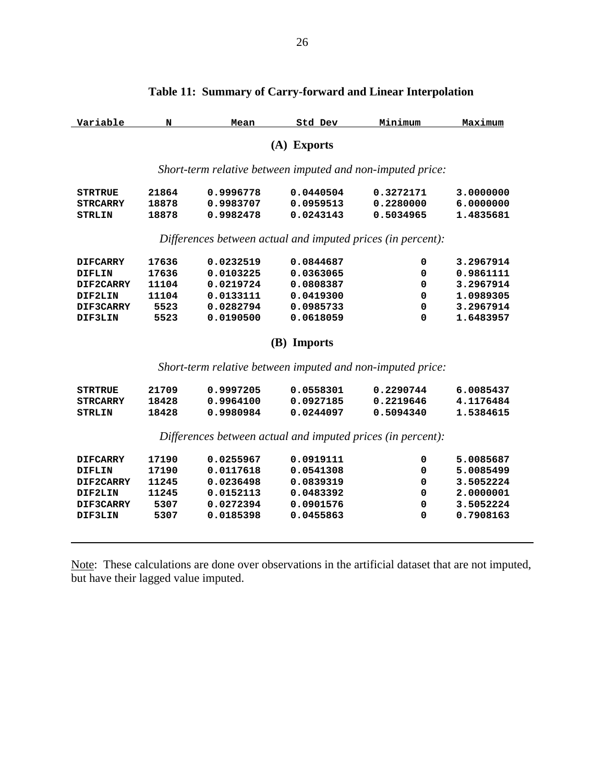| Variable        | N     | Mean      | Std Dev     | Minimum                                                     | Maximum   |  |  |
|-----------------|-------|-----------|-------------|-------------------------------------------------------------|-----------|--|--|
| (A) Exports     |       |           |             |                                                             |           |  |  |
|                 |       |           |             | Short-term relative between imputed and non-imputed price:  |           |  |  |
| <b>STRTRUE</b>  | 21864 | 0.9996778 | 0.0440504   | 0.3272171                                                   | 3.0000000 |  |  |
| <b>STRCARRY</b> | 18878 | 0.9983707 | 0.0959513   | 0.2280000                                                   | 6.0000000 |  |  |
| <b>STRLIN</b>   | 18878 | 0.9982478 | 0.0243143   | 0.5034965                                                   | 1.4835681 |  |  |
|                 |       |           |             | Differences between actual and imputed prices (in percent): |           |  |  |
| <b>DIFCARRY</b> | 17636 | 0.0232519 | 0.0844687   | 0                                                           | 3.2967914 |  |  |
| DIFLIN          | 17636 | 0.0103225 | 0.0363065   | 0                                                           | 0.9861111 |  |  |
| DIF2CARRY       | 11104 | 0.0219724 | 0.0808387   | 0                                                           | 3.2967914 |  |  |
| DIF2LIN         | 11104 | 0.0133111 | 0.0419300   | 0                                                           | 1.0989305 |  |  |
| DIF3CARRY       | 5523  | 0.0282794 | 0.0985733   | 0                                                           | 3.2967914 |  |  |
| DIF3LIN         | 5523  | 0.0190500 | 0.0618059   | 0                                                           | 1.6483957 |  |  |
|                 |       |           | (B) Imports |                                                             |           |  |  |
|                 |       |           |             | Short-term relative between imputed and non-imputed price:  |           |  |  |
| <b>STRTRUE</b>  | 21709 | 0.9997205 | 0.0558301   | 0.2290744                                                   | 6.0085437 |  |  |
| <b>STRCARRY</b> | 18428 | 0.9964100 | 0.0927185   | 0.2219646                                                   | 4.1176484 |  |  |
| <b>STRLIN</b>   | 18428 | 0.9980984 | 0.0244097   | 0.5094340                                                   | 1.5384615 |  |  |
|                 |       |           |             | Differences between actual and imputed prices (in percent): |           |  |  |
| <b>DIFCARRY</b> | 17190 | 0.0255967 | 0.0919111   | 0                                                           | 5.0085687 |  |  |
| <b>DIFLIN</b>   | 17190 | 0.0117618 | 0.0541308   | 0                                                           | 5.0085499 |  |  |
| DIF2CARRY       | 11245 | 0.0236498 | 0.0839319   | 0                                                           | 3.5052224 |  |  |
| DIF2LIN         | 11245 | 0.0152113 | 0.0483392   | 0                                                           | 2.0000001 |  |  |
| DIF3CARRY       | 5307  | 0.0272394 | 0.0901576   | 0                                                           | 3.5052224 |  |  |
| DIF3LIN         | 5307  | 0.0185398 | 0.0455863   | 0                                                           | 0.7908163 |  |  |
|                 |       |           |             |                                                             |           |  |  |
|                 |       |           |             |                                                             |           |  |  |

## **Table 11: Summary of Carry-forward and Linear Interpolation**

Note: These calculations are done over observations in the artificial dataset that are not imputed, but have their lagged value imputed.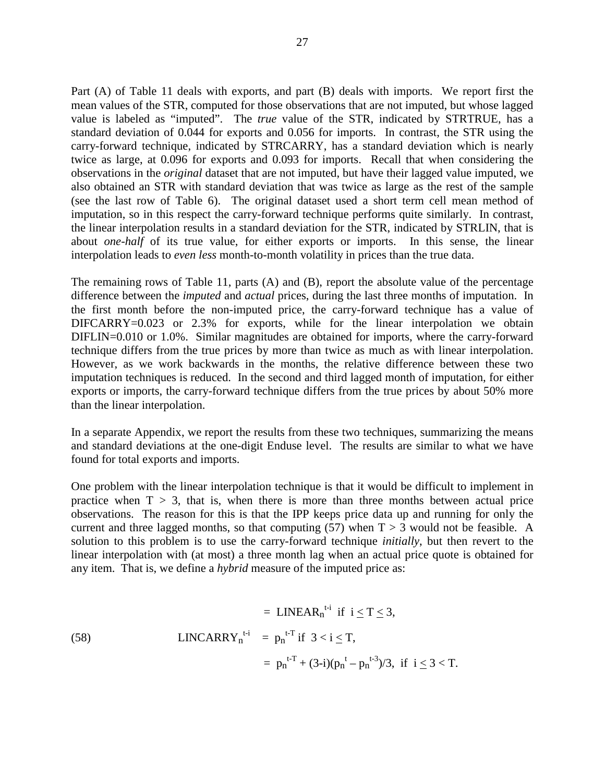Part (A) of Table 11 deals with exports, and part (B) deals with imports. We report first the mean values of the STR, computed for those observations that are not imputed, but whose lagged value is labeled as "imputed". The *true* value of the STR, indicated by STRTRUE, has a standard deviation of 0.044 for exports and 0.056 for imports. In contrast, the STR using the carry-forward technique, indicated by STRCARRY, has a standard deviation which is nearly twice as large, at 0.096 for exports and 0.093 for imports. Recall that when considering the observations in the *original* dataset that are not imputed, but have their lagged value imputed, we also obtained an STR with standard deviation that was twice as large as the rest of the sample (see the last row of Table 6). The original dataset used a short term cell mean method of imputation, so in this respect the carry-forward technique performs quite similarly. In contrast, the linear interpolation results in a standard deviation for the STR, indicated by STRLIN, that is about *one-half* of its true value, for either exports or imports. In this sense, the linear interpolation leads to *even less* month-to-month volatility in prices than the true data.

The remaining rows of Table 11, parts (A) and (B), report the absolute value of the percentage difference between the *imputed* and *actual* prices, during the last three months of imputation. In the first month before the non-imputed price, the carry-forward technique has a value of DIFCARRY=0.023 or 2.3% for exports, while for the linear interpolation we obtain DIFLIN=0.010 or 1.0%. Similar magnitudes are obtained for imports, where the carry-forward technique differs from the true prices by more than twice as much as with linear interpolation. However, as we work backwards in the months, the relative difference between these two imputation techniques is reduced. In the second and third lagged month of imputation, for either exports or imports, the carry-forward technique differs from the true prices by about 50% more than the linear interpolation.

In a separate Appendix, we report the results from these two techniques, summarizing the means and standard deviations at the one-digit Enduse level. The results are similar to what we have found for total exports and imports.

One problem with the linear interpolation technique is that it would be difficult to implement in practice when  $T > 3$ , that is, when there is more than three months between actual price observations. The reason for this is that the IPP keeps price data up and running for only the current and three lagged months, so that computing  $(57)$  when T > 3 would not be feasible. A solution to this problem is to use the carry-forward technique *initially*, but then revert to the linear interpolation with (at most) a three month lag when an actual price quote is obtained for any item. That is, we define a *hybrid* measure of the imputed price as:

$$
= LINEAR_n^{t-i} \text{ if } i \le T \le 3,
$$
\n
$$
\text{LINCARRY}_n^{t-i} = p_n^{t-T} \text{ if } 3 < i \le T,
$$
\n
$$
= p_n^{t-T} + (3-i)(p_n^t - p_n^{t-3})/3, \text{ if } i \le 3 < T.
$$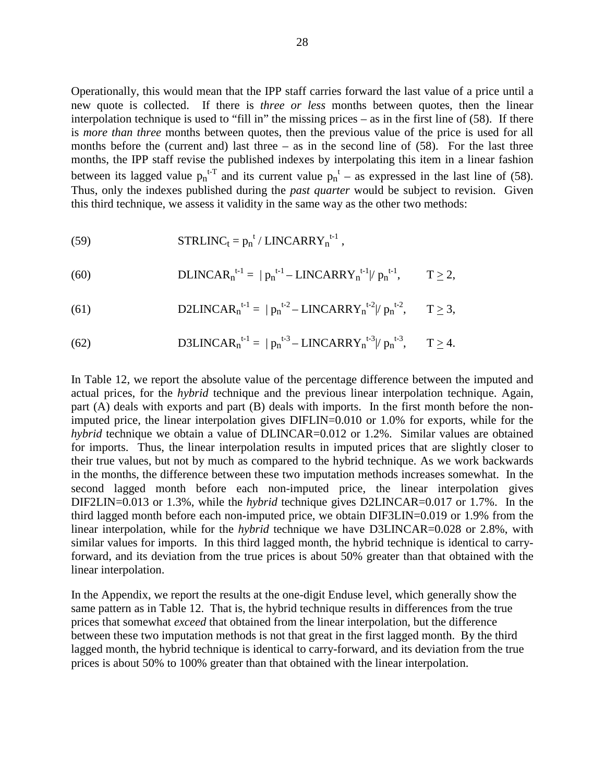Operationally, this would mean that the IPP staff carries forward the last value of a price until a new quote is collected. If there is *three or less* months between quotes, then the linear interpolation technique is used to "fill in" the missing prices – as in the first line of (58). If there is *more than three* months between quotes, then the previous value of the price is used for all months before the (current and) last three  $-$  as in the second line of  $(58)$ . For the last three months, the IPP staff revise the published indexes by interpolating this item in a linear fashion between its lagged value  $p_n^{t-T}$  and its current value  $p_n^t$  – as expressed in the last line of (58). Thus, only the indexes published during the *past quarter* would be subject to revision. Given this third technique, we assess it validity in the same way as the other two methods:

(59) 
$$
\text{STRLINC}_{t} = p_{n}^{t} / \text{LINCARRY}_{n}^{t-1},
$$

(60) 
$$
\text{DLINCAR}_{n}^{t-1} = |p_{n}^{t-1} - \text{LINCARRY}_{n}^{t-1}|/p_{n}^{t-1}, \qquad T \geq 2,
$$

(61) D2LINCAR<sub>n</sub><sup>t-1</sup> = 
$$
|p_n^{t-2} - LINCARRY_n^{t-2}|/p_n^{t-2}
$$
,  $T \ge 3$ ,

(62) D3LINCAR<sub>n</sub><sup>t-1</sup> = 
$$
|p_n^{t-3} - LINCARRY_n^{t-3}|/p_n^{t-3}
$$
,  $T \ge 4$ .

In Table 12, we report the absolute value of the percentage difference between the imputed and actual prices, for the *hybrid* technique and the previous linear interpolation technique. Again, part (A) deals with exports and part (B) deals with imports. In the first month before the nonimputed price, the linear interpolation gives DIFLIN=0.010 or 1.0% for exports, while for the *hybrid* technique we obtain a value of DLINCAR=0.012 or 1.2%. Similar values are obtained for imports. Thus, the linear interpolation results in imputed prices that are slightly closer to their true values, but not by much as compared to the hybrid technique. As we work backwards in the months, the difference between these two imputation methods increases somewhat. In the second lagged month before each non-imputed price, the linear interpolation gives DIF2LIN=0.013 or 1.3%, while the *hybrid* technique gives D2LINCAR=0.017 or 1.7%. In the third lagged month before each non-imputed price, we obtain DIF3LIN=0.019 or 1.9% from the linear interpolation, while for the *hybrid* technique we have D3LINCAR=0.028 or 2.8%, with similar values for imports. In this third lagged month, the hybrid technique is identical to carryforward, and its deviation from the true prices is about 50% greater than that obtained with the linear interpolation.

In the Appendix, we report the results at the one-digit Enduse level, which generally show the same pattern as in Table 12. That is, the hybrid technique results in differences from the true prices that somewhat *exceed* that obtained from the linear interpolation, but the difference between these two imputation methods is not that great in the first lagged month. By the third lagged month, the hybrid technique is identical to carry-forward, and its deviation from the true prices is about 50% to 100% greater than that obtained with the linear interpolation.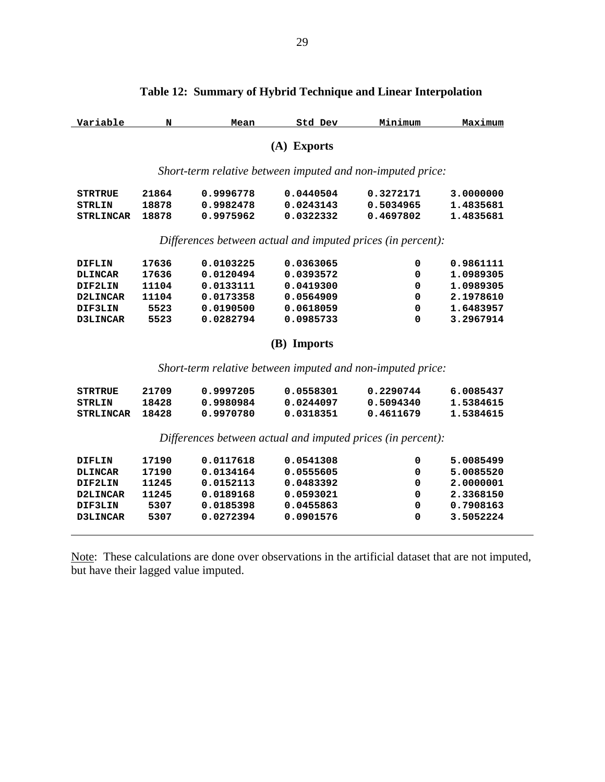| Variable                                                    | N     | Mean                                                        | Std Dev     | Minimum   | Maximum   |  |
|-------------------------------------------------------------|-------|-------------------------------------------------------------|-------------|-----------|-----------|--|
|                                                             |       |                                                             | (A) Exports |           |           |  |
|                                                             |       | Short-term relative between imputed and non-imputed price:  |             |           |           |  |
| <b>STRTRUE</b>                                              | 21864 | 0.9996778                                                   | 0.0440504   | 0.3272171 | 3.0000000 |  |
| <b>STRLIN</b>                                               | 18878 | 0.9982478                                                   | 0.0243143   | 0.5034965 | 1.4835681 |  |
| <b>STRLINCAR</b>                                            | 18878 | 0.9975962                                                   | 0.0322332   | 0.4697802 | 1.4835681 |  |
|                                                             |       | Differences between actual and imputed prices (in percent): |             |           |           |  |
| <b>DIFLIN</b>                                               | 17636 | 0.0103225                                                   | 0.0363065   | 0         | 0.9861111 |  |
| <b>DLINCAR</b>                                              | 17636 | 0.0120494                                                   | 0.0393572   | 0         | 1.0989305 |  |
| DIF2LIN                                                     | 11104 | 0.0133111                                                   | 0.0419300   | 0         | 1.0989305 |  |
| D2LINCAR                                                    | 11104 | 0.0173358                                                   | 0.0564909   | 0         | 2.1978610 |  |
| DIF3LIN                                                     | 5523  | 0.0190500                                                   | 0.0618059   | 0         | 1.6483957 |  |
| D3LINCAR                                                    | 5523  | 0.0282794                                                   | 0.0985733   | $\Omega$  | 3.2967914 |  |
|                                                             |       |                                                             | (B) Imports |           |           |  |
|                                                             |       | Short-term relative between imputed and non-imputed price:  |             |           |           |  |
| <b>STRTRUE</b>                                              | 21709 | 0.9997205                                                   | 0.0558301   | 0.2290744 | 6.0085437 |  |
| <b>STRLIN</b>                                               | 18428 | 0.9980984                                                   | 0.0244097   | 0.5094340 | 1.5384615 |  |
| <b>STRLINCAR</b>                                            | 18428 | 0.9970780                                                   | 0.0318351   | 0.4611679 | 1.5384615 |  |
| Differences between actual and imputed prices (in percent): |       |                                                             |             |           |           |  |
| <b>DIFLIN</b>                                               | 17190 | 0.0117618                                                   | 0.0541308   | 0         | 5.0085499 |  |
| <b>DLINCAR</b>                                              | 17190 | 0.0134164                                                   | 0.0555605   | 0         | 5.0085520 |  |
| DIF2LIN                                                     | 11245 | 0.0152113                                                   | 0.0483392   | 0         | 2.0000001 |  |
| D2LINCAR                                                    | 11245 | 0.0189168                                                   | 0.0593021   | 0         | 2.3368150 |  |
| DIF3LIN                                                     | 5307  | 0.0185398                                                   | 0.0455863   | 0         | 0.7908163 |  |

## **Table 12: Summary of Hybrid Technique and Linear Interpolation**

Note: These calculations are done over observations in the artificial dataset that are not imputed, but have their lagged value imputed.

**DIF3LIN 5307 0.0185398 0.0455863 0 0.7908163**<br>D3LINCAR 5307 0.0272394 0.0901576 0 3.5052224

 **D3LINCAR 5307 0.0272394 0.0901576 0 3.5052224**

 $\overline{a}$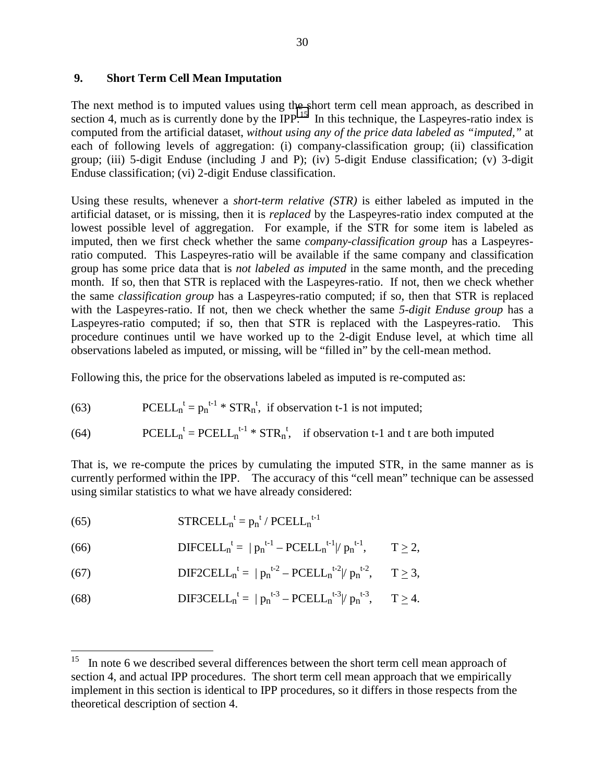### **9. Short Term Cell Mean Imputation**

The next method is to imputed values using the short term cell mean approach, as described in section 4, much as is currently done by the IPP.<sup>15</sup> In this technique, the Laspeyres-ratio index is computed from the artificial dataset, *without using any of the price data labeled as "imputed,"* at each of following levels of aggregation: (i) company-classification group; (ii) classification group; (iii) 5-digit Enduse (including J and P); (iv) 5-digit Enduse classification; (v) 3-digit Enduse classification; (vi) 2-digit Enduse classification.

Using these results, whenever a *short-term relative (STR)* is either labeled as imputed in the artificial dataset, or is missing, then it is *replaced* by the Laspeyres-ratio index computed at the lowest possible level of aggregation. For example, if the STR for some item is labeled as imputed, then we first check whether the same *company-classification group* has a Laspeyresratio computed. This Laspeyres-ratio will be available if the same company and classification group has some price data that is *not labeled as imputed* in the same month, and the preceding month. If so, then that STR is replaced with the Laspeyres-ratio. If not, then we check whether the same *classification group* has a Laspeyres-ratio computed; if so, then that STR is replaced with the Laspeyres-ratio. If not, then we check whether the same *5-digit Enduse group* has a Laspeyres-ratio computed; if so, then that STR is replaced with the Laspeyres-ratio. This procedure continues until we have worked up to the 2-digit Enduse level, at which time all observations labeled as imputed, or missing, will be "filled in" by the cell-mean method.

Following this, the price for the observations labeled as imputed is re-computed as:

(63) 
$$
PCELL_n^t = p_n^{t-1} * STR_n^t, \text{ if observation t-1 is not imputed};
$$

(64) PCELL<sub>n</sub><sup>t</sup> = PCELL<sub>n</sub><sup>t-1</sup> \* STR<sub>n</sub><sup>t</sup>, if observation t-1 and t are both imputed

That is, we re-compute the prices by cumulating the imputed STR, in the same manner as is currently performed within the IPP. The accuracy of this "cell mean" technique can be assessed using similar statistics to what we have already considered:

(65) STRCELL<sub>n</sub><sup>t</sup> =  $p_n^t / PCELL_n^{t-1}$ 

 $\overline{a}$ 

- (66) **DIFCELL**<sub>n</sub><sup>t</sup> =  $|p_n^{t-1} \text{PCELL}_n^{t-1}|/p_n$  $T > 2$ ,
- (67) **DIF2CELL**<sub>n</sub><sup>t</sup> =  $|p_n^{t-2} \text{PCELL}_n^{t-2}|/p_n$  $T > 3$ ,

(68) 
$$
\text{DIF3CELL}_{n}^{t} = |p_{n}^{t-3} - \text{PCELL}_{n}^{t-3}|/p_{n}^{t-3}, \quad T \geq 4.
$$

In note 6 we described several differences between the short term cell mean approach of section 4, and actual IPP procedures. The short term cell mean approach that we empirically implement in this section is identical to IPP procedures, so it differs in those respects from the theoretical description of section 4.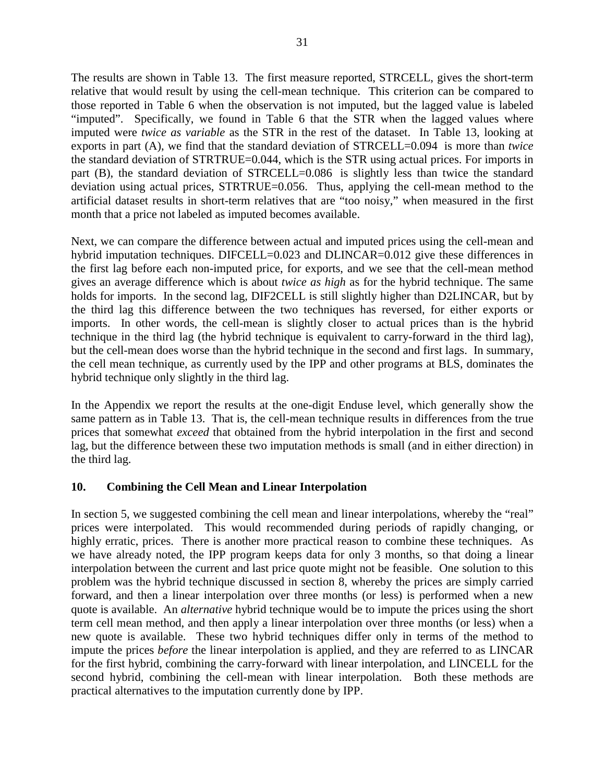The results are shown in Table 13. The first measure reported, STRCELL, gives the short-term relative that would result by using the cell-mean technique. This criterion can be compared to those reported in Table 6 when the observation is not imputed, but the lagged value is labeled "imputed". Specifically, we found in Table 6 that the STR when the lagged values where imputed were *twice as variable* as the STR in the rest of the dataset. In Table 13, looking at exports in part (A), we find that the standard deviation of STRCELL=0.094 is more than *twice* the standard deviation of STRTRUE=0.044, which is the STR using actual prices. For imports in part (B), the standard deviation of STRCELL=0.086 is slightly less than twice the standard deviation using actual prices, STRTRUE=0.056. Thus, applying the cell-mean method to the artificial dataset results in short-term relatives that are "too noisy," when measured in the first month that a price not labeled as imputed becomes available.

Next, we can compare the difference between actual and imputed prices using the cell-mean and hybrid imputation techniques. DIFCELL=0.023 and DLINCAR=0.012 give these differences in the first lag before each non-imputed price, for exports, and we see that the cell-mean method gives an average difference which is about *twice as high* as for the hybrid technique. The same holds for imports. In the second lag, DIF2CELL is still slightly higher than D2LINCAR, but by the third lag this difference between the two techniques has reversed, for either exports or imports. In other words, the cell-mean is slightly closer to actual prices than is the hybrid technique in the third lag (the hybrid technique is equivalent to carry-forward in the third lag), but the cell-mean does worse than the hybrid technique in the second and first lags. In summary, the cell mean technique, as currently used by the IPP and other programs at BLS, dominates the hybrid technique only slightly in the third lag.

In the Appendix we report the results at the one-digit Enduse level, which generally show the same pattern as in Table 13. That is, the cell-mean technique results in differences from the true prices that somewhat *exceed* that obtained from the hybrid interpolation in the first and second lag, but the difference between these two imputation methods is small (and in either direction) in the third lag.

## **10. Combining the Cell Mean and Linear Interpolation**

In section 5, we suggested combining the cell mean and linear interpolations, whereby the "real" prices were interpolated. This would recommended during periods of rapidly changing, or highly erratic, prices. There is another more practical reason to combine these techniques. As we have already noted, the IPP program keeps data for only 3 months, so that doing a linear interpolation between the current and last price quote might not be feasible. One solution to this problem was the hybrid technique discussed in section 8, whereby the prices are simply carried forward, and then a linear interpolation over three months (or less) is performed when a new quote is available. An *alternative* hybrid technique would be to impute the prices using the short term cell mean method, and then apply a linear interpolation over three months (or less) when a new quote is available. These two hybrid techniques differ only in terms of the method to impute the prices *before* the linear interpolation is applied, and they are referred to as LINCAR for the first hybrid, combining the carry-forward with linear interpolation, and LINCELL for the second hybrid, combining the cell-mean with linear interpolation. Both these methods are practical alternatives to the imputation currently done by IPP.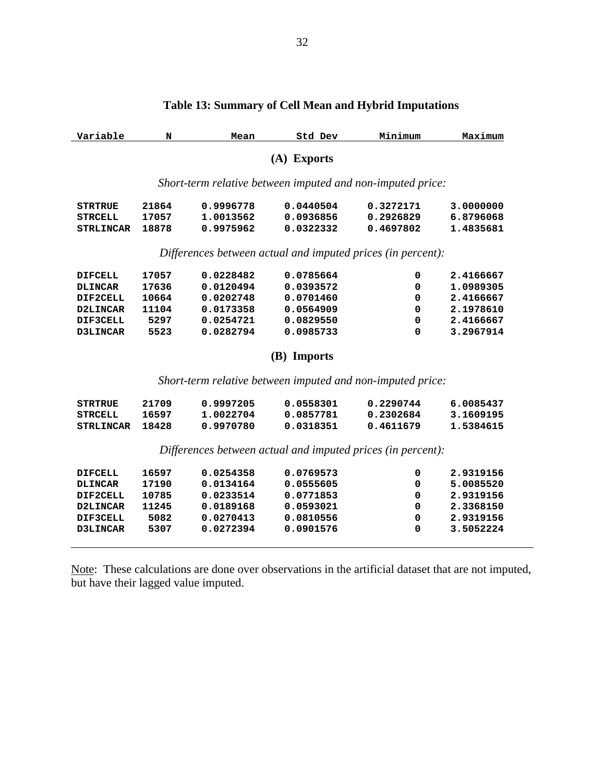| Variable         | N     | Mean      | Std Dev     | Minimum                                                     | Maximum   |
|------------------|-------|-----------|-------------|-------------------------------------------------------------|-----------|
|                  |       |           | (A) Exports |                                                             |           |
|                  |       |           |             | Short-term relative between imputed and non-imputed price:  |           |
| <b>STRTRUE</b>   | 21864 | 0.9996778 | 0.0440504   | 0.3272171                                                   | 3.0000000 |
| <b>STRCELL</b>   | 17057 | 1.0013562 | 0.0936856   | 0.2926829                                                   | 6.8796068 |
| <b>STRLINCAR</b> | 18878 | 0.9975962 | 0.0322332   | 0.4697802                                                   | 1.4835681 |
|                  |       |           |             | Differences between actual and imputed prices (in percent): |           |
| <b>DIFCELL</b>   | 17057 | 0.0228482 | 0.0785664   | 0                                                           | 2.4166667 |
| <b>DLINCAR</b>   | 17636 | 0.0120494 | 0.0393572   | 0                                                           | 1.0989305 |
| DIF2CELL         | 10664 | 0.0202748 | 0.0701460   | 0                                                           | 2.4166667 |
| D2LINCAR         | 11104 | 0.0173358 | 0.0564909   | $\mathbf 0$                                                 | 2.1978610 |
| DIF3CELL         | 5297  | 0.0254721 | 0.0829550   | 0                                                           | 2.4166667 |
| D3LINCAR         | 5523  | 0.0282794 | 0.0985733   | $\Omega$                                                    | 3.2967914 |
|                  |       |           | (B) Imports |                                                             |           |
|                  |       |           |             | Short-term relative between imputed and non-imputed price:  |           |
| <b>STRTRUE</b>   | 21709 | 0.9997205 | 0.0558301   | 0.2290744                                                   | 6.0085437 |
| <b>STRCELL</b>   | 16597 | 1.0022704 | 0.0857781   | 0.2302684                                                   | 3.1609195 |
| <b>STRLINCAR</b> | 18428 | 0.9970780 | 0.0318351   | 0.4611679                                                   | 1.5384615 |
|                  |       |           |             |                                                             |           |

# **Table 13: Summary of Cell Mean and Hybrid Imputations**

*Differences between actual and imputed prices (in percent):*

| <b>DIFCELL</b>  | 16597 | 0.0254358 | 0.0769573 | 0 | 2.9319156 |
|-----------------|-------|-----------|-----------|---|-----------|
| <b>DLINCAR</b>  | 17190 | 0.0134164 | 0.0555605 | 0 | 5.0085520 |
| DIF2CELL        | 10785 | 0.0233514 | 0.0771853 | 0 | 2.9319156 |
| D2LINCAR        | 11245 | 0.0189168 | 0.0593021 | 0 | 2.3368150 |
| DIF3CELL        | 5082  | 0.0270413 | 0.0810556 | 0 | 2.9319156 |
| <b>D3LINCAR</b> | 5307  | 0.0272394 | 0.0901576 | 0 | 3.5052224 |
|                 |       |           |           |   |           |

Note: These calculations are done over observations in the artificial dataset that are not imputed, but have their lagged value imputed.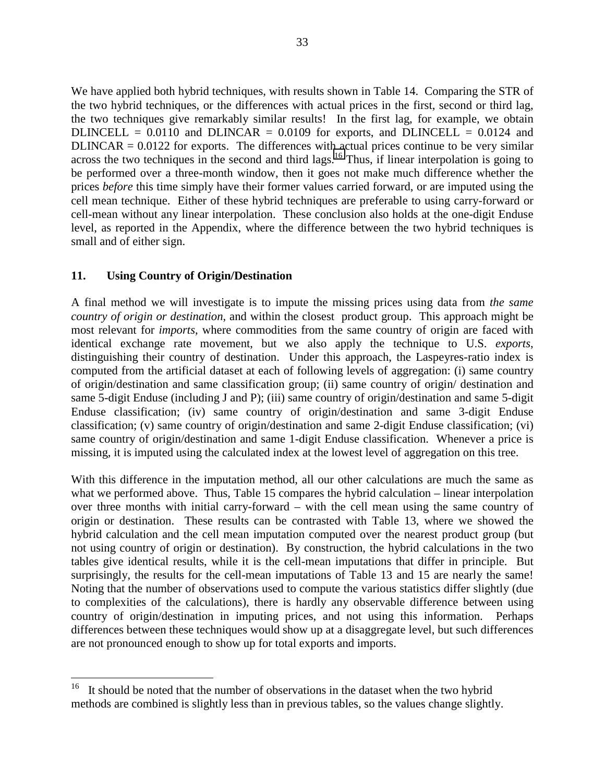We have applied both hybrid techniques, with results shown in Table 14. Comparing the STR of the two hybrid techniques, or the differences with actual prices in the first, second or third lag, the two techniques give remarkably similar results! In the first lag, for example, we obtain DLINCELL =  $0.0110$  and DLINCAR =  $0.0109$  for exports, and DLINCELL =  $0.0124$  and  $DLINCAR = 0.0122$  for exports. The differences with actual prices continue to be very similar across the two techniques in the second and third  $\log s$ .<sup>16</sup> Thus, if linear interpolation is going to be performed over a three-month window, then it goes not make much difference whether the prices *before* this time simply have their former values carried forward, or are imputed using the cell mean technique. Either of these hybrid techniques are preferable to using carry-forward or cell-mean without any linear interpolation. These conclusion also holds at the one-digit Enduse level, as reported in the Appendix, where the difference between the two hybrid techniques is small and of either sign.

## **11. Using Country of Origin/Destination**

1

A final method we will investigate is to impute the missing prices using data from *the same country of origin or destination*, and within the closest product group. This approach might be most relevant for *imports*, where commodities from the same country of origin are faced with identical exchange rate movement, but we also apply the technique to U.S. *exports*, distinguishing their country of destination. Under this approach, the Laspeyres-ratio index is computed from the artificial dataset at each of following levels of aggregation: (i) same country of origin/destination and same classification group; (ii) same country of origin/ destination and same 5-digit Enduse (including J and P); (iii) same country of origin/destination and same 5-digit Enduse classification; (iv) same country of origin/destination and same 3-digit Enduse classification; (v) same country of origin/destination and same 2-digit Enduse classification; (vi) same country of origin/destination and same 1-digit Enduse classification. Whenever a price is missing, it is imputed using the calculated index at the lowest level of aggregation on this tree.

With this difference in the imputation method, all our other calculations are much the same as what we performed above. Thus, Table 15 compares the hybrid calculation – linear interpolation over three months with initial carry-forward – with the cell mean using the same country of origin or destination. These results can be contrasted with Table 13, where we showed the hybrid calculation and the cell mean imputation computed over the nearest product group (but not using country of origin or destination). By construction, the hybrid calculations in the two tables give identical results, while it is the cell-mean imputations that differ in principle. But surprisingly, the results for the cell-mean imputations of Table 13 and 15 are nearly the same! Noting that the number of observations used to compute the various statistics differ slightly (due to complexities of the calculations), there is hardly any observable difference between using country of origin/destination in imputing prices, and not using this information. Perhaps differences between these techniques would show up at a disaggregate level, but such differences are not pronounced enough to show up for total exports and imports.

 $16$  It should be noted that the number of observations in the dataset when the two hybrid methods are combined is slightly less than in previous tables, so the values change slightly.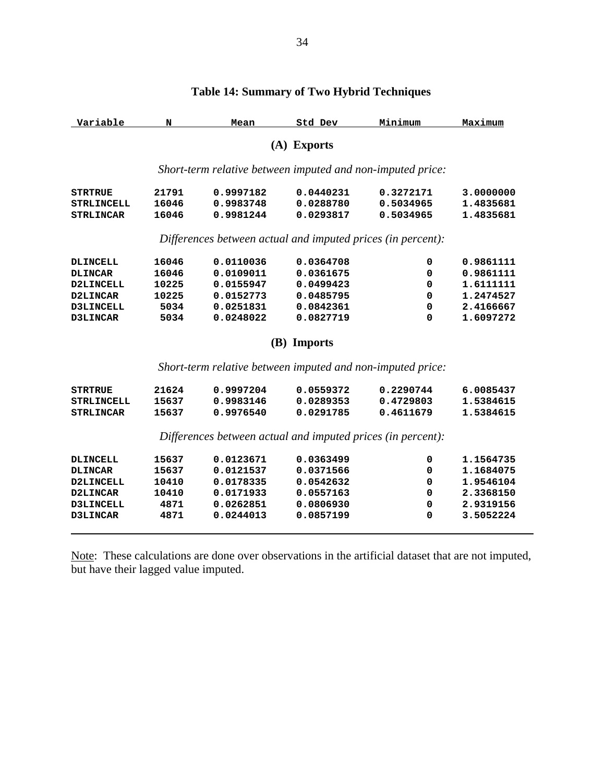| Variable          | N     | Mean      | Std Dev                                                     | Minimum   | Maximum   |
|-------------------|-------|-----------|-------------------------------------------------------------|-----------|-----------|
|                   |       |           | (A) Exports                                                 |           |           |
|                   |       |           | Short-term relative between imputed and non-imputed price:  |           |           |
| STRTRUE           | 21791 | 0.9997182 | 0.0440231                                                   | 0.3272171 | 3.0000000 |
| STRLINCELL        | 16046 | 0.9983748 | 0.0288780                                                   | 0.5034965 | 1.4835681 |
| <b>STRLINCAR</b>  | 16046 | 0.9981244 | 0.0293817                                                   | 0.5034965 | 1.4835681 |
|                   |       |           | Differences between actual and imputed prices (in percent): |           |           |
| <b>DLINCELL</b>   | 16046 | 0.0110036 | 0.0364708                                                   | 0         | 0.9861111 |
| <b>DLINCAR</b>    | 16046 | 0.0109011 | 0.0361675                                                   | 0         | 0.9861111 |
| <b>D2LINCELL</b>  | 10225 | 0.0155947 | 0.0499423                                                   | 0         | 1.6111111 |
| D2LINCAR          | 10225 | 0.0152773 | 0.0485795                                                   | 0         | 1.2474527 |
| D3LINCELL         | 5034  | 0.0251831 | 0.0842361                                                   | 0         | 2.4166667 |
| <b>D3LINCAR</b>   | 5034  | 0.0248022 | 0.0827719                                                   | 0         | 1.6097272 |
|                   |       |           | (B) Imports                                                 |           |           |
|                   |       |           | Short-term relative between imputed and non-imputed price:  |           |           |
| STRTRUE           | 21624 | 0.9997204 | 0.0559372                                                   | 0.2290744 | 6.0085437 |
| <b>STRLINCELL</b> | 15637 | 0.9983146 | 0.0289353                                                   | 0.4729803 | 1.5384615 |
| <b>STRLINCAR</b>  | 15637 | 0.9976540 | 0.0291785                                                   | 0.4611679 | 1.5384615 |
|                   |       |           | Differences between actual and imputed prices (in percent): |           |           |
| <b>DLINCELL</b>   | 15637 | 0.0123671 | 0.0363499                                                   | 0         | 1.1564735 |
| <b>DLINCAR</b>    | 15637 | 0.0121537 | 0.0371566                                                   | 0         | 1.1684075 |
| <b>D2LINCELL</b>  | 10410 | 0.0178335 | 0.0542632                                                   | 0         | 1.9546104 |
| D2LINCAR          | 10410 | 0.0171933 | 0.0557163                                                   | 0         | 2.3368150 |
| <b>D3LINCELL</b>  | 4871  | 0.0262851 | 0.0806930                                                   | 0         | 2.9319156 |
| <b>D3LINCAR</b>   | 4871  | 0.0244013 | 0.0857199                                                   | 0         | 3.5052224 |
|                   |       |           |                                                             |           |           |

# **Table 14: Summary of Two Hybrid Techniques**

Note: These calculations are done over observations in the artificial dataset that are not imputed, but have their lagged value imputed.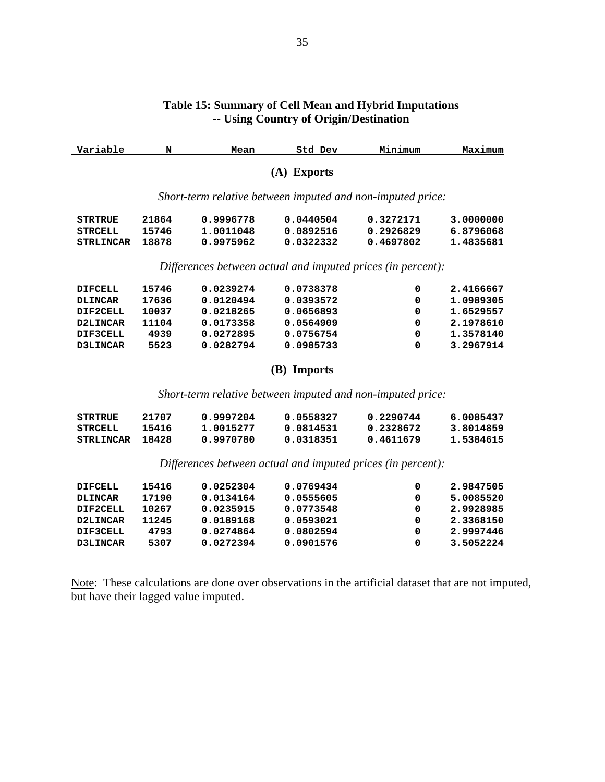#### **Table 15: Summary of Cell Mean and Hybrid Imputations -- Using Country of Origin/Destination**

| Variable         | N                                                           | Mean                                                       | Std Dev     | Minimum     | Maximum   |  |  |  |
|------------------|-------------------------------------------------------------|------------------------------------------------------------|-------------|-------------|-----------|--|--|--|
| (A) Exports      |                                                             |                                                            |             |             |           |  |  |  |
|                  |                                                             | Short-term relative between imputed and non-imputed price: |             |             |           |  |  |  |
| <b>STRTRUE</b>   | 21864                                                       | 0.9996778                                                  | 0.0440504   | 0.3272171   | 3.0000000 |  |  |  |
| <b>STRCELL</b>   | 15746                                                       | 1.0011048                                                  | 0.0892516   | 0.2926829   | 6.8796068 |  |  |  |
| <b>STRLINCAR</b> | 18878                                                       | 0.9975962                                                  | 0.0322332   | 0.4697802   | 1.4835681 |  |  |  |
|                  | Differences between actual and imputed prices (in percent): |                                                            |             |             |           |  |  |  |
| <b>DIFCELL</b>   | 15746                                                       | 0.0239274                                                  | 0.0738378   | 0           | 2.4166667 |  |  |  |
| <b>DLINCAR</b>   | 17636                                                       | 0.0120494                                                  | 0.0393572   | $\mathbf 0$ | 1.0989305 |  |  |  |
| DIF2CELL         | 10037                                                       | 0.0218265                                                  | 0.0656893   | $\mathbf 0$ | 1.6529557 |  |  |  |
| D2LINCAR         | 11104                                                       | 0.0173358                                                  | 0.0564909   | $\mathbf 0$ | 2.1978610 |  |  |  |
| DIF3CELL         | 4939                                                        | 0.0272895                                                  | 0.0756754   | $\mathbf 0$ | 1.3578140 |  |  |  |
| D3LINCAR         | 5523                                                        | 0.0282794                                                  | 0.0985733   | $\mathbf 0$ | 3.2967914 |  |  |  |
|                  |                                                             |                                                            | (B) Imports |             |           |  |  |  |
|                  |                                                             | Short-term relative between imputed and non-imputed price: |             |             |           |  |  |  |
| <b>STRTRUE</b>   | 21707                                                       | 0.9997204                                                  | 0.0558327   | 0.2290744   | 6.0085437 |  |  |  |
| <b>STRCELL</b>   | 15416                                                       | 1.0015277                                                  | 0.0814531   | 0.2328672   | 3.8014859 |  |  |  |
| <b>STRLINCAR</b> | 18428                                                       | 0.9970780                                                  | 0.0318351   | 0.4611679   | 1.5384615 |  |  |  |
|                  | Differences between actual and imputed prices (in percent): |                                                            |             |             |           |  |  |  |

 $\begin{tabular}{lcccccc} DIFCELL & 15416 & 0.0252304 & 0.0769434 & 0 & 2.9847505 \\ DLINKCAR & 17190 & 0.0134164 & 0.0555605 & 0 & 5.0085520 \\ DIF2CELL & 10267 & 0.0235915 & 0.0773548 & 0 & 2.9928985 \\ D2LINKCAR & 11245 & 0.0189168 & 0.0593021 & 0 & 2.3368150 \\ DIF3CELL & 4793 & 0.0274$  **DLINCAR 17190 0.0134164 0.0555605 0 5.0085520 DIF2CELL** 10267 0.0235915 0.0773548 0 2.9928985<br> **D2LINCAR** 11245 0.0189168 0.0593021 0 2.3368150  **D2LINCAR 11245 0.0189168 0.0593021 0 2.3368150 DIF3CELL 4793 0.0274864 0.0802594 0 2.9997446 D3LINCAR 5307 0.0272394 0.0901576 0 3.5052224**

 $\overline{a}$ 

Note: These calculations are done over observations in the artificial dataset that are not imputed, but have their lagged value imputed.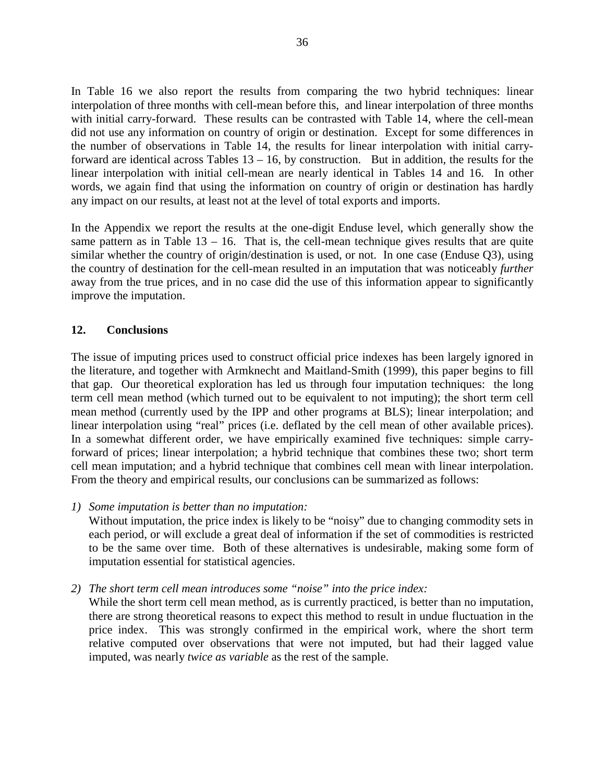In Table 16 we also report the results from comparing the two hybrid techniques: linear interpolation of three months with cell-mean before this, and linear interpolation of three months with initial carry-forward. These results can be contrasted with Table 14, where the cell-mean did not use any information on country of origin or destination. Except for some differences in the number of observations in Table 14, the results for linear interpolation with initial carryforward are identical across Tables  $13 - 16$ , by construction. But in addition, the results for the linear interpolation with initial cell-mean are nearly identical in Tables 14 and 16. In other words, we again find that using the information on country of origin or destination has hardly any impact on our results, at least not at the level of total exports and imports.

In the Appendix we report the results at the one-digit Enduse level, which generally show the same pattern as in Table  $13 - 16$ . That is, the cell-mean technique gives results that are quite similar whether the country of origin/destination is used, or not. In one case (Enduse Q3), using the country of destination for the cell-mean resulted in an imputation that was noticeably *further* away from the true prices, and in no case did the use of this information appear to significantly improve the imputation.

## **12. Conclusions**

The issue of imputing prices used to construct official price indexes has been largely ignored in the literature, and together with Armknecht and Maitland-Smith (1999), this paper begins to fill that gap. Our theoretical exploration has led us through four imputation techniques: the long term cell mean method (which turned out to be equivalent to not imputing); the short term cell mean method (currently used by the IPP and other programs at BLS); linear interpolation; and linear interpolation using "real" prices (i.e. deflated by the cell mean of other available prices). In a somewhat different order, we have empirically examined five techniques: simple carryforward of prices; linear interpolation; a hybrid technique that combines these two; short term cell mean imputation; and a hybrid technique that combines cell mean with linear interpolation. From the theory and empirical results, our conclusions can be summarized as follows:

*1) Some imputation is better than no imputation:*

Without imputation, the price index is likely to be "noisy" due to changing commodity sets in each period, or will exclude a great deal of information if the set of commodities is restricted to be the same over time. Both of these alternatives is undesirable, making some form of imputation essential for statistical agencies.

*2) The short term cell mean introduces some "noise" into the price index:*

While the short term cell mean method, as is currently practiced, is better than no imputation, there are strong theoretical reasons to expect this method to result in undue fluctuation in the price index. This was strongly confirmed in the empirical work, where the short term relative computed over observations that were not imputed, but had their lagged value imputed, was nearly *twice as variable* as the rest of the sample.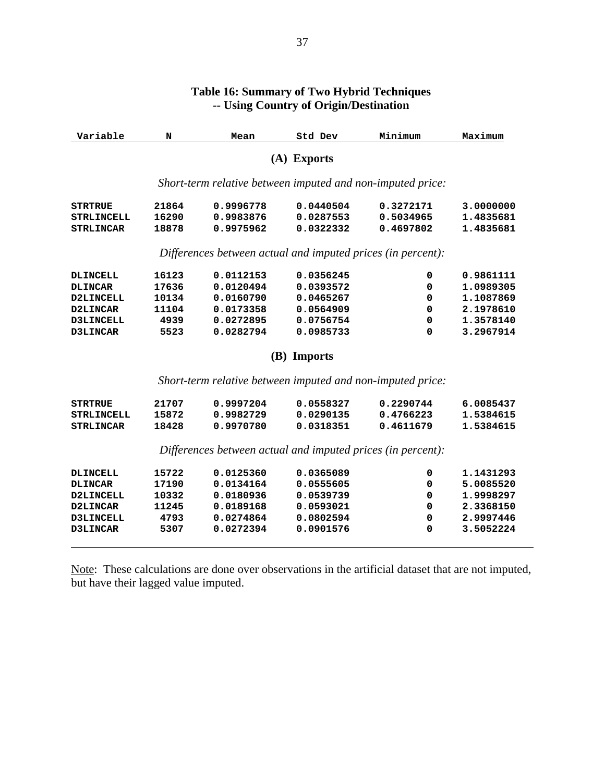| 0.9996778<br>0.9983876<br>0.9975962 | (A) Exports<br>Short-term relative between imputed and non-imputed price:<br>0.0440504 |             |                                                                                                                           |
|-------------------------------------|----------------------------------------------------------------------------------------|-------------|---------------------------------------------------------------------------------------------------------------------------|
|                                     |                                                                                        |             |                                                                                                                           |
|                                     |                                                                                        |             |                                                                                                                           |
|                                     |                                                                                        | 0.3272171   | 3.0000000                                                                                                                 |
|                                     | 0.0287553                                                                              | 0.5034965   | 1.4835681                                                                                                                 |
|                                     | 0.0322332                                                                              | 0.4697802   | 1.4835681                                                                                                                 |
|                                     | Differences between actual and imputed prices (in percent):                            |             |                                                                                                                           |
| 0.0112153                           | 0.0356245                                                                              | 0           | 0.9861111                                                                                                                 |
| 0.0120494                           | 0.0393572                                                                              | 0           | 1.0989305                                                                                                                 |
| 0.0160790                           | 0.0465267                                                                              | 0           | 1.1087869                                                                                                                 |
| 0.0173358                           | 0.0564909                                                                              | 0           | 2.1978610                                                                                                                 |
| 0.0272895                           | 0.0756754                                                                              | 0           | 1.3578140                                                                                                                 |
| 0.0282794                           | 0.0985733                                                                              | $\Omega$    | 3.2967914                                                                                                                 |
|                                     |                                                                                        |             |                                                                                                                           |
|                                     |                                                                                        |             |                                                                                                                           |
| 0.9997204                           | 0.0558327                                                                              | 0.2290744   | 6.0085437                                                                                                                 |
| 0.9982729                           | 0.0290135                                                                              | 0.4766223   | 1.5384615                                                                                                                 |
| 0.9970780                           | 0.0318351                                                                              | 0.4611679   | 1.5384615                                                                                                                 |
|                                     |                                                                                        |             |                                                                                                                           |
| 0.0125360                           | 0.0365089                                                                              | 0           | 1.1431293                                                                                                                 |
| 0.0134164                           | 0.0555605                                                                              | 0           | 5.0085520                                                                                                                 |
|                                     |                                                                                        |             |                                                                                                                           |
| 0.0180936                           | 0.0539739                                                                              | 0           | 1.9998297                                                                                                                 |
| 0.0189168                           | 0.0593021                                                                              | 0           | 2.3368150                                                                                                                 |
| 0.0274864                           | 0.0802594                                                                              | 0           | 2.9997446                                                                                                                 |
|                                     |                                                                                        | (B) Imports | Short-term relative between imputed and non-imputed price:<br>Differences between actual and imputed prices (in percent): |

## **Table 16: Summary of Two Hybrid Techniques -- Using Country of Origin/Destination**

Note: These calculations are done over observations in the artificial dataset that are not imputed, but have their lagged value imputed.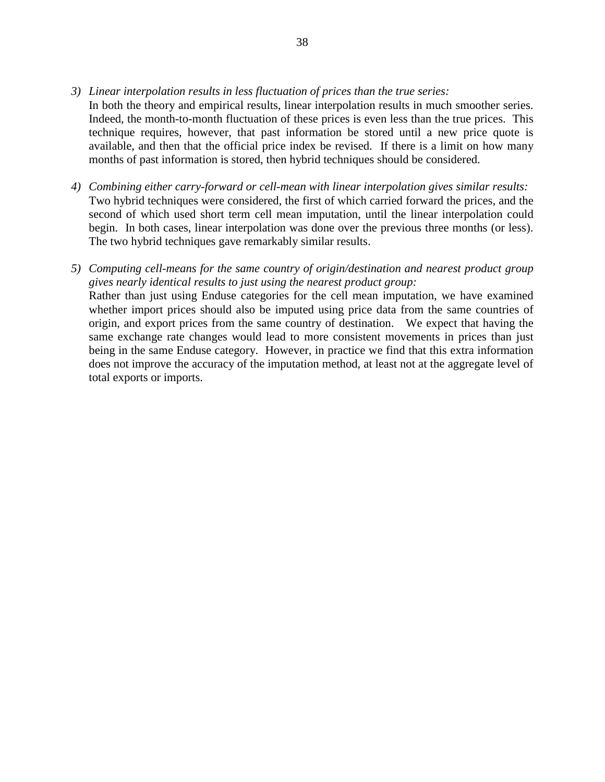- *3) Linear interpolation results in less fluctuation of prices than the true series:*
- In both the theory and empirical results, linear interpolation results in much smoother series. Indeed, the month-to-month fluctuation of these prices is even less than the true prices. This technique requires, however, that past information be stored until a new price quote is available, and then that the official price index be revised. If there is a limit on how many months of past information is stored, then hybrid techniques should be considered.
- *4) Combining either carry-forward or cell-mean with linear interpolation gives similar results:* Two hybrid techniques were considered, the first of which carried forward the prices, and the second of which used short term cell mean imputation, until the linear interpolation could begin. In both cases, linear interpolation was done over the previous three months (or less). The two hybrid techniques gave remarkably similar results.
- *5) Computing cell-means for the same country of origin/destination and nearest product group gives nearly identical results to just using the nearest product group:* Rather than just using Enduse categories for the cell mean imputation, we have examined whether import prices should also be imputed using price data from the same countries of origin, and export prices from the same country of destination. We expect that having the same exchange rate changes would lead to more consistent movements in prices than just being in the same Enduse category. However, in practice we find that this extra information does not improve the accuracy of the imputation method, at least not at the aggregate level of total exports or imports.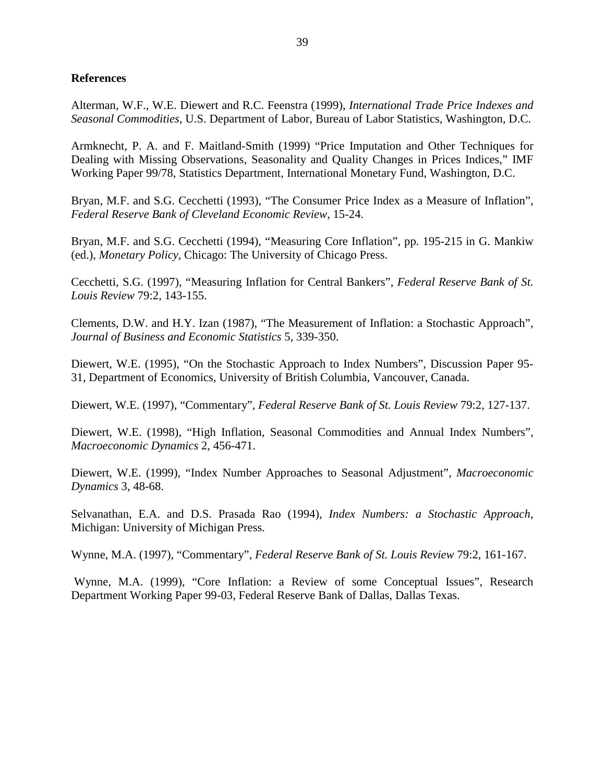#### **References**

Alterman, W.F., W.E. Diewert and R.C. Feenstra (1999), *International Trade Price Indexes and Seasonal Commodities*, U.S. Department of Labor, Bureau of Labor Statistics, Washington, D.C.

Armknecht, P. A. and F. Maitland-Smith (1999) "Price Imputation and Other Techniques for Dealing with Missing Observations, Seasonality and Quality Changes in Prices Indices," IMF Working Paper 99/78, Statistics Department, International Monetary Fund, Washington, D.C.

Bryan, M.F. and S.G. Cecchetti (1993), "The Consumer Price Index as a Measure of Inflation", *Federal Reserve Bank of Cleveland Economic Review*, 15-24.

Bryan, M.F. and S.G. Cecchetti (1994), "Measuring Core Inflation", pp. 195-215 in G. Mankiw (ed.), *Monetary Policy*, Chicago: The University of Chicago Press.

Cecchetti, S.G. (1997), "Measuring Inflation for Central Bankers", *Federal Reserve Bank of St. Louis Review* 79:2, 143-155.

Clements, D.W. and H.Y. Izan (1987), "The Measurement of Inflation: a Stochastic Approach", *Journal of Business and Economic Statistics* 5, 339-350.

Diewert, W.E. (1995), "On the Stochastic Approach to Index Numbers", Discussion Paper 95- 31, Department of Economics, University of British Columbia, Vancouver, Canada.

Diewert, W.E. (1997), "Commentary", *Federal Reserve Bank of St. Louis Review* 79:2, 127-137.

Diewert, W.E. (1998), "High Inflation, Seasonal Commodities and Annual Index Numbers", *Macroeconomic Dynamics* 2, 456-471.

Diewert, W.E. (1999), "Index Number Approaches to Seasonal Adjustment", *Macroeconomic Dynamics* 3, 48-68.

Selvanathan, E.A. and D.S. Prasada Rao (1994), *Index Numbers: a Stochastic Approach*, Michigan: University of Michigan Press.

Wynne, M.A. (1997), "Commentary", *Federal Reserve Bank of St. Louis Review* 79:2, 161-167.

 Wynne, M.A. (1999), "Core Inflation: a Review of some Conceptual Issues", Research Department Working Paper 99-03, Federal Reserve Bank of Dallas, Dallas Texas.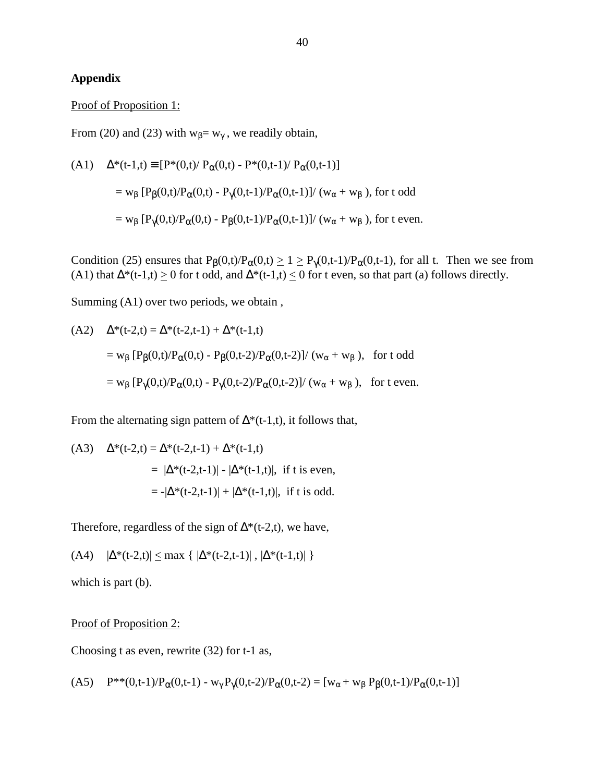## **Appendix**

#### Proof of Proposition 1:

From (20) and (23) with  $w_\beta = w_\gamma$ , we readily obtain,

(A1) 
$$
\Delta^*(t-1,t) = [P^*(0,t)/P_α(0,t) - P^*(0,t-1)/P_α(0,t-1)]
$$
  
=  $w_\beta [P_\beta(0,t)/P_\alpha(0,t) - P_\gamma(0,t-1)/P_\alpha(0,t-1)]/(w_\alpha + w_\beta)$ , for t odd  
=  $w_\beta [P_\gamma(0,t)/P_\alpha(0,t) - P_\beta(0,t-1)/P_\alpha(0,t-1)]/(w_\alpha + w_\beta)$ , for t even.

Condition (25) ensures that  $P_\beta(0,t)/P_\alpha(0,t) \geq 1 \geq P_\gamma(0,t-1)/P_\alpha(0,t-1)$ , for all t. Then we see from (A1) that  $\Delta^*(t-1,t) \ge 0$  for t odd, and  $\Delta^*(t-1,t) \le 0$  for t even, so that part (a) follows directly.

Summing (A1) over two periods, we obtain ,

(A2) 
$$
\Delta^*(t-2,t) = \Delta^*(t-2,t-1) + \Delta^*(t-1,t)
$$
  
=  $w_{\beta} [P_{\beta}(0,t)/P_{\alpha}(0,t) - P_{\beta}(0,t-2)/P_{\alpha}(0,t-2)] / (w_{\alpha} + w_{\beta})$ , for t odd  
=  $w_{\beta} [P_{\gamma}(0,t)/P_{\alpha}(0,t) - P_{\gamma}(0,t-2)/P_{\alpha}(0,t-2)] / (w_{\alpha} + w_{\beta})$ , for t even.

From the alternating sign pattern of  $\Delta^*(t-1,t)$ , it follows that,

(A3) 
$$
\Delta^*(t-2,t) = \Delta^*(t-2,t-1) + \Delta^*(t-1,t)
$$

$$
= |\Delta^*(t-2,t-1)| - |\Delta^*(t-1,t)|, \text{ if t is even,}
$$

$$
= -|\Delta^*(t-2,t-1)| + |\Delta^*(t-1,t)|, \text{ if t is odd.}
$$

Therefore, regardless of the sign of  $\Delta^*(t-2,t)$ , we have,

(A4) 
$$
|\Delta^*(t-2,t)| \le \max \{ |\Delta^*(t-2,t-1)|, |\Delta^*(t-1,t)| \}
$$

which is part (b).

Proof of Proposition 2:

Choosing t as even, rewrite (32) for t-1 as,

(A5) 
$$
P^{**}(0,t-1)/P_{\alpha}(0,t-1) - w_{\gamma}P_{\gamma}(0,t-2)/P_{\alpha}(0,t-2) = [w_{\alpha} + w_{\beta}P_{\beta}(0,t-1)/P_{\alpha}(0,t-1)]
$$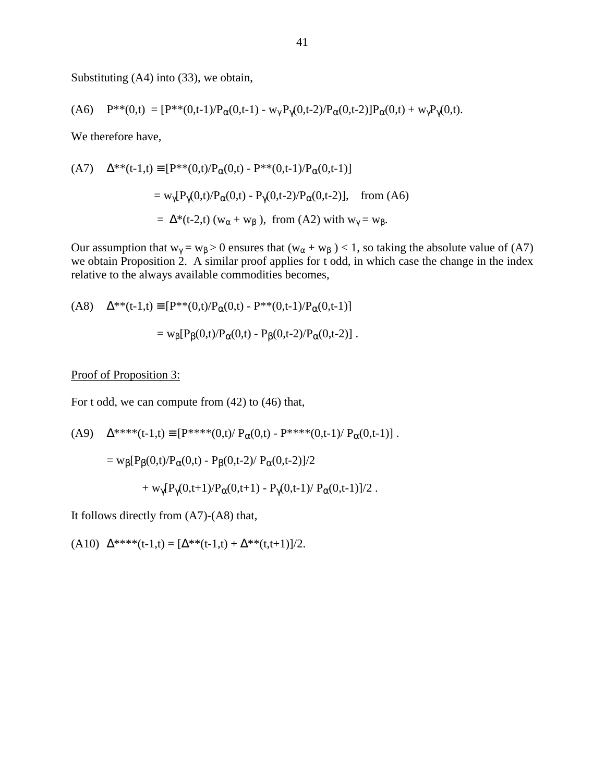Substituting (A4) into (33), we obtain,

(A6) 
$$
P^{**}(0,t) = [P^{**}(0,t-1)/P_{\alpha}(0,t-1) - w_{\gamma}P_{\gamma}(0,t-2)/P_{\alpha}(0,t-2)]P_{\alpha}(0,t) + w_{\gamma}P_{\gamma}(0,t).
$$

We therefore have,

(A7) 
$$
\Delta^{**}(t-1,t) = [P^{**}(0,t)/P_α(0,t) - P^{**}(0,t-1)/P_α(0,t-1)]
$$
  
=  $w_γ[P_γ(0,t)/P_α(0,t) - P_γ(0,t-2)/P_α(0,t-2)]$ , from (A6)  
=  $\Delta^*(t-2,t)$  ( $w_α + w_β$ ), from (A2) with  $w_γ = w_β$ .

Our assumption that  $w_{\gamma} = w_{\beta} > 0$  ensures that  $(w_{\alpha} + w_{\beta}) < 1$ , so taking the absolute value of (A7) we obtain Proposition 2. A similar proof applies for t odd, in which case the change in the index relative to the always available commodities becomes,

(A8) 
$$
\Delta^{**}(t-1,t) = [P^{**}(0,t)/P_α(0,t) - P^{**}(0,t-1)/P_α(0,t-1)]
$$

$$
= w_β[P_β(0,t)/P_α(0,t) - P_β(0,t-2)/P_α(0,t-2)].
$$

#### Proof of Proposition 3:

For t odd, we can compute from (42) to (46) that,

(A9) 
$$
\Delta^{***}(t-1,t) \equiv [P^{***}(0,t)/ P_{\alpha}(0,t) - P^{***}(0,t-1)/ P_{\alpha}(0,t-1)] .
$$

$$
= w_{\beta}[P_{\beta}(0,t)/P_{\alpha}(0,t) - P_{\beta}(0,t-2)/ P_{\alpha}(0,t-2)]/2
$$

$$
+ w_{\gamma}[P_{\gamma}(0,t+1)/P_{\alpha}(0,t+1) - P_{\gamma}(0,t-1)/ P_{\alpha}(0,t-1)]/2 .
$$

It follows directly from (A7)-(A8) that,

(A10)  $\Delta^{***}(t-1,t) = [\Delta^{**}(t-1,t) + \Delta^{**}(t,t+1)]/2.$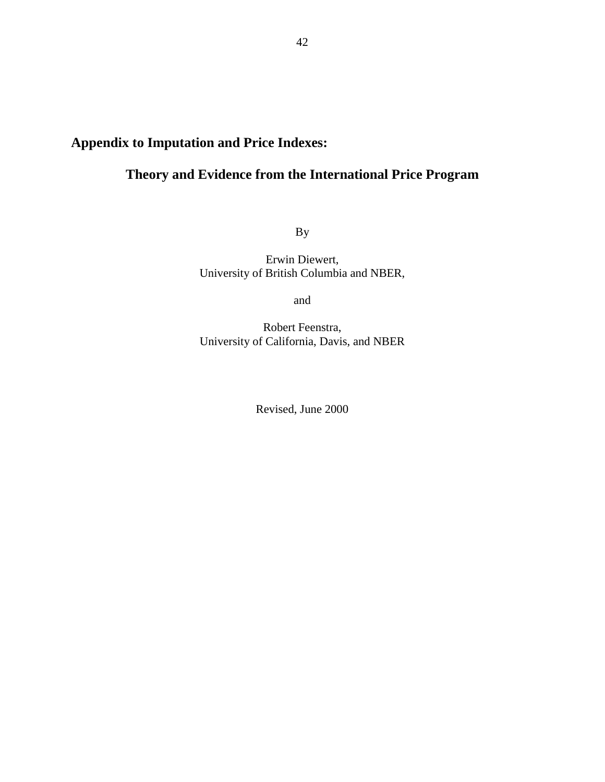# **Appendix to Imputation and Price Indexes:**

# **Theory and Evidence from the International Price Program**

By

Erwin Diewert, University of British Columbia and NBER,

and

Robert Feenstra, University of California, Davis, and NBER

Revised, June 2000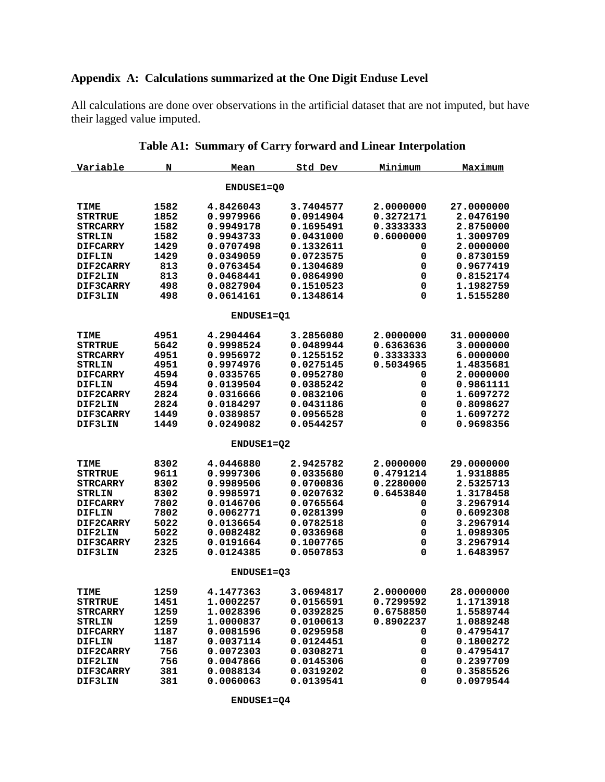# **Appendix A: Calculations summarized at the One Digit Enduse Level**

All calculations are done over observations in the artificial dataset that are not imputed, but have their lagged value imputed.

| Variable        | N    | Mean              | Std Dev   | Minimum   | Maximum    |
|-----------------|------|-------------------|-----------|-----------|------------|
|                 |      | ENDUSE1=Q0        |           |           |            |
| TIME            | 1582 | 4.8426043         | 3.7404577 | 2.0000000 | 27.0000000 |
| <b>STRTRUE</b>  | 1852 | 0.9979966         | 0.0914904 | 0.3272171 | 2.0476190  |
| <b>STRCARRY</b> | 1582 | 0.9949178         | 0.1695491 | 0.3333333 | 2.8750000  |
| <b>STRLIN</b>   | 1582 | 0.9943733         | 0.0431000 | 0.6000000 | 1.3009709  |
| <b>DIFCARRY</b> | 1429 | 0.0707498         | 0.1332611 | 0         | 2.0000000  |
| DIFLIN          | 1429 | 0.0349059         | 0.0723575 | 0         | 0.8730159  |
| DIF2CARRY       | 813  | 0.0763454         | 0.1304689 | 0         | 0.9677419  |
| <b>DIF2LIN</b>  | 813  | 0.0468441         | 0.0864990 | 0         | 0.8152174  |
| DIF3CARRY       | 498  | 0.0827904         | 0.1510523 | 0         | 1.1982759  |
| DIF3LIN         | 498  | 0.0614161         | 0.1348614 | 0         | 1.5155280  |
|                 |      | <b>ENDUSE1=Q1</b> |           |           |            |
| TIME            | 4951 | 4.2904464         | 3.2856080 | 2.0000000 | 31.0000000 |
| <b>STRTRUE</b>  | 5642 | 0.9998524         | 0.0489944 | 0.6363636 | 3.0000000  |
| <b>STRCARRY</b> | 4951 | 0.9956972         | 0.1255152 | 0.3333333 | 6.0000000  |
| <b>STRLIN</b>   | 4951 | 0.9974976         | 0.0275145 | 0.5034965 | 1.4835681  |
| <b>DIFCARRY</b> | 4594 | 0.0335765         | 0.0952780 | 0         | 2.0000000  |
| DIFLIN          | 4594 | 0.0139504         | 0.0385242 | 0         | 0.9861111  |
| DIF2CARRY       | 2824 | 0.0316666         | 0.0832106 | 0         | 1.6097272  |
| DIF2LIN         | 2824 | 0.0184297         | 0.0431186 | 0         | 0.8098627  |
| DIF3CARRY       | 1449 | 0.0389857         | 0.0956528 | 0         | 1.6097272  |
| <b>DIF3LIN</b>  | 1449 | 0.0249082         | 0.0544257 | 0         | 0.9698356  |
|                 |      |                   |           |           |            |
|                 |      | <b>ENDUSE1=02</b> |           |           |            |
| TIME            | 8302 | 4.0446880         | 2.9425782 | 2.0000000 | 29.0000000 |
| <b>STRTRUE</b>  | 9611 | 0.9997306         | 0.0335680 | 0.4791214 | 1.9318885  |
| <b>STRCARRY</b> | 8302 | 0.9989506         | 0.0700836 | 0.2280000 | 2.5325713  |
| <b>STRLIN</b>   | 8302 | 0.9985971         | 0.0207632 | 0.6453840 | 1.3178458  |
| <b>DIFCARRY</b> | 7802 | 0.0146706         | 0.0765564 | 0         | 3.2967914  |
| <b>DIFLIN</b>   | 7802 | 0.0062771         | 0.0281399 | 0         | 0.6092308  |
| DIF2CARRY       | 5022 | 0.0136654         | 0.0782518 | 0         | 3.2967914  |
| <b>DIF2LIN</b>  | 5022 | 0.0082482         | 0.0336968 | 0         | 1.0989305  |
| DIF3CARRY       | 2325 | 0.0191664         | 0.1007765 | 0         | 3.2967914  |
| DIF3LIN         | 2325 | 0.0124385         | 0.0507853 | 0         | 1.6483957  |
|                 |      | <b>ENDUSE1=Q3</b> |           |           |            |
| TIME            | 1259 | 4.1477363         | 3.0694817 | 2.0000000 | 28.0000000 |
| <b>STRTRUE</b>  | 1451 | 1.0002257         | 0.0156591 | 0.7299592 | 1.1713918  |
| <b>STRCARRY</b> | 1259 | 1.0028396         | 0.0392825 | 0.6758850 | 1.5589744  |
| <b>STRLIN</b>   | 1259 | 1.0000837         | 0.0100613 | 0.8902237 | 1.0889248  |
| <b>DIFCARRY</b> | 1187 | 0.0081596         | 0.0295958 | 0         | 0.4795417  |
| <b>DIFLIN</b>   | 1187 | 0.0037114         | 0.0124451 | 0         | 0.1800272  |
| DIF2CARRY       | 756  | 0.0072303         | 0.0308271 | 0         | 0.4795417  |
| DIF2LIN         | 756  | 0.0047866         | 0.0145306 | 0         | 0.2397709  |
| DIF3CARRY       | 381  | 0.0088134         | 0.0319202 | 0         | 0.3585526  |
| DIF3LIN         | 381  | 0.0060063         | 0.0139541 | 0         | 0.0979544  |

|  |  |  |  |  | Table A1: Summary of Carry forward and Linear Interpolation |
|--|--|--|--|--|-------------------------------------------------------------|
|--|--|--|--|--|-------------------------------------------------------------|

 **ENDUSE1=Q4**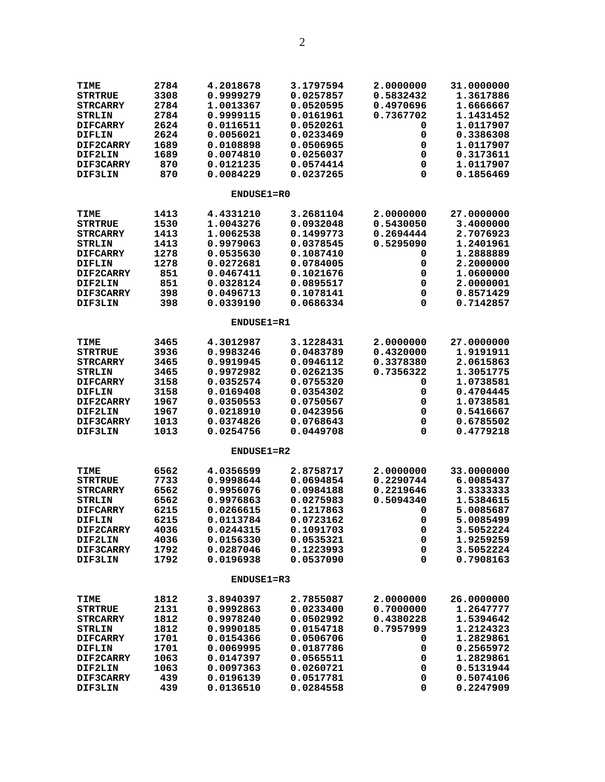| TIME             | 2784 | 4.2018678         | 3.1797594 | 2.0000000 | 31.0000000 |
|------------------|------|-------------------|-----------|-----------|------------|
| <b>STRTRUE</b>   | 3308 | 0.9999279         | 0.0257857 | 0.5832432 | 1.3617886  |
| <b>STRCARRY</b>  | 2784 | 1.0013367         | 0.0520595 | 0.4970696 | 1.6666667  |
| <b>STRLIN</b>    | 2784 | 0.9999115         | 0.0161961 | 0.7367702 | 1.1431452  |
| <b>DIFCARRY</b>  | 2624 | 0.0116511         | 0.0520261 | 0         | 1.0117907  |
| <b>DIFLIN</b>    | 2624 | 0.0056021         | 0.0233469 | 0         | 0.3386308  |
| DIF2CARRY        | 1689 | 0.0108898         | 0.0506965 | 0         | 1.0117907  |
| <b>DIF2LIN</b>   | 1689 | 0.0074810         | 0.0256037 | 0         | 0.3173611  |
| DIF3CARRY        | 870  | 0.0121235         | 0.0574414 | 0         | 1.0117907  |
| DIF3LIN          | 870  | 0.0084229         | 0.0237265 | 0         | 0.1856469  |
|                  |      |                   |           |           |            |
|                  |      | ENDUSE1=R0        |           |           |            |
| <b>TIME</b>      | 1413 | 4.4331210         | 3.2681104 | 2.0000000 | 27.0000000 |
| <b>STRTRUE</b>   | 1530 | 1.0043276         | 0.0932048 | 0.5430050 | 3.4000000  |
| <b>STRCARRY</b>  | 1413 | 1.0062538         | 0.1499773 | 0.2694444 | 2.7076923  |
| <b>STRLIN</b>    | 1413 | 0.9979063         | 0.0378545 | 0.5295090 | 1.2401961  |
| <b>DIFCARRY</b>  | 1278 | 0.0535630         | 0.1087410 | 0         | 1.2888889  |
| DIFLIN           | 1278 | 0.0272681         | 0.0784005 | 0         | 2.2000000  |
| <b>DIF2CARRY</b> | 851  | 0.0467411         | 0.1021676 | 0         | 1.0600000  |
| <b>DIF2LIN</b>   | 851  | 0.0328124         | 0.0895517 | 0         | 2.0000001  |
| DIF3CARRY        | 398  | 0.0496713         | 0.1078141 | 0         | 0.8571429  |
|                  | 398  | 0.0339190         | 0.0686334 | 0         | 0.7142857  |
| <b>DIF3LIN</b>   |      |                   |           |           |            |
|                  |      | <b>ENDUSE1=R1</b> |           |           |            |
| TIME             | 3465 | 4.3012987         | 3.1228431 | 2.0000000 | 27.0000000 |
| <b>STRTRUE</b>   | 3936 | 0.9983246         | 0.0483789 | 0.4320000 | 1.9191911  |
| <b>STRCARRY</b>  | 3465 | 0.9919945         | 0.0946112 | 0.3378380 | 2.0615863  |
| <b>STRLIN</b>    | 3465 | 0.9972982         | 0.0262135 | 0.7356322 | 1.3051775  |
| <b>DIFCARRY</b>  | 3158 | 0.0352574         | 0.0755320 | 0         | 1.0738581  |
| <b>DIFLIN</b>    | 3158 | 0.0169408         | 0.0354302 | 0         | 0.4704445  |
| <b>DIF2CARRY</b> | 1967 | 0.0350553         | 0.0750567 | 0         | 1.0738581  |
|                  | 1967 | 0.0218910         | 0.0423956 | 0         | 0.5416667  |
| <b>DIF2LIN</b>   |      |                   |           |           |            |
| DIF3CARRY        | 1013 | 0.0374826         | 0.0768643 | 0         | 0.6785502  |
| DIF3LIN          | 1013 | 0.0254756         | 0.0449708 | 0         | 0.4779218  |
|                  |      | <b>ENDUSE1=R2</b> |           |           |            |
| TIME             | 6562 | 4.0356599         | 2.8758717 | 2.0000000 | 33.0000000 |
| <b>STRTRUE</b>   | 7733 | 0.9998644         | 0.0694854 | 0.2290744 | 6.0085437  |
| <b>STRCARRY</b>  | 6562 | 0.9956076         | 0.0984188 | 0.2219646 | 3.3333333  |
| <b>STRLIN</b>    | 6562 | 0.9976863         | 0.0275983 | 0.5094340 | 1.5384615  |
| <b>DIFCARRY</b>  | 6215 | 0.0266615         | 0.1217863 | 0         | 5.0085687  |
|                  | 6215 | 0.0113784         | 0.0723162 |           | 5.0085499  |
| DIFLIN           |      |                   |           | 0         |            |
| DIF2CARRY        | 4036 | 0.0244315         | 0.1091703 | 0         | 3.5052224  |
| <b>DIF2LIN</b>   | 4036 | 0.0156330         | 0.0535321 | 0         | 1.9259259  |
| DIF3CARRY        | 1792 | 0.0287046         | 0.1223993 | 0         | 3.5052224  |
| DIF3LIN          | 1792 | 0.0196938         | 0.0537090 | 0         | 0.7908163  |
|                  |      | ENDUSE1=R3        |           |           |            |
|                  | 1812 | 3.8940397         |           | 2.0000000 | 26.0000000 |
| <b>TIME</b>      |      |                   | 2.7855087 | 0.7000000 |            |
| <b>STRTRUE</b>   | 2131 | 0.9992863         | 0.0233400 |           | 1.2647777  |
| <b>STRCARRY</b>  | 1812 | 0.9978240         | 0.0502992 | 0.4380228 | 1.5394642  |
| <b>STRLIN</b>    | 1812 | 0.9990185         | 0.0154718 | 0.7957999 | 1.2124323  |
| <b>DIFCARRY</b>  | 1701 | 0.0154366         | 0.0506706 | 0         | 1.2829861  |
| <b>DIFLIN</b>    | 1701 | 0.0069995         | 0.0187786 | 0         | 0.2565972  |
| <b>DIF2CARRY</b> | 1063 | 0.0147397         | 0.0565511 | 0         | 1.2829861  |
| DIF2LIN          | 1063 | 0.0097363         | 0.0260721 | 0         | 0.5131944  |
| DIF3CARRY        | 439  | 0.0196139         | 0.0517781 | 0         | 0.5074106  |
| DIF3LIN          | 439  | 0.0136510         | 0.0284558 | 0         | 0.2247909  |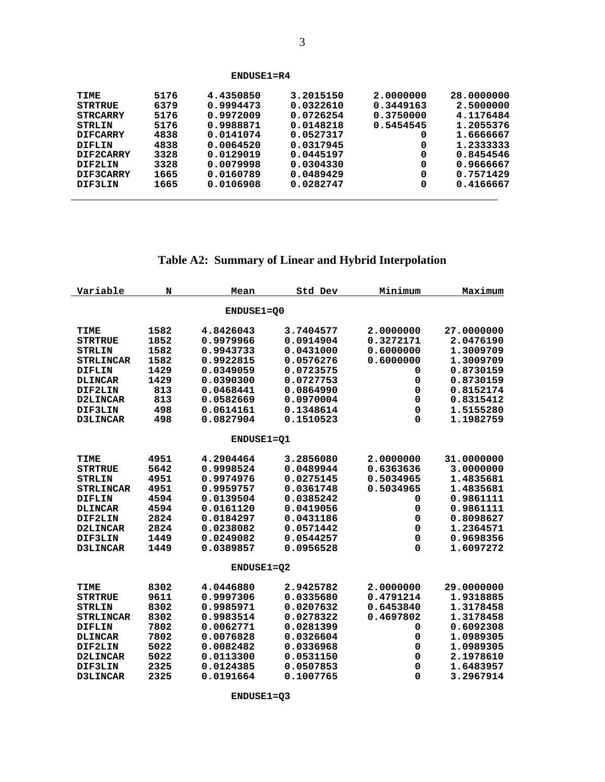| $ENDUSE1=R4$    |      |           |           |           |            |  |
|-----------------|------|-----------|-----------|-----------|------------|--|
| TIME            | 5176 | 4.4350850 | 3.2015150 | 2,0000000 | 28,0000000 |  |
| <b>STRTRUE</b>  | 6379 | 0.9994473 | 0.0322610 | 0.3449163 | 2.5000000  |  |
| <b>STRCARRY</b> | 5176 | 0.9972009 | 0.0726254 | 0.3750000 | 4.1176484  |  |
| STRLIN          | 5176 | 0.9988871 | 0.0148218 | 0.5454545 | 1.2055376  |  |
| <b>DIFCARRY</b> | 4838 | 0.0141074 | 0.0527317 | 0         | 1.6666667  |  |
| DIFLIN          | 4838 | 0.0064520 | 0.0317945 | 0         | 1.2333333  |  |
| DIF2CARRY       | 3328 | 0.0129019 | 0.0445197 | 0         | 0.8454546  |  |
| DIF2LIN         | 3328 | 0.0079998 | 0.0304330 | 0         | 0.9666667  |  |
| DIF3CARRY       | 1665 | 0.0160789 | 0.0489429 | 0         | 0.7571429  |  |
| DIF3LIN         | 1665 | 0.0106908 | 0.0282747 | 0         | 0.4166667  |  |
|                 |      |           |           |           |            |  |

l

# **Table A2: Summary of Linear and Hybrid Interpolation**

| Variable         | N    | Mean       | Std Dev   | Minimum   | Maximum    |
|------------------|------|------------|-----------|-----------|------------|
|                  |      | ENDUSE1=00 |           |           |            |
| TIME             | 1582 | 4.8426043  | 3.7404577 | 2.0000000 | 27.0000000 |
| <b>STRTRUE</b>   | 1852 | 0.9979966  | 0.0914904 | 0.3272171 | 2.0476190  |
| <b>STRLIN</b>    | 1582 | 0.9943733  | 0.0431000 | 0.6000000 | 1.3009709  |
| <b>STRLINCAR</b> | 1582 | 0.9922815  | 0.0576276 | 0.6000000 | 1.3009709  |
| <b>DIFLIN</b>    | 1429 | 0.0349059  | 0.0723575 | 0         | 0.8730159  |
| <b>DLINCAR</b>   | 1429 | 0.0390300  | 0.0727753 | 0         | 0.8730159  |
| DIF2LIN          | 813  | 0.0468441  | 0.0864990 | 0         | 0.8152174  |
| D2LINCAR         | 813  | 0.0582669  | 0.0970004 | 0         | 0.8315412  |
| DIF3LIN          | 498  | 0.0614161  | 0.1348614 | 0         | 1.5155280  |
| D3LINCAR         | 498  | 0.0827904  | 0.1510523 | $\Omega$  | 1.1982759  |
|                  |      | ENDUSE1=01 |           |           |            |
| TIME             | 4951 | 4.2904464  | 3.2856080 | 2.0000000 | 31.0000000 |
| <b>STRTRUE</b>   | 5642 | 0.9998524  | 0.0489944 | 0.6363636 | 3.0000000  |
| <b>STRLIN</b>    | 4951 | 0.9974976  | 0.0275145 | 0.5034965 | 1.4835681  |
| <b>STRLINCAR</b> | 4951 | 0.9959757  | 0.0361748 | 0.5034965 | 1.4835681  |
| <b>DIFLIN</b>    | 4594 | 0.0139504  | 0.0385242 | 0         | 0.9861111  |
| <b>DLINCAR</b>   | 4594 | 0.0161120  | 0.0419056 | 0         | 0.9861111  |
| DIF2LIN          | 2824 | 0.0184297  | 0.0431186 | 0         | 0.8098627  |
| D2LINCAR         | 2824 | 0.0238082  | 0.0571442 | 0         | 1.2364571  |
| DIF3LIN          | 1449 | 0.0249082  | 0.0544257 | 0         | 0.9698356  |
| D3LINCAR         | 1449 | 0.0389857  | 0.0956528 | $\Omega$  | 1.6097272  |
|                  |      | ENDUSE1=02 |           |           |            |
| TIME             | 8302 | 4.0446880  | 2.9425782 | 2.0000000 | 29.0000000 |
| <b>STRTRUE</b>   | 9611 | 0.9997306  | 0.0335680 | 0.4791214 | 1.9318885  |
| <b>STRLIN</b>    | 8302 | 0.9985971  | 0.0207632 | 0.6453840 | 1.3178458  |
| <b>STRLINCAR</b> | 8302 | 0.9983514  | 0.0278322 | 0.4697802 | 1.3178458  |
| <b>DIFLIN</b>    | 7802 | 0.0062771  | 0.0281399 | 0         | 0.6092308  |
| <b>DLINCAR</b>   | 7802 | 0.0076828  | 0.0326604 | 0         | 1.0989305  |
| DIF2LIN          | 5022 | 0.0082482  | 0.0336968 | 0         | 1.0989305  |
| D2LINCAR         | 5022 | 0.0113300  | 0.0531150 | 0         | 2.1978610  |
| DIF3LIN          | 2325 | 0.0124385  | 0.0507853 | 0         | 1.6483957  |
| <b>D3LINCAR</b>  | 2325 | 0.0191664  | 0.1007765 | 0         | 3.2967914  |

 **ENDUSE1=Q3**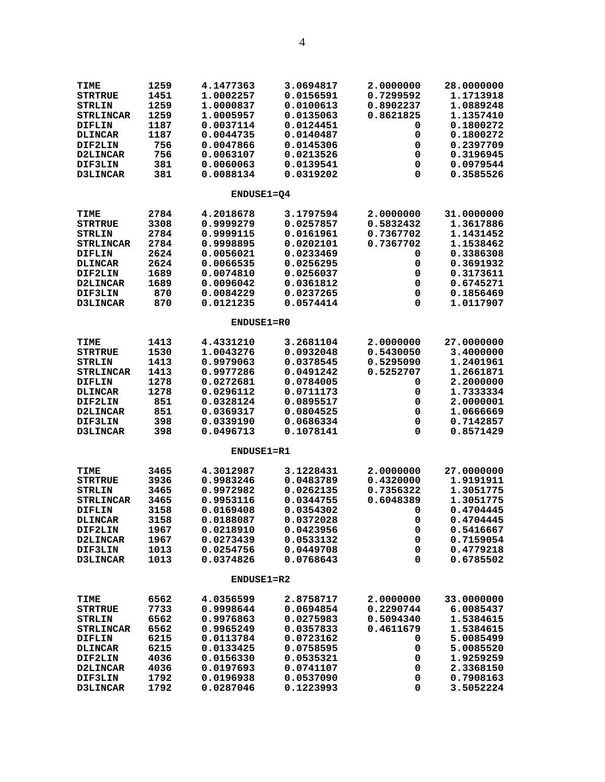| <b>TIME</b><br><b>STRTRUE</b><br><b>STRLIN</b><br><b>STRLINCAR</b> | 1259<br>1451<br>1259<br>1259 | 4.1477363<br>1.0002257<br>1.0000837<br>1.0005957 | 3.0694817<br>0.0156591<br>0.0100613<br>0.0135063 | 2.0000000<br>0.7299592<br>0.8902237<br>0.8621825 | 28.0000000<br>1.1713918<br>1.0889248<br>1.1357410 |
|--------------------------------------------------------------------|------------------------------|--------------------------------------------------|--------------------------------------------------|--------------------------------------------------|---------------------------------------------------|
| DIFLIN<br><b>DLINCAR</b>                                           | 1187<br>1187                 | 0.0037114<br>0.0044735                           | 0.0124451<br>0.0140487                           | 0<br>0                                           | 0.1800272<br>0.1800272                            |
| <b>DIF2LIN</b>                                                     | 756                          | 0.0047866                                        | 0.0145306                                        | 0                                                | 0.2397709                                         |
| <b>D2LINCAR</b>                                                    | 756                          | 0.0063107                                        | 0.0213526                                        | 0                                                | 0.3196945                                         |
| <b>DIF3LIN</b>                                                     | 381                          | 0.0060063                                        | 0.0139541                                        | 0                                                | 0.0979544                                         |
| D3LINCAR                                                           | 381                          | 0.0088134                                        | 0.0319202                                        | 0                                                | 0.3585526                                         |
|                                                                    |                              | ENDUSE1=04                                       |                                                  |                                                  |                                                   |
| <b>TIME</b>                                                        | 2784                         | 4.2018678                                        | 3.1797594                                        | 2.0000000                                        | 31.0000000                                        |
| <b>STRTRUE</b>                                                     | 3308                         | 0.9999279                                        | 0.0257857<br>0.0161961                           | 0.5832432                                        | 1.3617886                                         |
| <b>STRLIN</b><br><b>STRLINCAR</b>                                  | 2784<br>2784                 | 0.9999115<br>0.9998895                           | 0.0202101                                        | 0.7367702<br>0.7367702                           | 1.1431452<br>1.1538462                            |
| DIFLIN                                                             | 2624                         | 0.0056021                                        | 0.0233469                                        | 0                                                | 0.3386308                                         |
| <b>DLINCAR</b>                                                     | 2624                         | 0.0066535                                        | 0.0256295                                        | 0                                                | 0.3691932                                         |
| DIF2LIN                                                            | 1689                         | 0.0074810                                        | 0.0256037                                        | 0                                                | 0.3173611                                         |
| <b>D2LINCAR</b>                                                    | 1689                         | 0.0096042                                        | 0.0361812                                        | 0                                                | 0.6745271                                         |
| <b>DIF3LIN</b><br><b>D3LINCAR</b>                                  | 870<br>870                   | 0.0084229<br>0.0121235                           | 0.0237265<br>0.0574414                           | 0<br>0                                           | 0.1856469<br>1.0117907                            |
|                                                                    |                              | <b>ENDUSE1=R0</b>                                |                                                  |                                                  |                                                   |
|                                                                    |                              |                                                  |                                                  |                                                  |                                                   |
| TIME                                                               | 1413                         | 4.4331210                                        | 3.2681104                                        | 2.0000000                                        | 27.0000000                                        |
| <b>STRTRUE</b>                                                     | 1530                         | 1.0043276                                        | 0.0932048                                        | 0.5430050                                        | 3.4000000                                         |
| <b>STRLIN</b>                                                      | 1413<br>1413                 | 0.9979063<br>0.9977286                           | 0.0378545<br>0.0491242                           | 0.5295090<br>0.5252707                           | 1.2401961<br>1.2661871                            |
| <b>STRLINCAR</b><br><b>DIFLIN</b>                                  | 1278                         | 0.0272681                                        | 0.0784005                                        | 0                                                | 2.2000000                                         |
| <b>DLINCAR</b>                                                     | 1278                         | 0.0296112                                        | 0.0711173                                        | 0                                                | 1.7333334                                         |
| <b>DIF2LIN</b>                                                     | 851                          | 0.0328124                                        | 0.0895517                                        | 0                                                | 2.0000001                                         |
| <b>D2LINCAR</b>                                                    | 851                          | 0.0369317                                        | 0.0804525                                        | 0                                                | 1.0666669                                         |
| DIF3LIN                                                            | 398<br>398                   | 0.0339190<br>0.0496713                           | 0.0686334<br>0.1078141                           | 0<br>0                                           | 0.7142857<br>0.8571429                            |
| <b>D3LINCAR</b>                                                    |                              |                                                  |                                                  |                                                  |                                                   |
|                                                                    |                              | <b>ENDUSE1=R1</b>                                |                                                  |                                                  |                                                   |
| <b>TIME</b>                                                        | 3465                         | 4.3012987                                        | 3.1228431                                        | 2.0000000                                        | 27.0000000                                        |
| <b>STRTRUE</b>                                                     | 3936                         | 0.9983246                                        | 0.0483789<br>0.0262135                           | 0.4320000                                        | 1.9191911                                         |
| <b>STRLIN</b><br><b>STRLINCAR</b>                                  | 3465<br>3465                 | 0.9972982<br>0.9953116                           | 0.0344755                                        | 0.7356322<br>0.6048389                           | 1.3051775<br>1.3051775                            |
| <b>DIFLIN</b>                                                      | 3158                         | 0.0169408                                        | 0.0354302                                        | 0                                                | 0.4704445                                         |
| <b>DLINCAR</b>                                                     | 3158                         | 0.0188087                                        | 0.0372028                                        | 0                                                | 0.4704445                                         |
| DIF2LIN                                                            | 1967                         | 0.0218910                                        | 0.0423956                                        | 0                                                | 0.5416667                                         |
| D2LINCAR                                                           | 1967                         | 0.0273439                                        | 0.0533132                                        | 0                                                | 0.7159054                                         |
| DIF3LIN<br><b>D3LINCAR</b>                                         | 1013<br>1013                 | 0.0254756<br>0.0374826                           | 0.0449708<br>0.0768643                           | 0<br>0                                           | 0.4779218<br>0.6785502                            |
|                                                                    |                              |                                                  |                                                  |                                                  |                                                   |
|                                                                    |                              | <b>ENDUSE1=R2</b>                                |                                                  |                                                  |                                                   |
| <b>TIME</b>                                                        | 6562                         | 4.0356599                                        | 2.8758717                                        | 2.0000000                                        | 33.0000000                                        |
| <b>STRTRUE</b>                                                     | 7733<br>6562                 | 0.9998644<br>0.9976863                           | 0.0694854<br>0.0275983                           | 0.2290744<br>0.5094340                           | 6.0085437<br>1.5384615                            |
| <b>STRLIN</b><br><b>STRLINCAR</b>                                  | 6562                         | 0.9965249                                        | 0.0357833                                        | 0.4611679                                        | 1.5384615                                         |
| DIFLIN                                                             | 6215                         | 0.0113784                                        | 0.0723162                                        | 0                                                | 5.0085499                                         |
| <b>DLINCAR</b>                                                     | 6215                         | 0.0133425                                        | 0.0758595                                        | 0                                                | 5.0085520                                         |
| DIF2LIN                                                            | 4036                         | 0.0156330                                        | 0.0535321                                        | 0                                                | 1.9259259                                         |
| D2LINCAR                                                           | 4036                         | 0.0197693                                        | 0.0741107                                        | 0                                                | 2.3368150                                         |
| <b>DIF3LIN</b><br>D3LINCAR                                         | 1792<br>1792                 | 0.0196938<br>0.0287046                           | 0.0537090<br>0.1223993                           | 0<br>0                                           | 0.7908163<br>3.5052224                            |
|                                                                    |                              |                                                  |                                                  |                                                  |                                                   |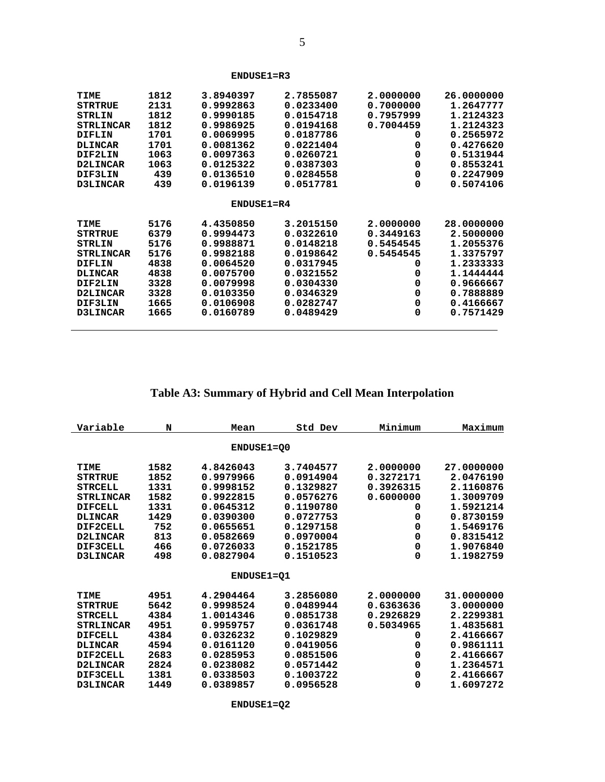| TIME             | 1812 | 3.8940397    | 2.7855087 | 2.0000000 | 26.0000000 |
|------------------|------|--------------|-----------|-----------|------------|
| <b>STRTRUE</b>   | 2131 | 0.9992863    | 0.0233400 | 0.7000000 | 1.2647777  |
| STRLIN           | 1812 | 0.9990185    | 0.0154718 | 0.7957999 | 1.2124323  |
| <b>STRLINCAR</b> | 1812 | 0.9986925    | 0.0194168 | 0.7004459 | 1.2124323  |
| DIFLIN           | 1701 | 0.0069995    | 0.0187786 | 0         | 0.2565972  |
| DLINCAR          | 1701 | 0.0081362    | 0.0221404 | 0         | 0.4276620  |
| DIF2LIN          | 1063 | 0.0097363    | 0.0260721 | 0         | 0.5131944  |
| D2LINCAR         | 1063 | 0.0125322    | 0.0387303 | 0         | 0.8553241  |
| DIF3LIN          | 439  | 0.0136510    | 0.0284558 | 0         | 0.2247909  |
| <b>D3LINCAR</b>  | 439  | 0.0196139    | 0.0517781 | 0         | 0.5074106  |
|                  |      |              |           |           |            |
|                  |      | $ENDUSE1=R4$ |           |           |            |
| TIME             | 5176 | 4.4350850    | 3.2015150 | 2.0000000 | 28,0000000 |
| <b>STRTRUE</b>   | 6379 | 0.9994473    | 0.0322610 | 0.3449163 | 2.5000000  |
| <b>STRLIN</b>    | 5176 | 0.9988871    | 0.0148218 | 0.5454545 | 1.2055376  |
| <b>STRLINCAR</b> | 5176 | 0.9982188    | 0.0198642 | 0.5454545 | 1.3375797  |
| DIFLIN           | 4838 | 0.0064520    | 0.0317945 | 0         | 1.2333333  |
| <b>DLINCAR</b>   | 4838 | 0.0075700    | 0.0321552 | 0         | 1.1444444  |
| DIF2LIN          | 3328 | 0.0079998    | 0.0304330 | 0         | 0.9666667  |
| D2LINCAR         | 3328 | 0.0103350    | 0.0346329 | 0         | 0.7888889  |
| DIF3LIN          | 1665 | 0.0106908    | 0.0282747 | 0         | 0.4166667  |
| <b>D3LINCAR</b>  | 1665 | 0.0160789    | 0.0489429 | $\Omega$  | 0.7571429  |
|                  |      |              |           |           |            |

# **Table A3: Summary of Hybrid and Cell Mean Interpolation**

| Variable         | N    | Mean              | Std Dev   | Minimum   | Maximum    |
|------------------|------|-------------------|-----------|-----------|------------|
|                  |      |                   |           |           |            |
|                  |      | <b>ENDUSE1=Q0</b> |           |           |            |
|                  |      |                   |           |           |            |
| TIME             | 1582 | 4.8426043         | 3.7404577 | 2.0000000 | 27.0000000 |
| <b>STRTRUE</b>   | 1852 | 0.9979966         | 0.0914904 | 0.3272171 | 2.0476190  |
| <b>STRCELL</b>   | 1331 | 0.9998152         | 0.1329827 | 0.3926315 | 2.1160876  |
| <b>STRLINCAR</b> | 1582 | 0.9922815         | 0.0576276 | 0.6000000 | 1.3009709  |
| <b>DIFCELL</b>   | 1331 | 0.0645312         | 0.1190780 | 0         | 1.5921214  |
| <b>DLINCAR</b>   | 1429 | 0.0390300         | 0.0727753 | 0         | 0.8730159  |
| DIF2CELL         | 752  | 0.0655651         | 0.1297158 | 0         | 1.5469176  |
| D2LINCAR         | 813  | 0.0582669         | 0.0970004 | 0         | 0.8315412  |
| DIF3CELL         | 466  | 0.0726033         | 0.1521785 | 0         | 1.9076840  |
| <b>D3LINCAR</b>  | 498  | 0.0827904         | 0.1510523 | 0         | 1.1982759  |
|                  |      |                   |           |           |            |
|                  |      | ENDUSE1=01        |           |           |            |
| TIME             | 4951 | 4.2904464         | 3.2856080 | 2.0000000 | 31,0000000 |
| <b>STRTRUE</b>   | 5642 | 0.9998524         | 0.0489944 | 0.6363636 | 3.0000000  |
| <b>STRCELL</b>   | 4384 | 1.0014346         | 0.0851738 | 0.2926829 | 2.2299381  |
| <b>STRLINCAR</b> | 4951 | 0.9959757         | 0.0361748 | 0.5034965 | 1.4835681  |
| <b>DIFCELL</b>   | 4384 | 0.0326232         | 0.1029829 | 0         | 2.4166667  |
| <b>DLINCAR</b>   | 4594 | 0.0161120         | 0.0419056 | 0         | 0.9861111  |
| DIF2CELL         | 2683 | 0.0285953         | 0.0851506 | 0         | 2.4166667  |
| D2LINCAR         | 2824 | 0.0238082         | 0.0571442 | 0         | 1.2364571  |
| DIF3CELL         | 1381 | 0.0338503         | 0.1003722 | 0         | 2.4166667  |
| <b>D3LINCAR</b>  | 1449 | 0.0389857         | 0.0956528 | 0         | 1.6097272  |
|                  |      |                   |           |           |            |

 **ENDUSE1=Q2**

 **ENDUSE1=R3**

 $\overline{a}$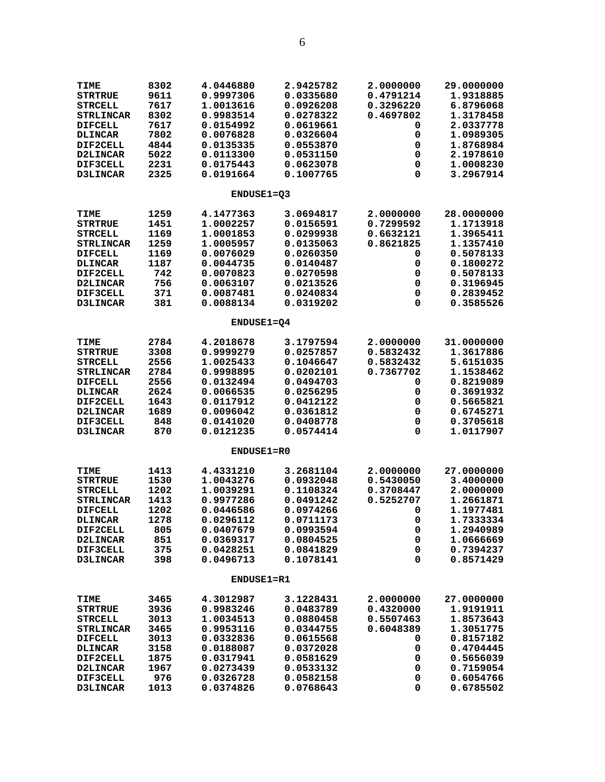| TIME             | 8302 | 4.0446880              | 2.9425782 | 2.0000000   | 29.0000000 |
|------------------|------|------------------------|-----------|-------------|------------|
| <b>STRTRUE</b>   | 9611 | 0.9997306              | 0.0335680 | 0.4791214   | 1.9318885  |
| <b>STRCELL</b>   | 7617 | 1.0013616              | 0.0926208 | 0.3296220   | 6.8796068  |
| <b>STRLINCAR</b> | 8302 | 0.9983514              | 0.0278322 | 0.4697802   | 1.3178458  |
| <b>DIFCELL</b>   | 7617 | 0.0154992              | 0.0619661 | 0           | 2.0337778  |
| <b>DLINCAR</b>   | 7802 | 0.0076828              | 0.0326604 | 0           | 1.0989305  |
| DIF2CELL         | 4844 | 0.0135335              | 0.0553870 | 0           | 1.8768984  |
| <b>D2LINCAR</b>  | 5022 | 0.0113300              | 0.0531150 | 0           | 2.1978610  |
| <b>DIF3CELL</b>  | 2231 | 0.0175443              | 0.0623078 | 0           | 1.0008230  |
| D3LINCAR         | 2325 | 0.0191664              | 0.1007765 | 0           | 3.2967914  |
|                  |      | <b>ENDUSE1=03</b>      |           |             |            |
| TIME             | 1259 | 4.1477363              | 3.0694817 | 2.0000000   | 28.0000000 |
| <b>STRTRUE</b>   | 1451 | 1.0002257              | 0.0156591 | 0.7299592   | 1.1713918  |
| <b>STRCELL</b>   | 1169 | 1.0001853              | 0.0299938 | 0.6632121   | 1.3965411  |
| <b>STRLINCAR</b> | 1259 | 1.0005957              | 0.0135063 | 0.8621825   | 1.1357410  |
| <b>DIFCELL</b>   | 1169 | 0.0076029              | 0.0260350 | 0           | 0.5078133  |
| <b>DLINCAR</b>   | 1187 | 0.0044735              | 0.0140487 | 0           | 0.1800272  |
| DIF2CELL         | 742  | 0.0070823              | 0.0270598 | 0           | 0.5078133  |
|                  | 756  | 0.0063107              | 0.0213526 | 0           | 0.3196945  |
| <b>D2LINCAR</b>  |      |                        |           |             |            |
| DIF3CELL         | 371  | 0.0087481<br>0.0088134 | 0.0240834 | 0           | 0.2839452  |
| D3LINCAR         | 381  |                        | 0.0319202 | 0           | 0.3585526  |
|                  |      | <b>ENDUSE1=04</b>      |           |             |            |
| <b>TIME</b>      | 2784 | 4.2018678              | 3.1797594 | 2.0000000   | 31.0000000 |
| <b>STRTRUE</b>   | 3308 | 0.9999279              | 0.0257857 | 0.5832432   | 1.3617886  |
| <b>STRCELL</b>   | 2556 | 1.0025433              | 0.1046647 | 0.5832432   | 5.6151035  |
| <b>STRLINCAR</b> | 2784 | 0.9998895              | 0.0202101 | 0.7367702   | 1.1538462  |
| <b>DIFCELL</b>   | 2556 | 0.0132494              | 0.0494703 | 0           | 0.8219089  |
| <b>DLINCAR</b>   | 2624 | 0.0066535              | 0.0256295 | 0           | 0.3691932  |
| <b>DIF2CELL</b>  | 1643 | 0.0117912              | 0.0412122 | 0           | 0.5665821  |
| D2LINCAR         | 1689 | 0.0096042              | 0.0361812 | 0           | 0.6745271  |
| DIF3CELL         | 848  | 0.0141020              | 0.0408778 | 0           | 0.3705618  |
| <b>D3LINCAR</b>  | 870  | 0.0121235              | 0.0574414 | 0           | 1.0117907  |
|                  |      | ENDUSE1=R0             |           |             |            |
|                  |      |                        |           |             |            |
| TIME             | 1413 | 4.4331210              | 3.2681104 | 2.0000000   | 27.0000000 |
| <b>STRTRUE</b>   | 1530 | 1.0043276              | 0.0932048 | 0.5430050   | 3.4000000  |
| <b>STRCELL</b>   | 1202 | 1.0039291              | 0.1108324 | 0.3708447   | 2.0000000  |
| <b>STRLINCAR</b> | 1413 | 0.9977286              | 0.0491242 | 0.5252707   | 1.2661871  |
| <b>DIFCELL</b>   | 1202 | 0.0446586              | 0.0974266 | 0           | 1.1977481  |
| <b>DLINCAR</b>   | 1278 | 0.0296112              | 0.0711173 | 0           | 1.7333334  |
| DIF2CELL         | 805  | 0.0407679              | 0.0993594 | $\mathbf 0$ | 1.2940989  |
| D2LINCAR         | 851  | 0.0369317              | 0.0804525 | $\mathbf 0$ | 1.0666669  |
| DIF3CELL         | 375  | 0.0428251              | 0.0841829 | 0           | 0.7394237  |
| D3LINCAR         | 398  | 0.0496713              | 0.1078141 | 0           | 0.8571429  |
|                  |      | <b>ENDUSE1=R1</b>      |           |             |            |
| TIME             | 3465 | 4.3012987              | 3.1228431 | 2.0000000   | 27.0000000 |
| <b>STRTRUE</b>   | 3936 | 0.9983246              | 0.0483789 | 0.4320000   | 1.9191911  |
| <b>STRCELL</b>   | 3013 | 1.0034513              | 0.0880458 | 0.5507463   | 1.8573643  |
| <b>STRLINCAR</b> | 3465 | 0.9953116              | 0.0344755 | 0.6048389   | 1.3051775  |
| <b>DIFCELL</b>   | 3013 | 0.0332836              | 0.0615568 | 0           | 0.8157182  |
| <b>DLINCAR</b>   | 3158 | 0.0188087              | 0.0372028 | 0           | 0.4704445  |
| DIF2CELL         | 1875 | 0.0317941              | 0.0581629 | 0           | 0.5656039  |
| D2LINCAR         | 1967 | 0.0273439              | 0.0533132 | 0           | 0.7159054  |
| DIF3CELL         | 976  | 0.0326728              | 0.0582158 | 0           | 0.6054766  |
| D3LINCAR         | 1013 | 0.0374826              | 0.0768643 | 0           | 0.6785502  |
|                  |      |                        |           |             |            |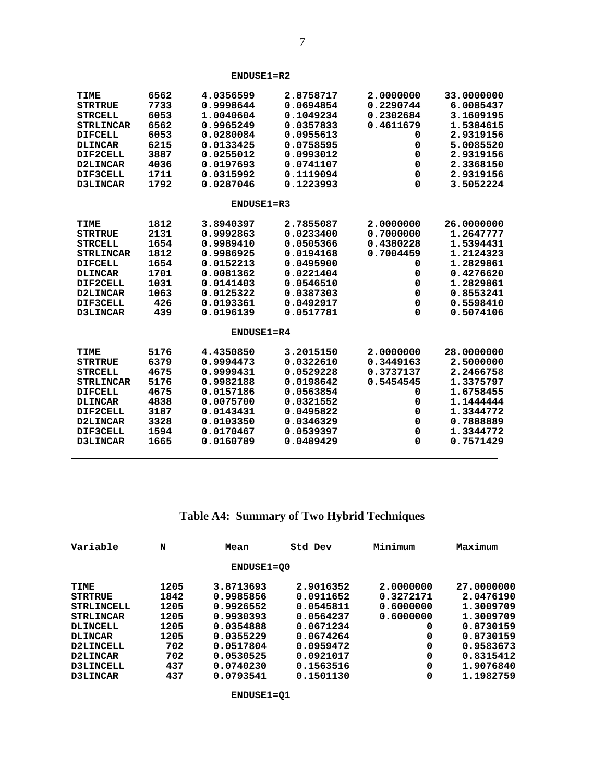| <b>TIME</b>      | 6562 | 4.0356599    | 2.8758717 | 2.0000000 | 33.0000000 |
|------------------|------|--------------|-----------|-----------|------------|
| <b>STRTRUE</b>   | 7733 | 0.9998644    | 0.0694854 | 0.2290744 | 6.0085437  |
| <b>STRCELL</b>   | 6053 | 1.0040604    | 0.1049234 | 0.2302684 | 3.1609195  |
| <b>STRLINCAR</b> | 6562 | 0.9965249    | 0.0357833 | 0.4611679 | 1.5384615  |
| <b>DIFCELL</b>   | 6053 | 0.0280084    | 0.0955613 | 0         | 2.9319156  |
| <b>DLINCAR</b>   | 6215 | 0.0133425    | 0.0758595 | 0         | 5.0085520  |
| DIF2CELL         | 3887 | 0.0255012    | 0.0993012 | 0         | 2.9319156  |
| D2LINCAR         | 4036 | 0.0197693    | 0.0741107 | 0         | 2.3368150  |
| DIF3CELL         | 1711 | 0.0315992    | 0.1119094 | 0         | 2.9319156  |
| D3LINCAR         | 1792 | 0.0287046    | 0.1223993 | 0         | 3.5052224  |
|                  |      | $ENDUSE1=R3$ |           |           |            |
| TIME             | 1812 | 3.8940397    | 2.7855087 | 2.0000000 | 26.0000000 |
| <b>STRTRUE</b>   | 2131 | 0.9992863    | 0.0233400 | 0.7000000 | 1.2647777  |
| <b>STRCELL</b>   | 1654 | 0.9989410    | 0.0505366 | 0.4380228 | 1.5394431  |
| <b>STRLINCAR</b> | 1812 | 0.9986925    | 0.0194168 | 0.7004459 | 1.2124323  |
| <b>DIFCELL</b>   | 1654 | 0.0152213    | 0.0495900 | 0         | 1.2829861  |
| <b>DLINCAR</b>   | 1701 | 0.0081362    | 0.0221404 | 0         | 0.4276620  |
| DIF2CELL         | 1031 | 0.0141403    | 0.0546510 | 0         | 1.2829861  |
| D2LINCAR         | 1063 | 0.0125322    | 0.0387303 | 0         | 0.8553241  |
| DIF3CELL         | 426  | 0.0193361    | 0.0492917 | 0         | 0.5598410  |
| <b>D3LINCAR</b>  | 439  | 0.0196139    | 0.0517781 | 0         | 0.5074106  |
|                  |      | $ENDUSE1=R4$ |           |           |            |
| TIME             | 5176 | 4.4350850    | 3.2015150 | 2.0000000 | 28,0000000 |
| <b>STRTRUE</b>   | 6379 | 0.9994473    | 0.0322610 | 0.3449163 | 2.5000000  |
| <b>STRCELL</b>   | 4675 | 0.9999431    | 0.0529228 | 0.3737137 | 2.2466758  |
| <b>STRLINCAR</b> | 5176 | 0.9982188    | 0.0198642 | 0.5454545 | 1.3375797  |
| <b>DIFCELL</b>   | 4675 | 0.0157186    | 0.0563854 | 0         | 1.6758455  |
| <b>DLINCAR</b>   | 4838 | 0.0075700    | 0.0321552 | 0         | 1.1444444  |
| DIF2CELL         | 3187 | 0.0143431    | 0.0495822 | 0         | 1.3344772  |
| D2LINCAR         | 3328 | 0.0103350    | 0.0346329 | 0         | 0.7888889  |
| DIF3CELL         | 1594 | 0.0170467    | 0.0539397 | 0         | 1.3344772  |
| <b>D3LINCAR</b>  | 1665 | 0.0160789    | 0.0489429 | 0         | 0.7571429  |

#### **ENDUSE1=R2**

**Table A4: Summary of Two Hybrid Techniques**

| Variable          | N    | Mean       | Std Dev   | Minimum   | Maximum    |
|-------------------|------|------------|-----------|-----------|------------|
|                   |      | ENDUSE1=00 |           |           |            |
| TIME              | 1205 | 3.8713693  | 2.9016352 | 2.0000000 | 27.0000000 |
| <b>STRTRUE</b>    | 1842 | 0.9985856  | 0.0911652 | 0.3272171 | 2.0476190  |
| <b>STRLINCELL</b> | 1205 | 0.9926552  | 0.0545811 | 0.6000000 | 1.3009709  |
| <b>STRLINCAR</b>  | 1205 | 0.9930393  | 0.0564237 | 0.6000000 | 1,3009709  |
| <b>DLINCELL</b>   | 1205 | 0.0354888  | 0.0671234 | 0         | 0.8730159  |
| <b>DLINCAR</b>    | 1205 | 0.0355229  | 0.0674264 | 0         | 0.8730159  |
| <b>D2LINCELL</b>  | 702  | 0.0517804  | 0.0959472 | 0         | 0.9583673  |
| <b>D2LINCAR</b>   | 702  | 0.0530525  | 0.0921017 | 0         | 0.8315412  |
| <b>D3LINCELL</b>  | 437  | 0.0740230  | 0.1563516 | 0         | 1.9076840  |
| <b>D3LINCAR</b>   | 437  | 0.0793541  | 0.1501130 | 0         | 1.1982759  |

 $\overline{a}$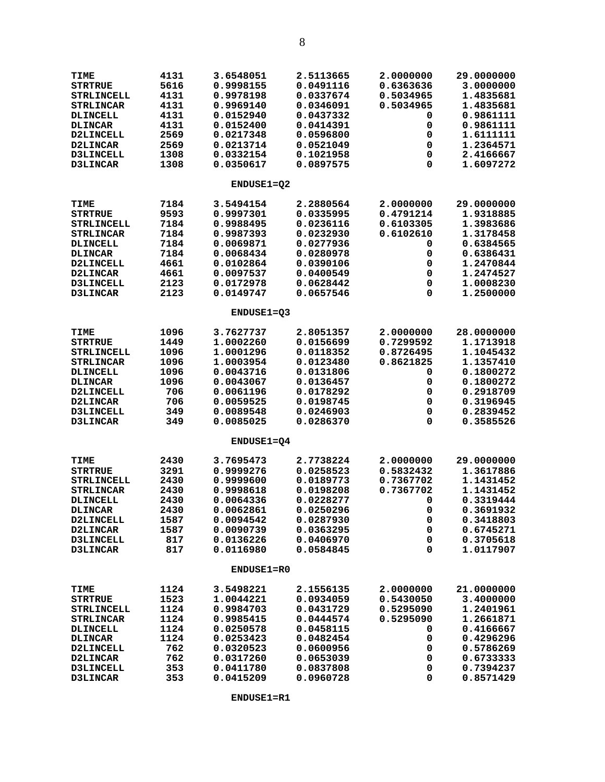| <b>TIME</b>       | 4131 | 3.6548051         | 2.5113665 | 2.0000000 | 29.0000000 |
|-------------------|------|-------------------|-----------|-----------|------------|
| <b>STRTRUE</b>    | 5616 | 0.9998155         | 0.0491116 | 0.6363636 | 3.0000000  |
| <b>STRLINCELL</b> | 4131 | 0.9978198         | 0.0337674 | 0.5034965 | 1.4835681  |
| <b>STRLINCAR</b>  | 4131 | 0.9969140         | 0.0346091 | 0.5034965 | 1.4835681  |
| <b>DLINCELL</b>   | 4131 | 0.0152940         | 0.0437332 | 0         | 0.9861111  |
| <b>DLINCAR</b>    | 4131 | 0.0152400         | 0.0414391 | 0         | 0.9861111  |
| D2LINCELL         | 2569 | 0.0217348         | 0.0596800 | 0         | 1.6111111  |
| D2LINCAR          | 2569 | 0.0213714         | 0.0521049 | 0         | 1.2364571  |
| D3LINCELL         | 1308 | 0.0332154         | 0.1021958 | 0         | 2.4166667  |
| <b>D3LINCAR</b>   | 1308 | 0.0350617         | 0.0897575 | 0         | 1.6097272  |
|                   |      | ENDUSE1=02        |           |           |            |
| <b>TIME</b>       | 7184 | 3.5494154         | 2.2880564 | 2.0000000 | 29.0000000 |
| <b>STRTRUE</b>    | 9593 | 0.9997301         | 0.0335995 | 0.4791214 | 1.9318885  |
| <b>STRLINCELL</b> | 7184 | 0.9988495         | 0.0236116 | 0.6103305 | 1.3983686  |
| <b>STRLINCAR</b>  | 7184 | 0.9987393         | 0.0232930 | 0.6102610 | 1.3178458  |
| <b>DLINCELL</b>   | 7184 | 0.0069871         | 0.0277936 | 0         | 0.6384565  |
| <b>DLINCAR</b>    | 7184 | 0.0068434         | 0.0280978 | 0         | 0.6386431  |
| D2LINCELL         | 4661 | 0.0102864         | 0.0390106 | 0         | 1.2470844  |
| D2LINCAR          | 4661 | 0.0097537         | 0.0400549 | 0         | 1.2474527  |
| D3LINCELL         | 2123 | 0.0172978         | 0.0628442 | 0         | 1.0008230  |
| D3LINCAR          | 2123 | 0.0149747         | 0.0657546 | 0         | 1.2500000  |
|                   |      | ENDUSE1=Q3        |           |           |            |
| <b>TIME</b>       | 1096 | 3.7627737         | 2.8051357 | 2.0000000 | 28.0000000 |
| <b>STRTRUE</b>    | 1449 | 1.0002260         | 0.0156699 | 0.7299592 | 1.1713918  |
| <b>STRLINCELL</b> | 1096 | 1.0001296         | 0.0118352 | 0.8726495 | 1.1045432  |
| <b>STRLINCAR</b>  | 1096 | 1.0003954         | 0.0123480 | 0.8621825 | 1.1357410  |
| DLINCELL          | 1096 | 0.0043716         | 0.0131806 | 0         | 0.1800272  |
| <b>DLINCAR</b>    | 1096 | 0.0043067         | 0.0136457 | 0         | 0.1800272  |
| D2LINCELL         | 706  | 0.0061196         | 0.0178292 | 0         | 0.2918709  |
| <b>D2LINCAR</b>   | 706  | 0.0059525         | 0.0198745 | 0         | 0.3196945  |
| D3LINCELL         | 349  | 0.0089548         | 0.0246903 | 0         | 0.2839452  |
| D3LINCAR          | 349  | 0.0085025         | 0.0286370 | 0         | 0.3585526  |
|                   |      | ENDUSE1=04        |           |           |            |
| <b>TIME</b>       | 2430 | 3.7695473         | 2.7738224 | 2.0000000 | 29.0000000 |
| <b>STRTRUE</b>    | 3291 | 0.9999276         | 0.0258523 | 0.5832432 | 1.3617886  |
| <b>STRLINCELL</b> | 2430 | 0.9999600         | 0.0189773 | 0.7367702 | 1.1431452  |
| <b>STRLINCAR</b>  | 2430 | 0.9998618         | 0.0198208 | 0.7367702 | 1.1431452  |
| <b>DLINCELL</b>   | 2430 | 0.0064336         | 0.0228277 | 0         | 0.3319444  |
| <b>DLINCAR</b>    | 2430 | 0.0062861         | 0.0250296 | 0         | 0.3691932  |
| <b>D2LINCELL</b>  | 1587 | 0.0094542         | 0.0287930 | 0         | 0.3418803  |
| D2LINCAR          | 1587 | 0.0090739         | 0.0363295 | 0         | 0.6745271  |
| D3LINCELL         | 817  | 0.0136226         | 0.0406970 | 0         | 0.3705618  |
| <b>D3LINCAR</b>   | 817  | 0.0116980         | 0.0584845 | 0         | 1.0117907  |
|                   |      | <b>ENDUSE1=R0</b> |           |           |            |
| <b>TIME</b>       | 1124 | 3.5498221         | 2.1556135 | 2.0000000 | 21,0000000 |
| <b>STRTRUE</b>    | 1523 | 1.0044221         | 0.0934059 | 0.5430050 | 3.4000000  |
| STRLINCELL        | 1124 | 0.9984703         | 0.0431729 | 0.5295090 | 1.2401961  |
| <b>STRLINCAR</b>  | 1124 | 0.9985415         | 0.0444574 | 0.5295090 | 1.2661871  |
| <b>DLINCELL</b>   | 1124 | 0.0250578         | 0.0458115 | 0         | 0.4166667  |
| <b>DLINCAR</b>    | 1124 | 0.0253423         | 0.0482454 | 0         | 0.4296296  |
| <b>D2LINCELL</b>  | 762  | 0.0320523         | 0.0600956 | 0         | 0.5786269  |
| <b>D2LINCAR</b>   | 762  | 0.0317260         | 0.0653039 | 0         | 0.6733333  |
| <b>D3LINCELL</b>  | 353  | 0.0411780         | 0.0837808 | 0         | 0.7394237  |
| D3LINCAR          | 353  | 0.0415209         | 0.0960728 | 0         | 0.8571429  |

 **ENDUSE1=R1**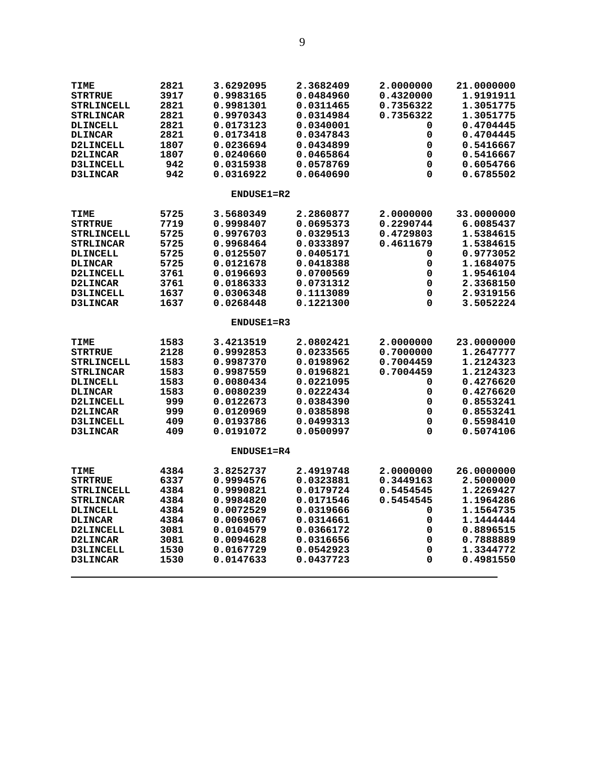| TIME              | 2821 | 3.6292095  | 2.3682409 | 2.0000000 | 21.0000000 |
|-------------------|------|------------|-----------|-----------|------------|
| <b>STRTRUE</b>    | 3917 | 0.9983165  | 0.0484960 | 0.4320000 | 1.9191911  |
| <b>STRLINCELL</b> | 2821 | 0.9981301  | 0.0311465 | 0.7356322 | 1.3051775  |
| <b>STRLINCAR</b>  | 2821 | 0.9970343  | 0.0314984 | 0.7356322 | 1.3051775  |
| <b>DLINCELL</b>   | 2821 | 0.0173123  | 0.0340001 | 0         | 0.4704445  |
| <b>DLINCAR</b>    | 2821 | 0.0173418  | 0.0347843 | 0         | 0.4704445  |
| D2LINCELL         | 1807 | 0.0236694  | 0.0434899 | 0         | 0.5416667  |
| D2LINCAR          | 1807 | 0.0240660  | 0.0465864 | 0         | 0.5416667  |
| <b>D3LINCELL</b>  | 942  | 0.0315938  | 0.0578769 | 0         | 0.6054766  |
| <b>D3LINCAR</b>   | 942  | 0.0316922  | 0.0640690 | $\Omega$  | 0.6785502  |
|                   |      |            |           |           |            |
|                   |      | ENDUSE1=R2 |           |           |            |
| TIME              | 5725 | 3.5680349  | 2.2860877 | 2.0000000 | 33.0000000 |
| <b>STRTRUE</b>    | 7719 | 0.9998407  | 0.0695373 | 0.2290744 | 6.0085437  |
| <b>STRLINCELL</b> | 5725 | 0.9976703  | 0.0329513 | 0.4729803 | 1.5384615  |
| <b>STRLINCAR</b>  | 5725 | 0.9968464  | 0.0333897 | 0.4611679 | 1.5384615  |
| <b>DLINCELL</b>   | 5725 | 0.0125507  | 0.0405171 | 0         | 0.9773052  |
| <b>DLINCAR</b>    | 5725 | 0.0121678  | 0.0418388 | 0         | 1.1684075  |
| <b>D2LINCELL</b>  | 3761 | 0.0196693  | 0.0700569 | 0         | 1.9546104  |
| <b>D2LINCAR</b>   | 3761 | 0.0186333  | 0.0731312 | 0         | 2.3368150  |
| <b>D3LINCELL</b>  | 1637 | 0.0306348  | 0.1113089 | 0         | 2.9319156  |
| <b>D3LINCAR</b>   | 1637 | 0.0268448  | 0.1221300 | 0         | 3.5052224  |
|                   |      |            |           |           |            |
|                   |      | ENDUSE1=R3 |           |           |            |
| TIME              | 1583 | 3.4213519  | 2.0802421 | 2.0000000 | 23.0000000 |
| <b>STRTRUE</b>    | 2128 | 0.9992853  | 0.0233565 | 0.7000000 | 1.2647777  |
| <b>STRLINCELL</b> | 1583 | 0.9987370  | 0.0198962 | 0.7004459 | 1.2124323  |
| <b>STRLINCAR</b>  | 1583 | 0.9987559  | 0.0196821 | 0.7004459 | 1.2124323  |
| <b>DLINCELL</b>   | 1583 | 0.0080434  | 0.0221095 | 0         | 0.4276620  |
| <b>DLINCAR</b>    | 1583 | 0.0080239  | 0.0222434 | 0         | 0.4276620  |
| <b>D2LINCELL</b>  | 999  | 0.0122673  | 0.0384390 | 0         | 0.8553241  |
| <b>D2LINCAR</b>   | 999  | 0.0120969  | 0.0385898 | 0         | 0.8553241  |
| D3LINCELL         | 409  | 0.0193786  | 0.0499313 | 0         | 0.5598410  |
| <b>D3LINCAR</b>   | 409  | 0.0191072  | 0.0500997 | $\Omega$  | 0.5074106  |
|                   |      | ENDUSE1=R4 |           |           |            |
|                   |      |            |           |           |            |
| TIME              | 4384 | 3.8252737  | 2.4919748 | 2.0000000 | 26.0000000 |
| <b>STRTRUE</b>    | 6337 | 0.9994576  | 0.0323881 | 0.3449163 | 2.5000000  |
| STRLINCELL        | 4384 | 0.9990821  | 0.0179724 | 0.5454545 | 1.2269427  |
| <b>STRLINCAR</b>  | 4384 | 0.9984820  | 0.0171546 | 0.5454545 | 1.1964286  |
| <b>DLINCELL</b>   | 4384 | 0.0072529  | 0.0319666 | 0         | 1.1564735  |
| <b>DLINCAR</b>    | 4384 | 0.0069067  | 0.0314661 | 0         | 1.1444444  |
| <b>D2LINCELL</b>  | 3081 | 0.0104579  | 0.0366172 | 0         | 0.8896515  |
| D2LINCAR          | 3081 | 0.0094628  | 0.0316656 | 0         | 0.7888889  |
| <b>D3LINCELL</b>  | 1530 | 0.0167729  | 0.0542923 | 0         | 1.3344772  |
| <b>D3LINCAR</b>   | 1530 | 0.0147633  | 0.0437723 | 0         | 0.4981550  |
|                   |      |            |           |           |            |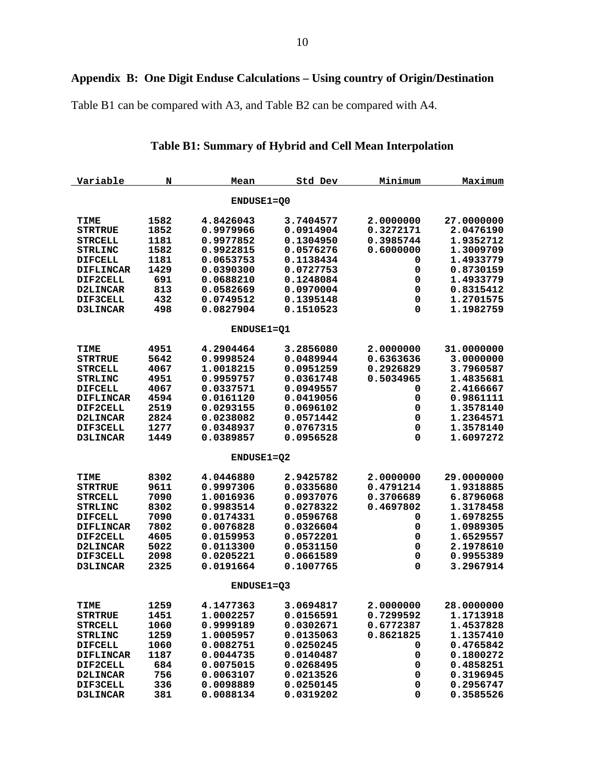Table B1 can be compared with A3, and Table B2 can be compared with A4.

| Variable         | N    | Mean              | Std Dev   | Minimum   | Maximum    |
|------------------|------|-------------------|-----------|-----------|------------|
|                  |      | ENDUSE1=Q0        |           |           |            |
| <b>TIME</b>      | 1582 | 4.8426043         | 3.7404577 | 2.0000000 | 27.0000000 |
| <b>STRTRUE</b>   | 1852 | 0.9979966         | 0.0914904 | 0.3272171 | 2.0476190  |
| <b>STRCELL</b>   | 1181 | 0.9977852         | 0.1304950 | 0.3985744 | 1.9352712  |
| <b>STRLINC</b>   | 1582 | 0.9922815         | 0.0576276 | 0.6000000 | 1.3009709  |
| <b>DIFCELL</b>   | 1181 | 0.0653753         | 0.1138434 | 0         | 1.4933779  |
| <b>DIFLINCAR</b> | 1429 | 0.0390300         | 0.0727753 | 0         | 0.8730159  |
| <b>DIF2CELL</b>  | 691  | 0.0688210         | 0.1248084 | 0         | 1.4933779  |
| D2LINCAR         | 813  | 0.0582669         | 0.0970004 | 0         | 0.8315412  |
| DIF3CELL         | 432  | 0.0749512         | 0.1395148 | 0         | 1.2701575  |
| D3LINCAR         | 498  | 0.0827904         | 0.1510523 | 0         | 1.1982759  |
|                  |      |                   |           |           |            |
|                  |      | <b>ENDUSE1=01</b> |           |           |            |
| <b>TIME</b>      | 4951 | 4.2904464         | 3.2856080 | 2.0000000 | 31.0000000 |
| <b>STRTRUE</b>   | 5642 | 0.9998524         | 0.0489944 | 0.6363636 | 3.0000000  |
| <b>STRCELL</b>   | 4067 | 1.0018215         | 0.0951259 | 0.2926829 | 3.7960587  |
| <b>STRLINC</b>   | 4951 | 0.9959757         | 0.0361748 | 0.5034965 | 1.4835681  |
| <b>DIFCELL</b>   | 4067 | 0.0337571         | 0.0949557 | 0         | 2.4166667  |
| <b>DIFLINCAR</b> | 4594 | 0.0161120         | 0.0419056 | 0         | 0.9861111  |
| DIF2CELL         | 2519 | 0.0293155         | 0.0696102 | 0         | 1.3578140  |
| D2LINCAR         | 2824 | 0.0238082         | 0.0571442 | 0         | 1.2364571  |
| DIF3CELL         | 1277 | 0.0348937         | 0.0767315 | 0         | 1.3578140  |
| D3LINCAR         | 1449 | 0.0389857         | 0.0956528 | 0         | 1.6097272  |
|                  |      | ENDUSE1=Q2        |           |           |            |
|                  |      |                   |           |           |            |
| TIME             | 8302 | 4.0446880         | 2.9425782 | 2.0000000 | 29.0000000 |
| <b>STRTRUE</b>   | 9611 | 0.9997306         | 0.0335680 | 0.4791214 | 1.9318885  |
| <b>STRCELL</b>   | 7090 | 1.0016936         | 0.0937076 | 0.3706689 | 6.8796068  |
| <b>STRLINC</b>   | 8302 | 0.9983514         | 0.0278322 | 0.4697802 | 1.3178458  |
| <b>DIFCELL</b>   | 7090 | 0.0174331         | 0.0596768 | 0         | 1.6978255  |
| <b>DIFLINCAR</b> | 7802 | 0.0076828         | 0.0326604 | 0         | 1.0989305  |
| DIF2CELL         | 4605 | 0.0159953         | 0.0572201 | 0         | 1.6529557  |
| <b>D2LINCAR</b>  | 5022 | 0.0113300         | 0.0531150 | 0         | 2.1978610  |
| DIF3CELL         | 2098 | 0.0205221         | 0.0661589 | 0         | 0.9955389  |
| <b>D3LINCAR</b>  | 2325 | 0.0191664         | 0.1007765 | 0         | 3.2967914  |
|                  |      | ENDUSE1=Q3        |           |           |            |
| TIME             | 1259 | 4.1477363         | 3.0694817 | 2.0000000 | 28.0000000 |
| <b>STRTRUE</b>   | 1451 | 1.0002257         | 0.0156591 | 0.7299592 | 1.1713918  |
| <b>STRCELL</b>   | 1060 | 0.9999189         | 0.0302671 | 0.6772387 | 1.4537828  |
| <b>STRLINC</b>   | 1259 | 1.0005957         | 0.0135063 | 0.8621825 | 1.1357410  |
| <b>DIFCELL</b>   | 1060 | 0.0082751         | 0.0250245 | 0         | 0.4765842  |
| <b>DIFLINCAR</b> | 1187 | 0.0044735         | 0.0140487 | 0         | 0.1800272  |
| DIF2CELL         | 684  | 0.0075015         | 0.0268495 | 0         | 0.4858251  |
| D2LINCAR         | 756  | 0.0063107         | 0.0213526 | 0         | 0.3196945  |
| DIF3CELL         | 336  | 0.0098889         | 0.0250145 | 0         | 0.2956747  |
| <b>D3LINCAR</b>  | 381  | 0.0088134         | 0.0319202 | 0         | 0.3585526  |

## **Table B1: Summary of Hybrid and Cell Mean Interpolation**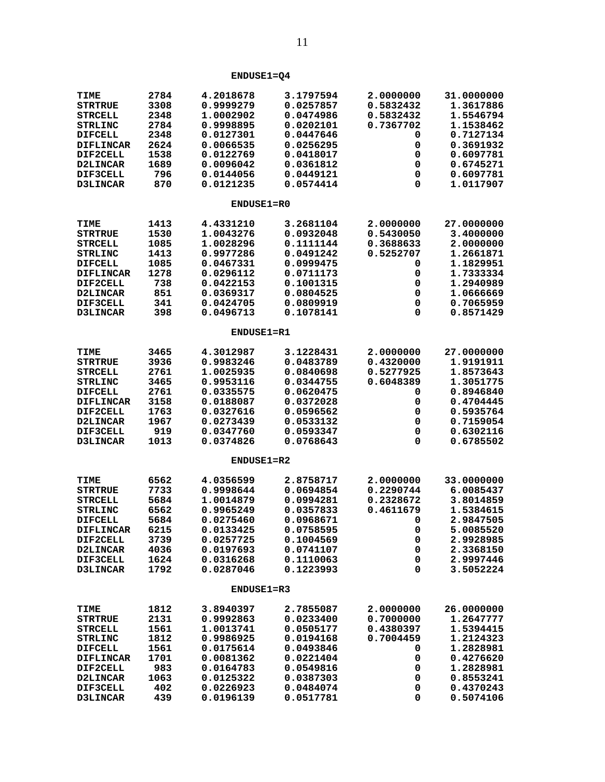| <b>TIME</b>          | 2784         | 4.2018678              | 3.1797594              | 2.0000000 | 31.0000000             |
|----------------------|--------------|------------------------|------------------------|-----------|------------------------|
| <b>STRTRUE</b>       | 3308         | 0.9999279              | 0.0257857              | 0.5832432 | 1.3617886              |
| <b>STRCELL</b>       | 2348         | 1.0002902              | 0.0474986              | 0.5832432 | 1.5546794              |
| <b>STRLINC</b>       | 2784         | 0.9998895              | 0.0202101              | 0.7367702 | 1.1538462              |
| <b>DIFCELL</b>       | 2348         | 0.0127301              | 0.0447646              | 0         | 0.7127134              |
| <b>DIFLINCAR</b>     | 2624<br>1538 | 0.0066535              | 0.0256295<br>0.0418017 | 0         | 0.3691932<br>0.6097781 |
| DIF2CELL<br>D2LINCAR | 1689         | 0.0122769<br>0.0096042 | 0.0361812              | 0<br>0    | 0.6745271              |
| DIF3CELL             | 796          | 0.0144056              | 0.0449121              | 0         | 0.6097781              |
| D3LINCAR             | 870          | 0.0121235              | 0.0574414              | 0         | 1.0117907              |
|                      |              |                        |                        |           |                        |
|                      |              | <b>ENDUSE1=R0</b>      |                        |           |                        |
| TIME                 | 1413         | 4.4331210              | 3.2681104              | 2.0000000 | 27.0000000             |
| <b>STRTRUE</b>       | 1530         | 1.0043276              | 0.0932048              | 0.5430050 | 3.4000000              |
| <b>STRCELL</b>       | 1085         | 1.0028296              | 0.1111144              | 0.3688633 | 2.0000000              |
| <b>STRLINC</b>       | 1413         | 0.9977286              | 0.0491242              | 0.5252707 | 1.2661871              |
| <b>DIFCELL</b>       | 1085         | 0.0467331              | 0.0999475              | 0         | 1.1829951              |
| <b>DIFLINCAR</b>     | 1278         | 0.0296112              | 0.0711173              | 0         | 1.7333334              |
| DIF2CELL             | 738          | 0.0422153              | 0.1001315              | 0         | 1.2940989              |
| D2LINCAR             | 851          | 0.0369317              | 0.0804525              | 0         | 1.0666669              |
| DIF3CELL             | 341          | 0.0424705              | 0.0809919              | 0         | 0.7065959              |
| <b>D3LINCAR</b>      | 398          | 0.0496713              | 0.1078141              | 0         | 0.8571429              |
|                      |              | ENDUSE1=R1             |                        |           |                        |
| <b>TIME</b>          | 3465         | 4.3012987              | 3.1228431              | 2.0000000 | 27.0000000             |
| <b>STRTRUE</b>       | 3936         | 0.9983246              | 0.0483789              | 0.4320000 | 1.9191911              |
| <b>STRCELL</b>       | 2761         | 1.0025935              | 0.0840698              | 0.5277925 | 1.8573643              |
| <b>STRLINC</b>       | 3465         | 0.9953116              | 0.0344755              | 0.6048389 | 1.3051775              |
| <b>DIFCELL</b>       | 2761         | 0.0335575              | 0.0620475              | 0         | 0.8946840              |
| <b>DIFLINCAR</b>     | 3158         | 0.0188087              | 0.0372028              | 0         | 0.4704445              |
| DIF2CELL             | 1763         | 0.0327616              | 0.0596562              | 0         | 0.5935764              |
| D2LINCAR             | 1967         | 0.0273439              | 0.0533132              | 0         | 0.7159054              |
| DIF3CELL             | 919          | 0.0347760              | 0.0593347              | 0         | 0.6302116              |
| <b>D3LINCAR</b>      | 1013         | 0.0374826              | 0.0768643              | 0         | 0.6785502              |
|                      |              | ENDUSE1=R2             |                        |           |                        |
| <b>TIME</b>          | 6562         | 4.0356599              | 2.8758717              | 2.0000000 | 33.0000000             |
| <b>STRTRUE</b>       | 7733         | 0.9998644              | 0.0694854              | 0.2290744 | 6.0085437              |
| <b>STRCELL</b>       | 5684         | 1.0014879              | 0.0994281              | 0.2328672 | 3.8014859              |
| <b>STRLINC</b>       | 6562         | 0.9965249              | 0.0357833              | 0.4611679 | 1.5384615              |
| <b>DIFCELL</b>       | 5684         | 0.0275460              | 0.0968671              | 0         | 2.9847505              |
| <b>DIFLINCAR</b>     | 6215         | 0.0133425              | 0.0758595              | 0         | 5.0085520              |
| DIF2CELL             | 3739         | 0.0257725              | 0.1004569              | 0         | 2.9928985              |
| D2LINCAR             | 4036         | 0.0197693              | 0.0741107              | 0         | 2.3368150              |
| DIF3CELL             | 1624         | 0.0316268              | 0.1110063              | 0         | 2.9997446              |
| <b>D3LINCAR</b>      | 1792         | 0.0287046              | 0.1223993              | 0         | 3.5052224              |
|                      |              | <b>ENDUSE1=R3</b>      |                        |           |                        |
| <b>TIME</b>          | 1812         | 3.8940397              | 2.7855087              | 2.0000000 | 26.0000000             |
| <b>STRTRUE</b>       | 2131         | 0.9992863              | 0.0233400              | 0.7000000 | 1.2647777              |
| <b>STRCELL</b>       | 1561         | 1.0013741              | 0.0505177              | 0.4380397 | 1.5394415              |
| <b>STRLINC</b>       | 1812         | 0.9986925              | 0.0194168              | 0.7004459 | 1.2124323              |
| <b>DIFCELL</b>       | 1561         | 0.0175614              | 0.0493846              | 0         | 1.2828981              |
| <b>DIFLINCAR</b>     | 1701         | 0.0081362              | 0.0221404              | 0         | 0.4276620              |
| DIF2CELL             | 983          | 0.0164783              | 0.0549816              | 0         | 1.2828981              |
| D2LINCAR             | 1063         | 0.0125322              | 0.0387303              | 0         | 0.8553241              |
| DIF3CELL             | 402          | 0.0226923              | 0.0484074              | 0         | 0.4370243              |
| D3LINCAR             | 439          | 0.0196139              | 0.0517781              | 0         | 0.5074106              |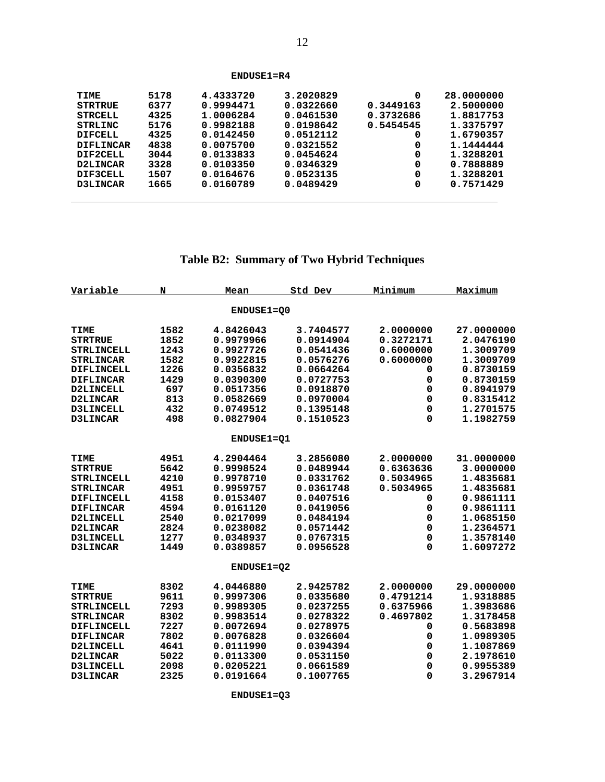| TIME             | 5178 | 4.4333720 | 3.2020829 | 0         | 28,0000000 |
|------------------|------|-----------|-----------|-----------|------------|
| STRTRUE          | 6377 | 0.9994471 | 0.0322660 | 0.3449163 | 2.5000000  |
| <b>STRCELL</b>   | 4325 | 1.0006284 | 0.0461530 | 0.3732686 | 1.8817753  |
| STRLINC          | 5176 | 0.9982188 | 0.0198642 | 0.5454545 | 1.3375797  |
| <b>DIFCELL</b>   | 4325 | 0.0142450 | 0.0512112 | 0         | 1.6790357  |
| <b>DIFLINCAR</b> | 4838 | 0.0075700 | 0.0321552 | 0         | 1,1444444  |
| DIF2CELL         | 3044 | 0.0133833 | 0.0454624 | 0         | 1.3288201  |
| D2LINCAR         | 3328 | 0.0103350 | 0.0346329 | 0         | 0.7888889  |
| DIF3CELL         | 1507 | 0.0164676 | 0.0523135 | 0         | 1.3288201  |
| <b>D3LINCAR</b>  | 1665 | 0.0160789 | 0.0489429 | 0         | 0.7571429  |
|                  |      |           |           |           |            |

 **ENDUSE1=R4**

 $\overline{a}$ 

# **Table B2: Summary of Two Hybrid Techniques**

| Variable          | N    | Mean       | Std Dev   | Minimum   | Maximum    |
|-------------------|------|------------|-----------|-----------|------------|
|                   |      | ENDUSE1=00 |           |           |            |
| TIME              | 1582 | 4.8426043  | 3.7404577 | 2.0000000 | 27.0000000 |
| <b>STRTRUE</b>    | 1852 | 0.9979966  | 0.0914904 | 0.3272171 | 2.0476190  |
| STRLINCELL        | 1243 | 0.9927726  | 0.0541436 | 0.6000000 | 1.3009709  |
| <b>STRLINCAR</b>  | 1582 | 0.9922815  | 0.0576276 | 0.6000000 | 1.3009709  |
| DIFLINCELL        | 1226 | 0.0356832  | 0.0664264 | 0         | 0.8730159  |
| <b>DIFLINCAR</b>  | 1429 | 0.0390300  | 0.0727753 | 0         | 0.8730159  |
| D2LINCELL         | 697  | 0.0517356  | 0.0918870 | 0         | 0.8941979  |
| D2LINCAR          | 813  | 0.0582669  | 0.0970004 | 0         | 0.8315412  |
| D3LINCELL         | 432  | 0.0749512  | 0.1395148 | 0         | 1.2701575  |
| D3LINCAR          | 498  | 0.0827904  | 0.1510523 | 0         | 1.1982759  |
|                   |      | ENDUSE1=01 |           |           |            |
| <b>TIME</b>       | 4951 | 4.2904464  | 3.2856080 | 2.0000000 | 31.0000000 |
| <b>STRTRUE</b>    | 5642 | 0.9998524  | 0.0489944 | 0.6363636 | 3.0000000  |
| <b>STRLINCELL</b> | 4210 | 0.9978710  | 0.0331762 | 0.5034965 | 1.4835681  |
| <b>STRLINCAR</b>  | 4951 | 0.9959757  | 0.0361748 | 0.5034965 | 1.4835681  |
| DIFLINCELL        | 4158 | 0.0153407  | 0.0407516 | 0         | 0.9861111  |
| <b>DIFLINCAR</b>  | 4594 | 0.0161120  | 0.0419056 | 0         | 0.9861111  |
| D2LINCELL         | 2540 | 0.0217099  | 0.0484194 | 0         | 1.0685150  |
| D2LINCAR          | 2824 | 0.0238082  | 0.0571442 | 0         | 1.2364571  |
| <b>D3LINCELL</b>  | 1277 | 0.0348937  | 0.0767315 | 0         | 1.3578140  |
| D3LINCAR          | 1449 | 0.0389857  | 0.0956528 | 0         | 1.6097272  |
|                   |      | ENDUSE1=02 |           |           |            |
| <b>TIME</b>       | 8302 | 4.0446880  | 2.9425782 | 2.0000000 | 29.0000000 |
| <b>STRTRUE</b>    | 9611 | 0.9997306  | 0.0335680 | 0.4791214 | 1.9318885  |
| STRLINCELL        | 7293 | 0.9989305  | 0.0237255 | 0.6375966 | 1.3983686  |
| <b>STRLINCAR</b>  | 8302 | 0.9983514  | 0.0278322 | 0.4697802 | 1.3178458  |
| DIFLINCELL        | 7227 | 0.0072694  | 0.0278975 | 0         | 0.5683898  |
| <b>DIFLINCAR</b>  | 7802 | 0.0076828  | 0.0326604 | 0         | 1.0989305  |
| D2LINCELL         | 4641 | 0.0111990  | 0.0394394 | 0         | 1.1087869  |
| D2LINCAR          | 5022 | 0.0113300  | 0.0531150 | 0         | 2.1978610  |
| <b>D3LINCELL</b>  | 2098 | 0.0205221  | 0.0661589 | 0         | 0.9955389  |
| D3LINCAR          | 2325 | 0.0191664  | 0.1007765 | 0         | 3.2967914  |

 **ENDUSE1=Q3**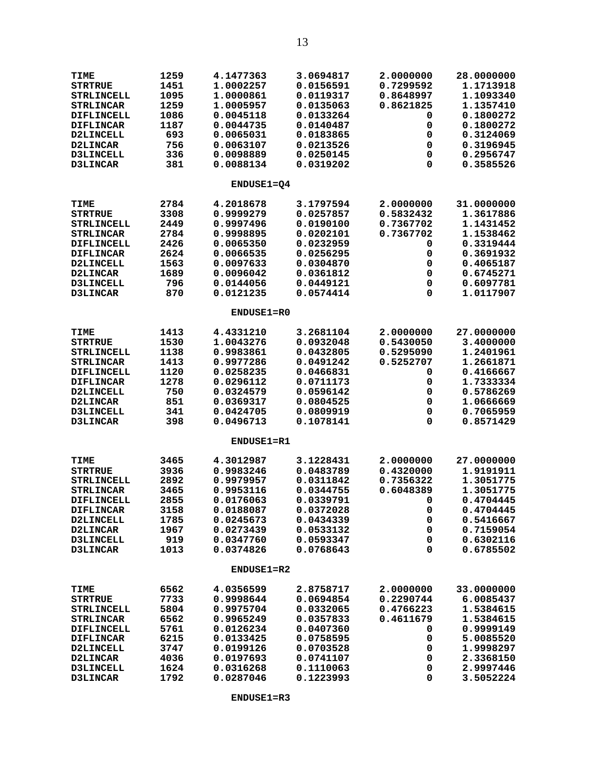| TIME              | 1259 | 4.1477363         | 3.0694817 | 2.0000000 | 28.0000000 |
|-------------------|------|-------------------|-----------|-----------|------------|
| <b>STRTRUE</b>    | 1451 | 1.0002257         | 0.0156591 | 0.7299592 | 1.1713918  |
| <b>STRLINCELL</b> | 1095 | 1.0000861         | 0.0119317 | 0.8648997 | 1.1093340  |
| <b>STRLINCAR</b>  | 1259 | 1.0005957         | 0.0135063 | 0.8621825 | 1.1357410  |
| <b>DIFLINCELL</b> | 1086 | 0.0045118         | 0.0133264 | 0         | 0.1800272  |
| <b>DIFLINCAR</b>  | 1187 | 0.0044735         | 0.0140487 | 0         | 0.1800272  |
| <b>D2LINCELL</b>  | 693  | 0.0065031         | 0.0183865 | 0         | 0.3124069  |
| <b>D2LINCAR</b>   | 756  | 0.0063107         | 0.0213526 | 0         | 0.3196945  |
| D3LINCELL         | 336  | 0.0098889         | 0.0250145 | 0         | 0.2956747  |
| <b>D3LINCAR</b>   | 381  | 0.0088134         | 0.0319202 | 0         | 0.3585526  |
|                   |      | ENDUSE1=Q4        |           |           |            |
| <b>TIME</b>       | 2784 | 4.2018678         | 3.1797594 | 2.0000000 | 31.0000000 |
| <b>STRTRUE</b>    | 3308 | 0.9999279         | 0.0257857 | 0.5832432 | 1.3617886  |
| <b>STRLINCELL</b> | 2449 | 0.9997496         | 0.0190100 | 0.7367702 | 1.1431452  |
| <b>STRLINCAR</b>  | 2784 | 0.9998895         | 0.0202101 | 0.7367702 | 1.1538462  |
| <b>DIFLINCELL</b> | 2426 | 0.0065350         | 0.0232959 | 0         | 0.3319444  |
| <b>DIFLINCAR</b>  | 2624 | 0.0066535         | 0.0256295 | 0         | 0.3691932  |
| <b>D2LINCELL</b>  | 1563 | 0.0097633         | 0.0304870 | 0         | 0.4065187  |
| D2LINCAR          | 1689 | 0.0096042         | 0.0361812 | 0         | 0.6745271  |
| <b>D3LINCELL</b>  | 796  | 0.0144056         | 0.0449121 | 0         | 0.6097781  |
| <b>D3LINCAR</b>   | 870  | 0.0121235         | 0.0574414 | 0         | 1.0117907  |
|                   |      | ENDUSE1=R0        |           |           |            |
| <b>TIME</b>       | 1413 | 4.4331210         | 3.2681104 | 2.0000000 | 27.0000000 |
| <b>STRTRUE</b>    | 1530 | 1.0043276         | 0.0932048 | 0.5430050 | 3.4000000  |
| <b>STRLINCELL</b> | 1138 | 0.9983861         | 0.0432805 | 0.5295090 | 1.2401961  |
| <b>STRLINCAR</b>  | 1413 | 0.9977286         | 0.0491242 | 0.5252707 | 1.2661871  |
| <b>DIFLINCELL</b> | 1120 | 0.0258235         | 0.0466831 | 0         | 0.4166667  |
| <b>DIFLINCAR</b>  | 1278 | 0.0296112         | 0.0711173 | 0         | 1.7333334  |
| D2LINCELL         | 750  | 0.0324579         | 0.0596142 | 0         | 0.5786269  |
| <b>D2LINCAR</b>   | 851  | 0.0369317         | 0.0804525 | 0         | 1.0666669  |
| <b>D3LINCELL</b>  | 341  | 0.0424705         | 0.0809919 | 0         | 0.7065959  |
| <b>D3LINCAR</b>   | 398  | 0.0496713         | 0.1078141 | 0         | 0.8571429  |
|                   |      | <b>ENDUSE1=R1</b> |           |           |            |
| TIME              | 3465 | 4.3012987         | 3.1228431 | 2.0000000 | 27.0000000 |
| <b>STRTRUE</b>    | 3936 | 0.9983246         | 0.0483789 | 0.4320000 | 1.9191911  |
| <b>STRLINCELL</b> | 2892 | 0.9979957         | 0.0311842 | 0.7356322 | 1.3051775  |
| <b>STRLINCAR</b>  | 3465 | 0.9953116         | 0.0344755 | 0.6048389 | 1.3051775  |
| DIFLINCELL        | 2855 | 0.0176063         | 0.0339791 | 0         | 0.4704445  |
| <b>DIFLINCAR</b>  | 3158 | 0.0188087         | 0.0372028 | 0         | 0.4704445  |
| <b>D2LINCELL</b>  | 1785 | 0.0245673         | 0.0434339 | 0         | 0.5416667  |
| D2LINCAR          | 1967 | 0.0273439         | 0.0533132 | 0         | 0.7159054  |
| D3LINCELL         | 919  | 0.0347760         | 0.0593347 | 0         | 0.6302116  |
| D3LINCAR          | 1013 | 0.0374826         | 0.0768643 | 0         | 0.6785502  |
|                   |      | <b>ENDUSE1=R2</b> |           |           |            |
| TIME              | 6562 | 4.0356599         | 2.8758717 | 2.0000000 | 33.0000000 |
| <b>STRTRUE</b>    | 7733 | 0.9998644         | 0.0694854 | 0.2290744 | 6.0085437  |
| <b>STRLINCELL</b> | 5804 | 0.9975704         | 0.0332065 | 0.4766223 | 1.5384615  |
| <b>STRLINCAR</b>  | 6562 | 0.9965249         | 0.0357833 | 0.4611679 | 1.5384615  |
| DIFLINCELL        | 5761 | 0.0126234         | 0.0407360 | 0         | 0.9999149  |
| <b>DIFLINCAR</b>  | 6215 | 0.0133425         | 0.0758595 | 0         | 5.0085520  |
| <b>D2LINCELL</b>  | 3747 | 0.0199126         | 0.0703528 | 0         | 1.9998297  |
| D2LINCAR          | 4036 | 0.0197693         | 0.0741107 | 0         | 2.3368150  |
| <b>D3LINCELL</b>  | 1624 | 0.0316268         | 0.1110063 | 0         | 2.9997446  |
| D3LINCAR          | 1792 | 0.0287046         | 0.1223993 | 0         | 3.5052224  |

 **ENDUSE1=R3**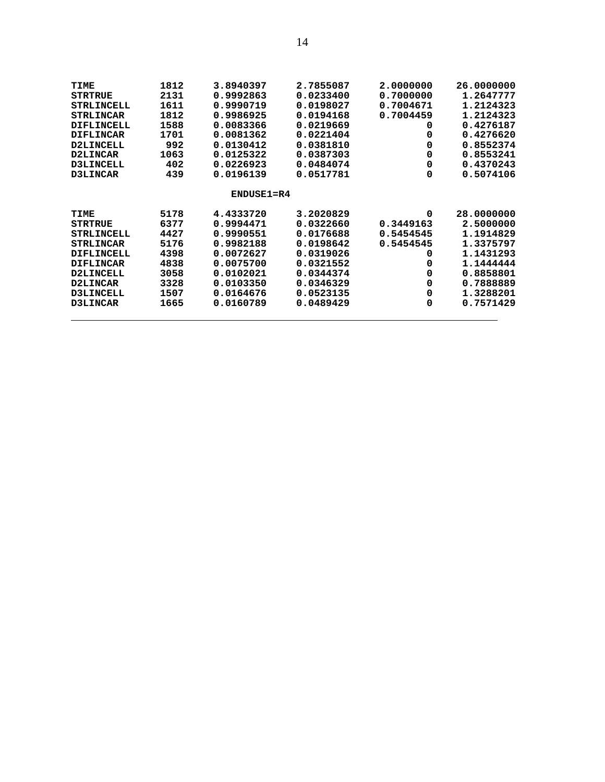| TIME              | 1812 | 3.8940397      | 2.7855087 | 2.0000000 | 26.0000000 |
|-------------------|------|----------------|-----------|-----------|------------|
| <b>STRTRUE</b>    | 2131 | 0.9992863      | 0.0233400 | 0.7000000 | 1.2647777  |
|                   |      | 0.9990719      | 0.0198027 |           | 1.2124323  |
| <b>STRLINCELL</b> | 1611 |                |           | 0.7004671 |            |
| <b>STRLINCAR</b>  | 1812 | 0.9986925      | 0.0194168 | 0.7004459 | 1.2124323  |
| DIFLINCELL        | 1588 | 0.0083366      | 0.0219669 | 0         | 0.4276187  |
| <b>DIFLINCAR</b>  | 1701 | 0.0081362      | 0.0221404 | 0         | 0.4276620  |
| <b>D2LINCELL</b>  | 992  | 0.0130412      | 0.0381810 | 0         | 0.8552374  |
| D2LINCAR          | 1063 | 0.0125322      | 0.0387303 | 0         | 0.8553241  |
| <b>D3LINCELL</b>  | 402  | 0.0226923      | 0.0484074 | 0         | 0.4370243  |
| D3LINCAR          | 439  | 0.0196139      | 0.0517781 | 0         | 0.5074106  |
|                   |      | $ENDUSE1 = R4$ |           |           |            |
| TIME              | 5178 | 4.4333720      | 3.2020829 | 0         | 28,0000000 |
| <b>STRTRUE</b>    | 6377 | 0.9994471      | 0.0322660 | 0.3449163 | 2.5000000  |
| <b>STRLINCELL</b> | 4427 | 0.9990551      | 0.0176688 | 0.5454545 | 1.1914829  |
| <b>STRLINCAR</b>  | 5176 | 0.9982188      | 0.0198642 | 0.5454545 | 1.3375797  |
| DIFLINCELL        | 4398 | 0.0072627      | 0.0319026 | 0         | 1.1431293  |
| <b>DIFLINCAR</b>  | 4838 | 0.0075700      | 0.0321552 | 0         | 1.1444444  |
| D2LINCELL         | 3058 | 0.0102021      | 0.0344374 | 0         | 0.8858801  |
| <b>D2LINCAR</b>   | 3328 | 0.0103350      | 0.0346329 | 0         | 0.7888889  |
| <b>D3LINCELL</b>  | 1507 | 0.0164676      | 0.0523135 | 0         | 1.3288201  |
| D3LINCAR          | 1665 | 0.0160789      | 0.0489429 | 0         | 0.7571429  |
|                   |      |                |           |           |            |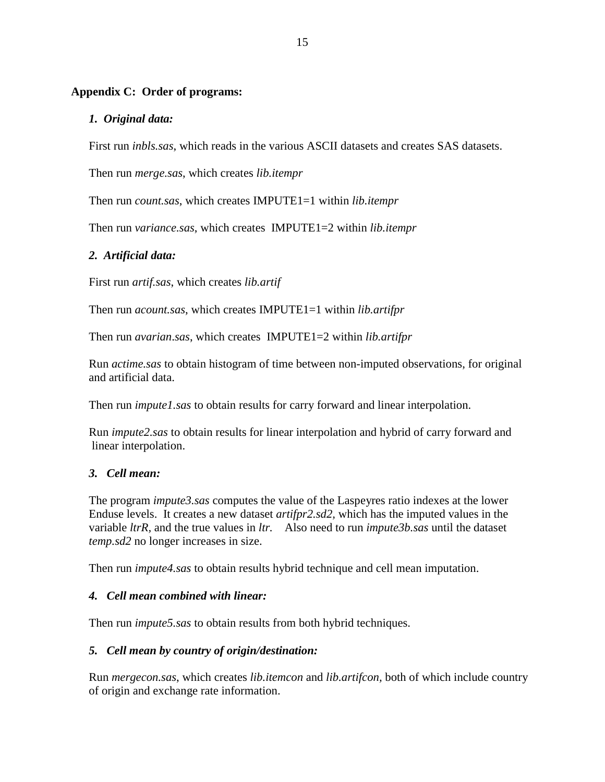## **Appendix C: Order of programs:**

## *1. Original data:*

First run *inbls.sas*, which reads in the various ASCII datasets and creates SAS datasets.

Then run *merge.sas*, which creates *lib.itempr*

Then run *count.sas*, which creates IMPUTE1=1 within *lib.itempr*

Then run *variance.sas*, which creates IMPUTE1=2 within *lib.itempr*

## *2. Artificial data:*

First run *artif.sas*, which creates *lib.artif*

Then run *acount.sas*, which creates IMPUTE1=1 within *lib.artifpr*

Then run *avarian*.*sas*, which creates IMPUTE1=2 within *lib.artifpr*

Run *actime.sas* to obtain histogram of time between non-imputed observations, for original and artificial data.

Then run *impute1.sas* to obtain results for carry forward and linear interpolation.

Run *impute2.sas* to obtain results for linear interpolation and hybrid of carry forward and linear interpolation.

### *3. Cell mean:*

The program *impute3.sas* computes the value of the Laspeyres ratio indexes at the lower Enduse levels. It creates a new dataset *artifpr2.sd2,* which has the imputed values in the variable *ltrR,* and the true values in *ltr.* Also need to run *impute3b.sas* until the dataset *temp.sd2* no longer increases in size.

Then run *impute4.sas* to obtain results hybrid technique and cell mean imputation.

## *4. Cell mean combined with linear:*

Then run *impute5.sas* to obtain results from both hybrid techniques.

## *5. Cell mean by country of origin/destination:*

Run *mergecon.sas*, which creates *lib.itemcon* and *lib.artifcon,* both of which include country of origin and exchange rate information.